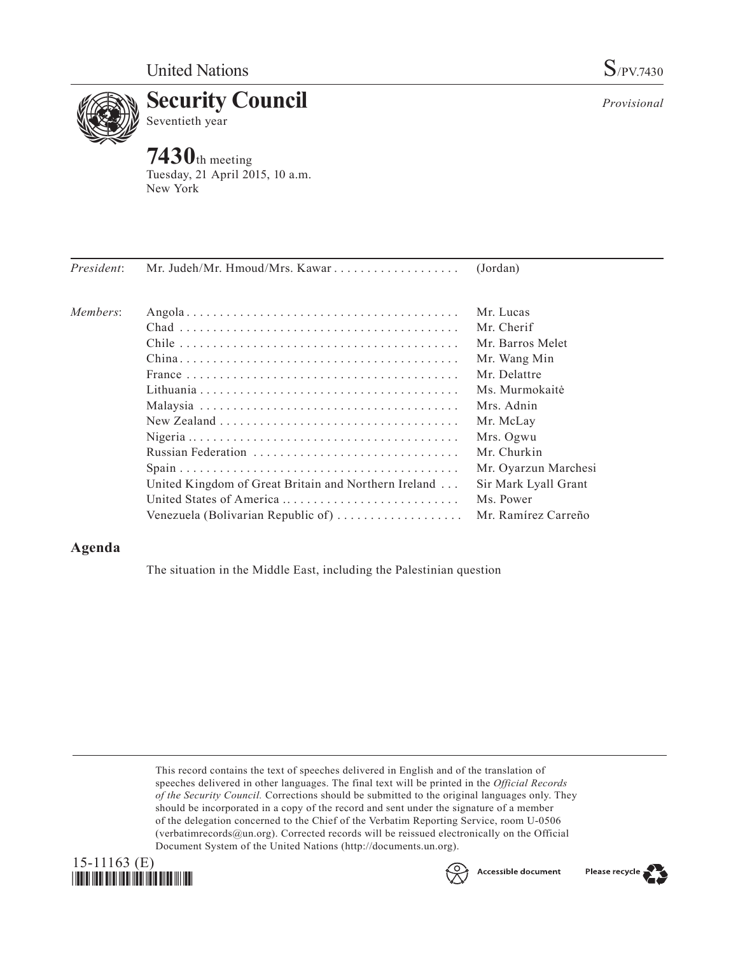

**7430**th meeting Tuesday, 21 April 2015, 10 a.m. New York

| President: | Mr. Judeh/Mr. Hmoud/Mrs. Kawar                       | (Jordan)             |
|------------|------------------------------------------------------|----------------------|
| Members:   |                                                      | Mr. Lucas            |
|            |                                                      | Mr. Cherif           |
|            |                                                      | Mr. Barros Melet     |
|            |                                                      | Mr. Wang Min         |
|            |                                                      | Mr. Delattre         |
|            |                                                      | Ms. Murmokaitė       |
|            |                                                      | Mrs. Adnin           |
|            |                                                      | Mr. McLay            |
|            |                                                      | Mrs. Ogwu            |
|            |                                                      | Mr. Churkin          |
|            |                                                      | Mr. Oyarzun Marchesi |
|            | United Kingdom of Great Britain and Northern Ireland | Sir Mark Lyall Grant |
|            |                                                      | Ms. Power            |
|            | Venezuela (Bolivarian Republic of)                   | Mr. Ramírez Carreño  |
|            |                                                      |                      |

# **Agenda**

The situation in the Middle East, including the Palestinian question

This record contains the text of speeches delivered in English and of the translation of speeches delivered in other languages. The final text will be printed in the *Official Records of the Security Council.* Corrections should be submitted to the original languages only. They should be incorporated in a copy of the record and sent under the signature of a member of the delegation concerned to the Chief of the Verbatim Reporting Service, room U-0506 (verbatimrecords@un.org). Corrected records will be reissued electronically on the Official Document System of the United Nations (http://documents.un.org).





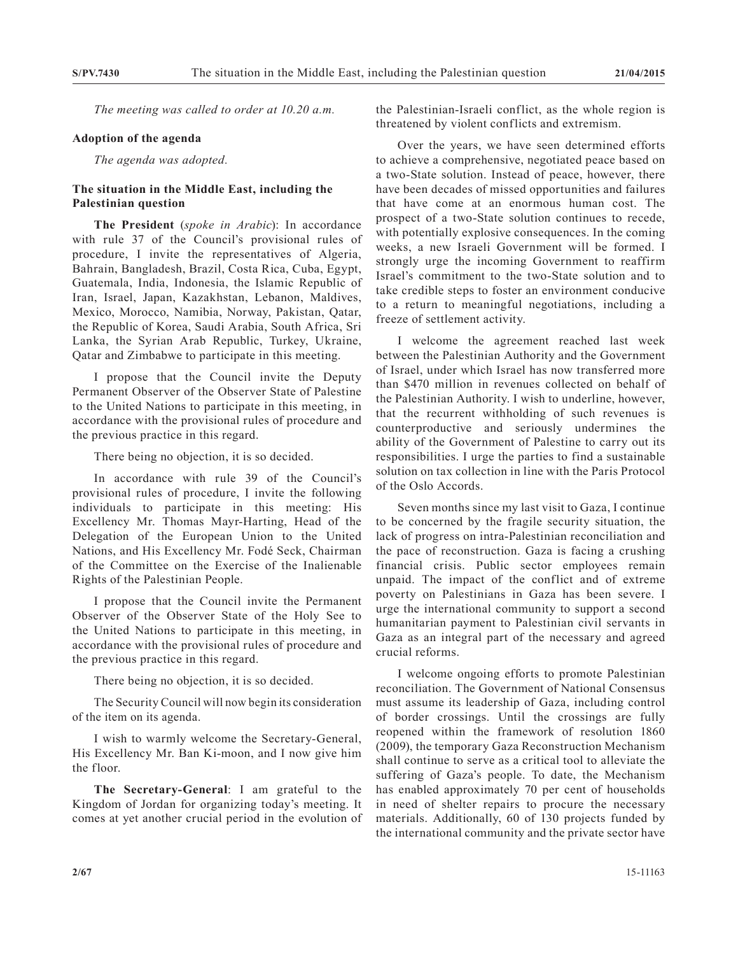*The meeting was called to order at 10.20 a.m.*

## **Adoption of the agenda**

*The agenda was adopted.*

# **The situation in the Middle East, including the Palestinian question**

**The President** (*spoke in Arabic*): In accordance with rule 37 of the Council's provisional rules of procedure, I invite the representatives of Algeria, Bahrain, Bangladesh, Brazil, Costa Rica, Cuba, Egypt, Guatemala, India, Indonesia, the Islamic Republic of Iran, Israel, Japan, Kazakhstan, Lebanon, Maldives, Mexico, Morocco, Namibia, Norway, Pakistan, Qatar, the Republic of Korea, Saudi Arabia, South Africa, Sri Lanka, the Syrian Arab Republic, Turkey, Ukraine, Qatar and Zimbabwe to participate in this meeting.

I propose that the Council invite the Deputy Permanent Observer of the Observer State of Palestine to the United Nations to participate in this meeting, in accordance with the provisional rules of procedure and the previous practice in this regard.

There being no objection, it is so decided.

In accordance with rule 39 of the Council's provisional rules of procedure, I invite the following individuals to participate in this meeting: His Excellency Mr. Thomas Mayr-Harting, Head of the Delegation of the European Union to the United Nations, and His Excellency Mr. Fodé Seck, Chairman of the Committee on the Exercise of the Inalienable Rights of the Palestinian People.

I propose that the Council invite the Permanent Observer of the Observer State of the Holy See to the United Nations to participate in this meeting, in accordance with the provisional rules of procedure and the previous practice in this regard.

There being no objection, it is so decided.

The Security Council will now begin its consideration of the item on its agenda.

I wish to warmly welcome the Secretary-General, His Excellency Mr. Ban Ki-moon, and I now give him the floor.

**The Secretary-General**: I am grateful to the Kingdom of Jordan for organizing today's meeting. It comes at yet another crucial period in the evolution of the Palestinian-Israeli conflict, as the whole region is threatened by violent conflicts and extremism.

Over the years, we have seen determined efforts to achieve a comprehensive, negotiated peace based on a two-State solution. Instead of peace, however, there have been decades of missed opportunities and failures that have come at an enormous human cost. The prospect of a two-State solution continues to recede, with potentially explosive consequences. In the coming weeks, a new Israeli Government will be formed. I strongly urge the incoming Government to reaffirm Israel's commitment to the two-State solution and to take credible steps to foster an environment conducive to a return to meaningful negotiations, including a freeze of settlement activity.

I welcome the agreement reached last week between the Palestinian Authority and the Government of Israel, under which Israel has now transferred more than \$470 million in revenues collected on behalf of the Palestinian Authority. I wish to underline, however, that the recurrent withholding of such revenues is counterproductive and seriously undermines the ability of the Government of Palestine to carry out its responsibilities. I urge the parties to find a sustainable solution on tax collection in line with the Paris Protocol of the Oslo Accords.

Seven months since my last visit to Gaza, I continue to be concerned by the fragile security situation, the lack of progress on intra-Palestinian reconciliation and the pace of reconstruction. Gaza is facing a crushing financial crisis. Public sector employees remain unpaid. The impact of the conflict and of extreme poverty on Palestinians in Gaza has been severe. I urge the international community to support a second humanitarian payment to Palestinian civil servants in Gaza as an integral part of the necessary and agreed crucial reforms.

I welcome ongoing efforts to promote Palestinian reconciliation. The Government of National Consensus must assume its leadership of Gaza, including control of border crossings. Until the crossings are fully reopened within the framework of resolution 1860 (2009), the temporary Gaza Reconstruction Mechanism shall continue to serve as a critical tool to alleviate the suffering of Gaza's people. To date, the Mechanism has enabled approximately 70 per cent of households in need of shelter repairs to procure the necessary materials. Additionally, 60 of 130 projects funded by the international community and the private sector have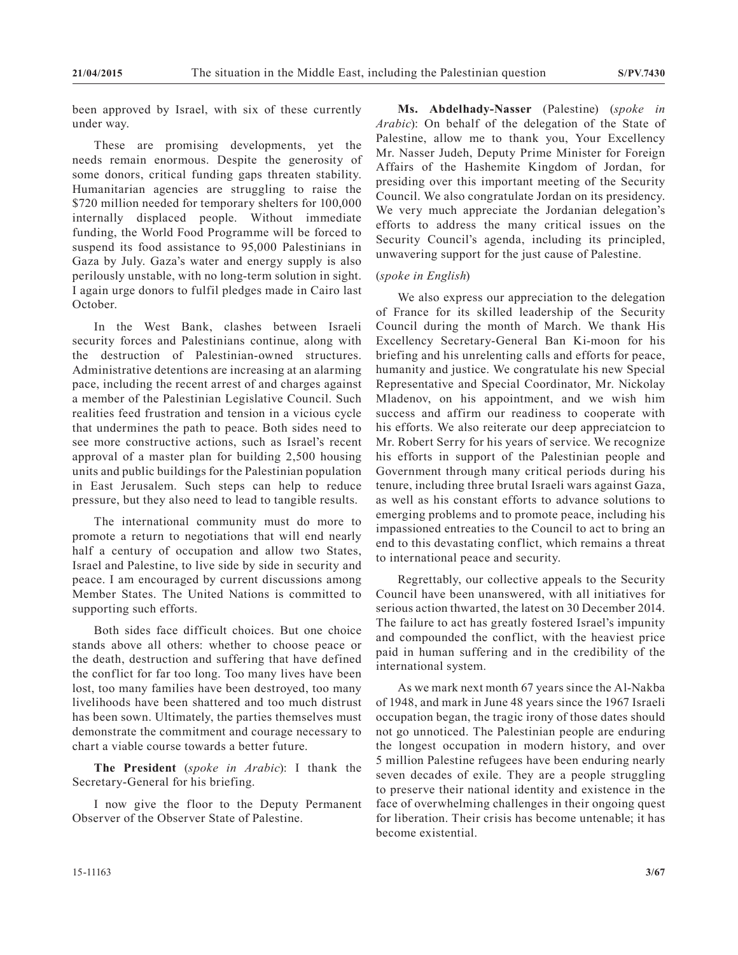been approved by Israel, with six of these currently under way.

These are promising developments, yet the needs remain enormous. Despite the generosity of some donors, critical funding gaps threaten stability. Humanitarian agencies are struggling to raise the \$720 million needed for temporary shelters for 100,000 internally displaced people. Without immediate funding, the World Food Programme will be forced to suspend its food assistance to 95,000 Palestinians in Gaza by July. Gaza's water and energy supply is also perilously unstable, with no long-term solution in sight. I again urge donors to fulfil pledges made in Cairo last October.

In the West Bank, clashes between Israeli security forces and Palestinians continue, along with the destruction of Palestinian-owned structures. Administrative detentions are increasing at an alarming pace, including the recent arrest of and charges against a member of the Palestinian Legislative Council. Such realities feed frustration and tension in a vicious cycle that undermines the path to peace. Both sides need to see more constructive actions, such as Israel's recent approval of a master plan for building 2,500 housing units and public buildings for the Palestinian population in East Jerusalem. Such steps can help to reduce pressure, but they also need to lead to tangible results.

The international community must do more to promote a return to negotiations that will end nearly half a century of occupation and allow two States, Israel and Palestine, to live side by side in security and peace. I am encouraged by current discussions among Member States. The United Nations is committed to supporting such efforts.

Both sides face difficult choices. But one choice stands above all others: whether to choose peace or the death, destruction and suffering that have defined the conflict for far too long. Too many lives have been lost, too many families have been destroyed, too many livelihoods have been shattered and too much distrust has been sown. Ultimately, the parties themselves must demonstrate the commitment and courage necessary to chart a viable course towards a better future.

**The President** (*spoke in Arabic*): I thank the Secretary-General for his briefing.

I now give the floor to the Deputy Permanent Observer of the Observer State of Palestine.

**Ms. Abdelhady-Nasser** (Palestine) (*spoke in Arabic*): On behalf of the delegation of the State of Palestine, allow me to thank you, Your Excellency Mr. Nasser Judeh, Deputy Prime Minister for Foreign Affairs of the Hashemite Kingdom of Jordan, for presiding over this important meeting of the Security Council. We also congratulate Jordan on its presidency. We very much appreciate the Jordanian delegation's efforts to address the many critical issues on the Security Council's agenda, including its principled, unwavering support for the just cause of Palestine.

## (*spoke in English*)

We also express our appreciation to the delegation of France for its skilled leadership of the Security Council during the month of March. We thank His Excellency Secretary-General Ban Ki-moon for his briefing and his unrelenting calls and efforts for peace, humanity and justice. We congratulate his new Special Representative and Special Coordinator, Mr. Nickolay Mladenov, on his appointment, and we wish him success and affirm our readiness to cooperate with his efforts. We also reiterate our deep appreciatcion to Mr. Robert Serry for his years of service. We recognize his efforts in support of the Palestinian people and Government through many critical periods during his tenure, including three brutal Israeli wars against Gaza, as well as his constant efforts to advance solutions to emerging problems and to promote peace, including his impassioned entreaties to the Council to act to bring an end to this devastating conflict, which remains a threat to international peace and security.

Regrettably, our collective appeals to the Security Council have been unanswered, with all initiatives for serious action thwarted, the latest on 30 December 2014. The failure to act has greatly fostered Israel's impunity and compounded the conflict, with the heaviest price paid in human suffering and in the credibility of the international system.

As we mark next month 67 years since the Al-Nakba of 1948, and mark in June 48 years since the 1967 Israeli occupation began, the tragic irony of those dates should not go unnoticed. The Palestinian people are enduring the longest occupation in modern history, and over 5 million Palestine refugees have been enduring nearly seven decades of exile. They are a people struggling to preserve their national identity and existence in the face of overwhelming challenges in their ongoing quest for liberation. Their crisis has become untenable; it has become existential.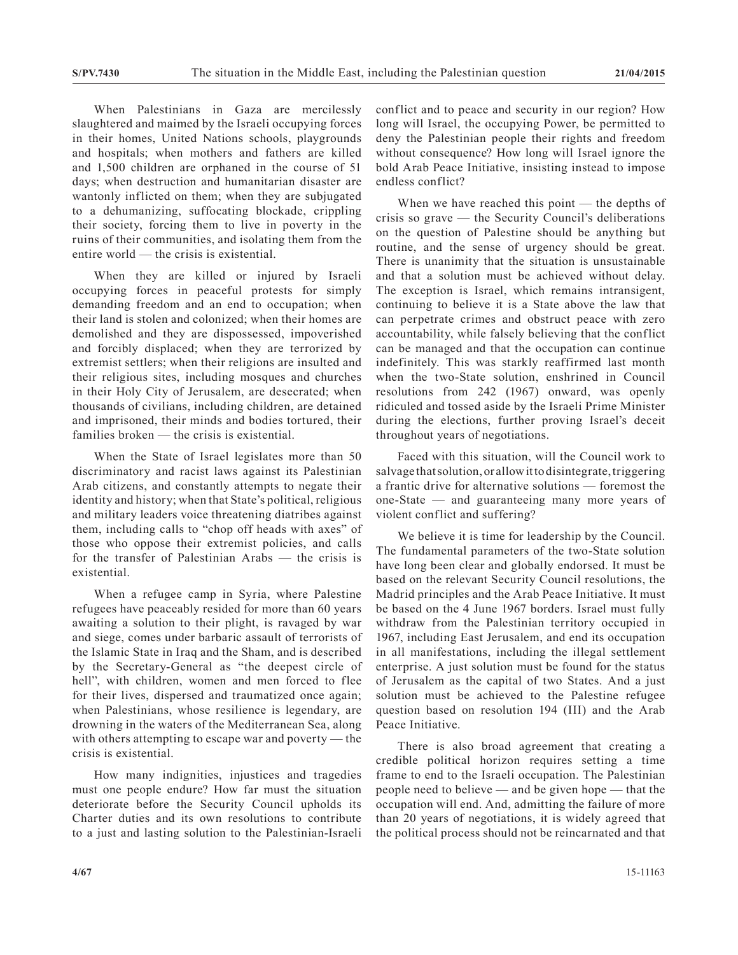When Palestinians in Gaza are mercilessly slaughtered and maimed by the Israeli occupying forces in their homes, United Nations schools, playgrounds and hospitals; when mothers and fathers are killed and 1,500 children are orphaned in the course of 51 days; when destruction and humanitarian disaster are wantonly inflicted on them; when they are subjugated to a dehumanizing, suffocating blockade, crippling their society, forcing them to live in poverty in the ruins of their communities, and isolating them from the entire world — the crisis is existential.

When they are killed or injured by Israeli occupying forces in peaceful protests for simply demanding freedom and an end to occupation; when their land is stolen and colonized; when their homes are demolished and they are dispossessed, impoverished and forcibly displaced; when they are terrorized by extremist settlers; when their religions are insulted and their religious sites, including mosques and churches in their Holy City of Jerusalem, are desecrated; when thousands of civilians, including children, are detained and imprisoned, their minds and bodies tortured, their families broken — the crisis is existential.

When the State of Israel legislates more than 50 discriminatory and racist laws against its Palestinian Arab citizens, and constantly attempts to negate their identity and history; when that State's political, religious and military leaders voice threatening diatribes against them, including calls to "chop off heads with axes" of those who oppose their extremist policies, and calls for the transfer of Palestinian Arabs — the crisis is existential.

When a refugee camp in Syria, where Palestine refugees have peaceably resided for more than 60 years awaiting a solution to their plight, is ravaged by war and siege, comes under barbaric assault of terrorists of the Islamic State in Iraq and the Sham, and is described by the Secretary-General as "the deepest circle of hell", with children, women and men forced to flee for their lives, dispersed and traumatized once again; when Palestinians, whose resilience is legendary, are drowning in the waters of the Mediterranean Sea, along with others attempting to escape war and poverty — the crisis is existential.

How many indignities, injustices and tragedies must one people endure? How far must the situation deteriorate before the Security Council upholds its Charter duties and its own resolutions to contribute to a just and lasting solution to the Palestinian-Israeli conflict and to peace and security in our region? How long will Israel, the occupying Power, be permitted to deny the Palestinian people their rights and freedom without consequence? How long will Israel ignore the bold Arab Peace Initiative, insisting instead to impose endless conflict?

When we have reached this point — the depths of crisis so grave — the Security Council's deliberations on the question of Palestine should be anything but routine, and the sense of urgency should be great. There is unanimity that the situation is unsustainable and that a solution must be achieved without delay. The exception is Israel, which remains intransigent, continuing to believe it is a State above the law that can perpetrate crimes and obstruct peace with zero accountability, while falsely believing that the conflict can be managed and that the occupation can continue indefinitely. This was starkly reaffirmed last month when the two-State solution, enshrined in Council resolutions from 242 (1967) onward, was openly ridiculed and tossed aside by the Israeli Prime Minister during the elections, further proving Israel's deceit throughout years of negotiations.

Faced with this situation, will the Council work to salvage that solution, or allow it to disintegrate, triggering a frantic drive for alternative solutions — foremost the one-State — and guaranteeing many more years of violent conflict and suffering?

We believe it is time for leadership by the Council. The fundamental parameters of the two-State solution have long been clear and globally endorsed. It must be based on the relevant Security Council resolutions, the Madrid principles and the Arab Peace Initiative. It must be based on the 4 June 1967 borders. Israel must fully withdraw from the Palestinian territory occupied in 1967, including East Jerusalem, and end its occupation in all manifestations, including the illegal settlement enterprise. A just solution must be found for the status of Jerusalem as the capital of two States. And a just solution must be achieved to the Palestine refugee question based on resolution 194 (III) and the Arab Peace Initiative.

There is also broad agreement that creating a credible political horizon requires setting a time frame to end to the Israeli occupation. The Palestinian people need to believe — and be given hope — that the occupation will end. And, admitting the failure of more than 20 years of negotiations, it is widely agreed that the political process should not be reincarnated and that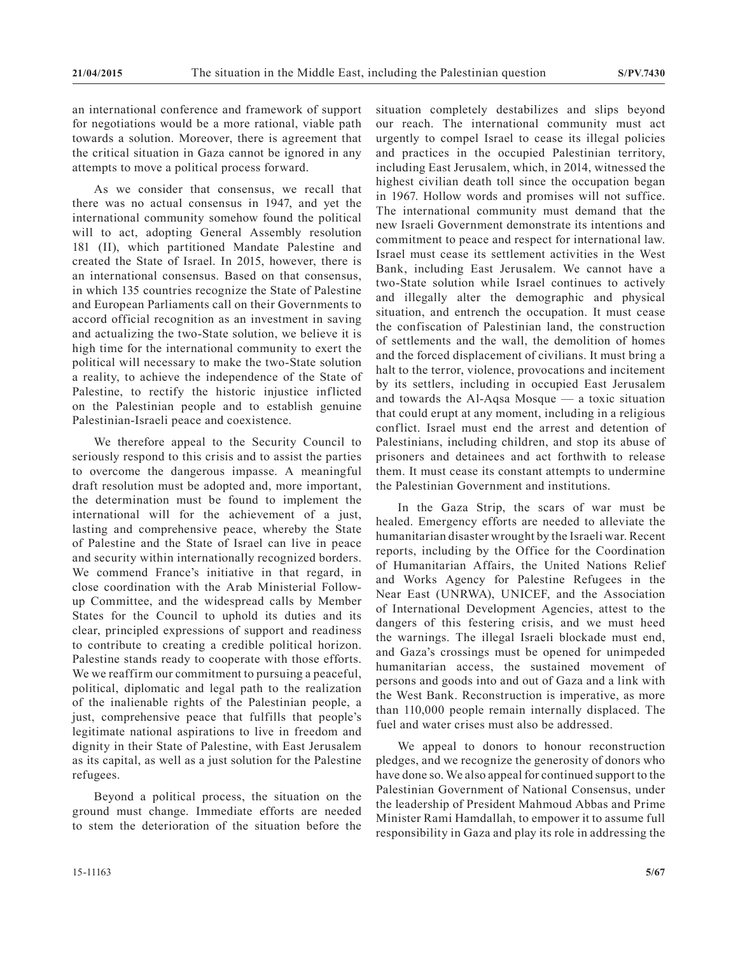an international conference and framework of support for negotiations would be a more rational, viable path towards a solution. Moreover, there is agreement that the critical situation in Gaza cannot be ignored in any attempts to move a political process forward.

As we consider that consensus, we recall that there was no actual consensus in 1947, and yet the international community somehow found the political will to act, adopting General Assembly resolution 181 (II), which partitioned Mandate Palestine and created the State of Israel. In 2015, however, there is an international consensus. Based on that consensus, in which 135 countries recognize the State of Palestine and European Parliaments call on their Governments to accord official recognition as an investment in saving and actualizing the two-State solution, we believe it is high time for the international community to exert the political will necessary to make the two-State solution a reality, to achieve the independence of the State of Palestine, to rectify the historic injustice inflicted on the Palestinian people and to establish genuine Palestinian-Israeli peace and coexistence.

We therefore appeal to the Security Council to seriously respond to this crisis and to assist the parties to overcome the dangerous impasse. A meaningful draft resolution must be adopted and, more important, the determination must be found to implement the international will for the achievement of a just, lasting and comprehensive peace, whereby the State of Palestine and the State of Israel can live in peace and security within internationally recognized borders. We commend France's initiative in that regard, in close coordination with the Arab Ministerial Followup Committee, and the widespread calls by Member States for the Council to uphold its duties and its clear, principled expressions of support and readiness to contribute to creating a credible political horizon. Palestine stands ready to cooperate with those efforts. We we reaffirm our commitment to pursuing a peaceful, political, diplomatic and legal path to the realization of the inalienable rights of the Palestinian people, a just, comprehensive peace that fulfills that people's legitimate national aspirations to live in freedom and dignity in their State of Palestine, with East Jerusalem as its capital, as well as a just solution for the Palestine refugees.

Beyond a political process, the situation on the ground must change. Immediate efforts are needed to stem the deterioration of the situation before the situation completely destabilizes and slips beyond our reach. The international community must act urgently to compel Israel to cease its illegal policies and practices in the occupied Palestinian territory, including East Jerusalem, which, in 2014, witnessed the highest civilian death toll since the occupation began in 1967. Hollow words and promises will not suffice. The international community must demand that the new Israeli Government demonstrate its intentions and commitment to peace and respect for international law. Israel must cease its settlement activities in the West Bank, including East Jerusalem. We cannot have a two-State solution while Israel continues to actively and illegally alter the demographic and physical situation, and entrench the occupation. It must cease the confiscation of Palestinian land, the construction of settlements and the wall, the demolition of homes and the forced displacement of civilians. It must bring a halt to the terror, violence, provocations and incitement by its settlers, including in occupied East Jerusalem and towards the Al-Aqsa Mosque — a toxic situation that could erupt at any moment, including in a religious conflict. Israel must end the arrest and detention of Palestinians, including children, and stop its abuse of prisoners and detainees and act forthwith to release them. It must cease its constant attempts to undermine the Palestinian Government and institutions.

In the Gaza Strip, the scars of war must be healed. Emergency efforts are needed to alleviate the humanitarian disaster wrought by the Israeli war. Recent reports, including by the Office for the Coordination of Humanitarian Affairs, the United Nations Relief and Works Agency for Palestine Refugees in the Near East (UNRWA), UNICEF, and the Association of International Development Agencies, attest to the dangers of this festering crisis, and we must heed the warnings. The illegal Israeli blockade must end, and Gaza's crossings must be opened for unimpeded humanitarian access, the sustained movement of persons and goods into and out of Gaza and a link with the West Bank. Reconstruction is imperative, as more than 110,000 people remain internally displaced. The fuel and water crises must also be addressed.

We appeal to donors to honour reconstruction pledges, and we recognize the generosity of donors who have done so. We also appeal for continued support to the Palestinian Government of National Consensus, under the leadership of President Mahmoud Abbas and Prime Minister Rami Hamdallah, to empower it to assume full responsibility in Gaza and play its role in addressing the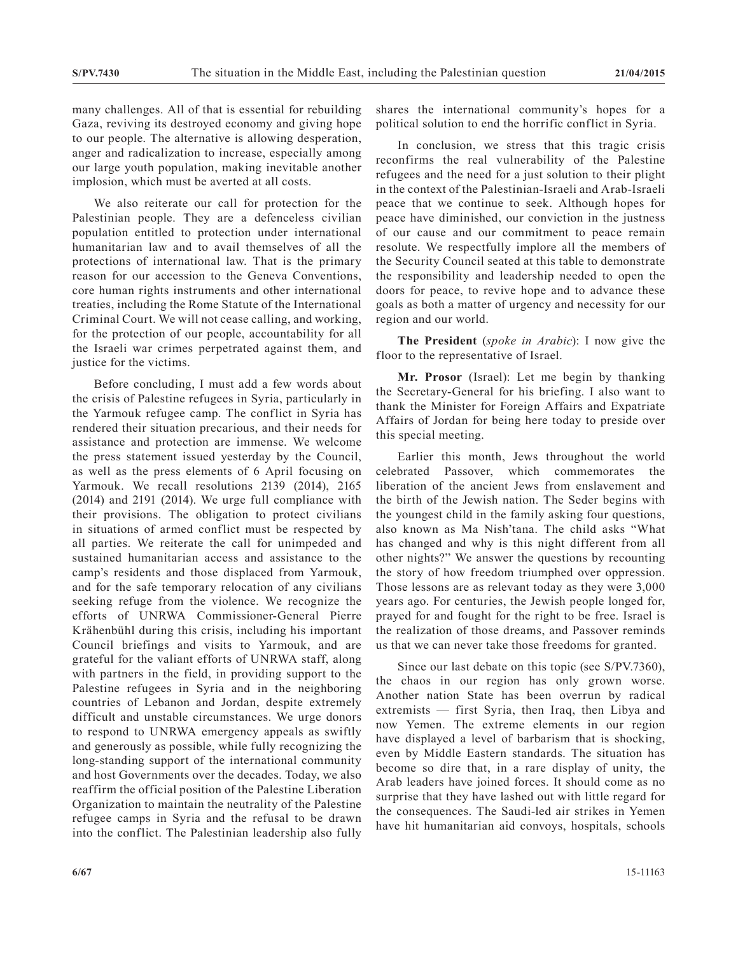many challenges. All of that is essential for rebuilding Gaza, reviving its destroyed economy and giving hope to our people. The alternative is allowing desperation, anger and radicalization to increase, especially among our large youth population, making inevitable another implosion, which must be averted at all costs.

We also reiterate our call for protection for the Palestinian people. They are a defenceless civilian population entitled to protection under international humanitarian law and to avail themselves of all the protections of international law. That is the primary reason for our accession to the Geneva Conventions, core human rights instruments and other international treaties, including the Rome Statute of the International Criminal Court. We will not cease calling, and working, for the protection of our people, accountability for all the Israeli war crimes perpetrated against them, and justice for the victims.

Before concluding, I must add a few words about the crisis of Palestine refugees in Syria, particularly in the Yarmouk refugee camp. The conflict in Syria has rendered their situation precarious, and their needs for assistance and protection are immense. We welcome the press statement issued yesterday by the Council, as well as the press elements of 6 April focusing on Yarmouk. We recall resolutions 2139 (2014), 2165 (2014) and 2191 (2014). We urge full compliance with their provisions. The obligation to protect civilians in situations of armed conflict must be respected by all parties. We reiterate the call for unimpeded and sustained humanitarian access and assistance to the camp's residents and those displaced from Yarmouk, and for the safe temporary relocation of any civilians seeking refuge from the violence. We recognize the efforts of UNRWA Commissioner-General Pierre Krähenbühl during this crisis, including his important Council briefings and visits to Yarmouk, and are grateful for the valiant efforts of UNRWA staff, along with partners in the field, in providing support to the Palestine refugees in Syria and in the neighboring countries of Lebanon and Jordan, despite extremely difficult and unstable circumstances. We urge donors to respond to UNRWA emergency appeals as swiftly and generously as possible, while fully recognizing the long-standing support of the international community and host Governments over the decades. Today, we also reaffirm the official position of the Palestine Liberation Organization to maintain the neutrality of the Palestine refugee camps in Syria and the refusal to be drawn into the conflict. The Palestinian leadership also fully

shares the international community's hopes for a political solution to end the horrific conflict in Syria.

In conclusion, we stress that this tragic crisis reconfirms the real vulnerability of the Palestine refugees and the need for a just solution to their plight in the context of the Palestinian-Israeli and Arab-Israeli peace that we continue to seek. Although hopes for peace have diminished, our conviction in the justness of our cause and our commitment to peace remain resolute. We respectfully implore all the members of the Security Council seated at this table to demonstrate the responsibility and leadership needed to open the doors for peace, to revive hope and to advance these goals as both a matter of urgency and necessity for our region and our world.

**The President** (*spoke in Arabic*): I now give the floor to the representative of Israel.

**Mr. Prosor** (Israel): Let me begin by thanking the Secretary-General for his briefing. I also want to thank the Minister for Foreign Affairs and Expatriate Affairs of Jordan for being here today to preside over this special meeting.

Earlier this month, Jews throughout the world celebrated Passover, which commemorates the liberation of the ancient Jews from enslavement and the birth of the Jewish nation. The Seder begins with the youngest child in the family asking four questions, also known as Ma Nish'tana. The child asks "What has changed and why is this night different from all other nights?" We answer the questions by recounting the story of how freedom triumphed over oppression. Those lessons are as relevant today as they were 3,000 years ago. For centuries, the Jewish people longed for, prayed for and fought for the right to be free. Israel is the realization of those dreams, and Passover reminds us that we can never take those freedoms for granted.

Since our last debate on this topic (see S/PV.7360), the chaos in our region has only grown worse. Another nation State has been overrun by radical extremists — first Syria, then Iraq, then Libya and now Yemen. The extreme elements in our region have displayed a level of barbarism that is shocking, even by Middle Eastern standards. The situation has become so dire that, in a rare display of unity, the Arab leaders have joined forces. It should come as no surprise that they have lashed out with little regard for the consequences. The Saudi-led air strikes in Yemen have hit humanitarian aid convoys, hospitals, schools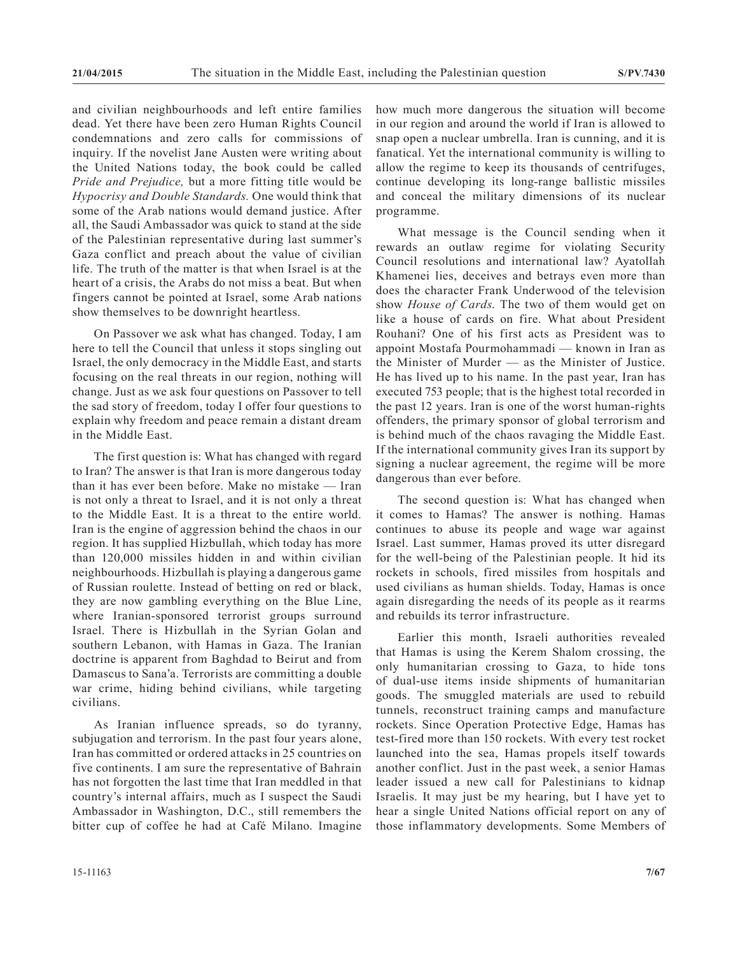and civilian neighbourhoods and left entire families dead. Yet there have been zero Human Rights Council condemnations and zero calls for commissions of inquiry. If the novelist Jane Austen were writing about the United Nations today, the book could be called *Pride and Prejudice,* but a more fitting title would be *Hypocrisy and Double Standards.* One would think that some of the Arab nations would demand justice. After all, the Saudi Ambassador was quick to stand at the side of the Palestinian representative during last summer's Gaza conflict and preach about the value of civilian life. The truth of the matter is that when Israel is at the heart of a crisis, the Arabs do not miss a beat. But when fingers cannot be pointed at Israel, some Arab nations show themselves to be downright heartless.

On Passover we ask what has changed. Today, I am here to tell the Council that unless it stops singling out Israel, the only democracy in the Middle East, and starts focusing on the real threats in our region, nothing will change. Just as we ask four questions on Passover to tell the sad story of freedom, today I offer four questions to explain why freedom and peace remain a distant dream in the Middle East.

The first question is: What has changed with regard to Iran? The answer is that Iran is more dangerous today than it has ever been before. Make no mistake — Iran is not only a threat to Israel, and it is not only a threat to the Middle East. It is a threat to the entire world. Iran is the engine of aggression behind the chaos in our region. It has supplied Hizbullah, which today has more than 120,000 missiles hidden in and within civilian neighbourhoods. Hizbullah is playing a dangerous game of Russian roulette. Instead of betting on red or black, they are now gambling everything on the Blue Line, where Iranian-sponsored terrorist groups surround Israel. There is Hizbullah in the Syrian Golan and southern Lebanon, with Hamas in Gaza. The Iranian doctrine is apparent from Baghdad to Beirut and from Damascus to Sana'a. Terrorists are committing a double war crime, hiding behind civilians, while targeting civilians.

As Iranian influence spreads, so do tyranny, subjugation and terrorism. In the past four years alone, Iran has committed or ordered attacks in 25 countries on five continents. I am sure the representative of Bahrain has not forgotten the last time that Iran meddled in that country's internal affairs, much as I suspect the Saudi Ambassador in Washington, D.C., still remembers the bitter cup of coffee he had at Café Milano. Imagine

how much more dangerous the situation will become in our region and around the world if Iran is allowed to snap open a nuclear umbrella. Iran is cunning, and it is fanatical. Yet the international community is willing to allow the regime to keep its thousands of centrifuges, continue developing its long-range ballistic missiles and conceal the military dimensions of its nuclear programme.

What message is the Council sending when it rewards an outlaw regime for violating Security Council resolutions and international law? Ayatollah Khamenei lies, deceives and betrays even more than does the character Frank Underwood of the television show *House of Cards*. The two of them would get on like a house of cards on fire. What about President Rouhani? One of his first acts as President was to appoint Mostafa Pourmohammadi — known in Iran as the Minister of Murder — as the Minister of Justice. He has lived up to his name. In the past year, Iran has executed 753 people; that is the highest total recorded in the past 12 years. Iran is one of the worst human-rights offenders, the primary sponsor of global terrorism and is behind much of the chaos ravaging the Middle East. If the international community gives Iran its support by signing a nuclear agreement, the regime will be more dangerous than ever before.

The second question is: What has changed when it comes to Hamas? The answer is nothing. Hamas continues to abuse its people and wage war against Israel. Last summer, Hamas proved its utter disregard for the well-being of the Palestinian people. It hid its rockets in schools, fired missiles from hospitals and used civilians as human shields. Today, Hamas is once again disregarding the needs of its people as it rearms and rebuilds its terror infrastructure.

Earlier this month, Israeli authorities revealed that Hamas is using the Kerem Shalom crossing, the only humanitarian crossing to Gaza, to hide tons of dual-use items inside shipments of humanitarian goods. The smuggled materials are used to rebuild tunnels, reconstruct training camps and manufacture rockets. Since Operation Protective Edge, Hamas has test-fired more than 150 rockets. With every test rocket launched into the sea, Hamas propels itself towards another conflict. Just in the past week, a senior Hamas leader issued a new call for Palestinians to kidnap Israelis. It may just be my hearing, but I have yet to hear a single United Nations official report on any of those inflammatory developments. Some Members of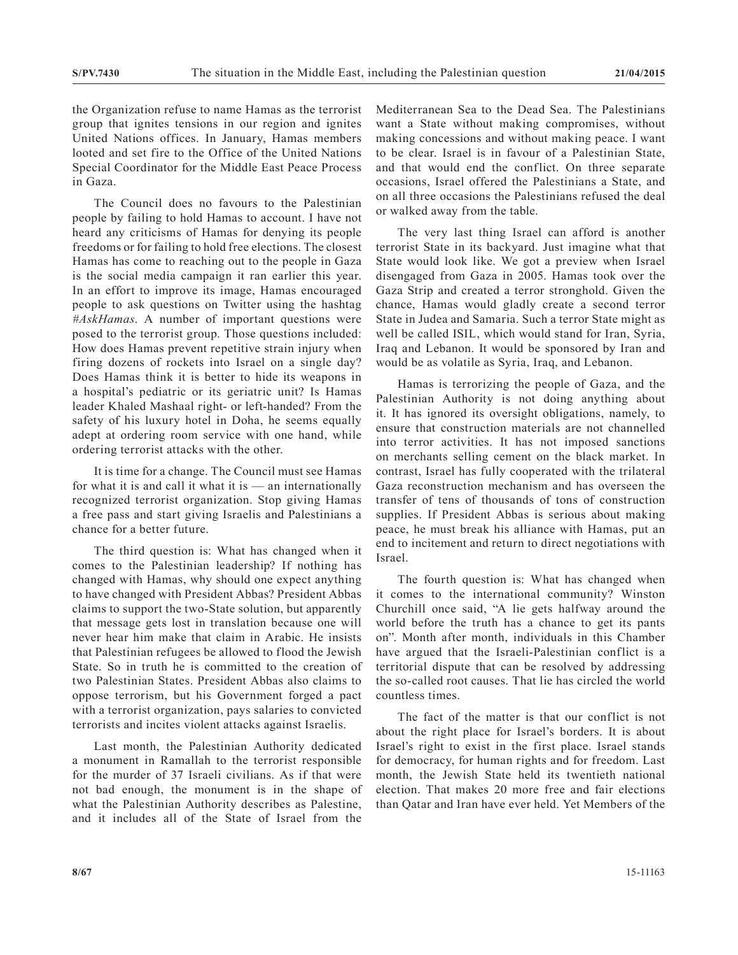the Organization refuse to name Hamas as the terrorist group that ignites tensions in our region and ignites United Nations offices. In January, Hamas members looted and set fire to the Office of the United Nations Special Coordinator for the Middle East Peace Process in Gaza.

The Council does no favours to the Palestinian people by failing to hold Hamas to account. I have not heard any criticisms of Hamas for denying its people freedoms or for failing to hold free elections. The closest Hamas has come to reaching out to the people in Gaza is the social media campaign it ran earlier this year. In an effort to improve its image, Hamas encouraged people to ask questions on Twitter using the hashtag *#AskHamas*. A number of important questions were posed to the terrorist group. Those questions included: How does Hamas prevent repetitive strain injury when firing dozens of rockets into Israel on a single day? Does Hamas think it is better to hide its weapons in a hospital's pediatric or its geriatric unit? Is Hamas leader Khaled Mashaal right- or left-handed? From the safety of his luxury hotel in Doha, he seems equally adept at ordering room service with one hand, while ordering terrorist attacks with the other.

It is time for a change. The Council must see Hamas for what it is and call it what it is — an internationally recognized terrorist organization. Stop giving Hamas a free pass and start giving Israelis and Palestinians a chance for a better future.

The third question is: What has changed when it comes to the Palestinian leadership? If nothing has changed with Hamas, why should one expect anything to have changed with President Abbas? President Abbas claims to support the two-State solution, but apparently that message gets lost in translation because one will never hear him make that claim in Arabic. He insists that Palestinian refugees be allowed to flood the Jewish State. So in truth he is committed to the creation of two Palestinian States. President Abbas also claims to oppose terrorism, but his Government forged a pact with a terrorist organization, pays salaries to convicted terrorists and incites violent attacks against Israelis.

Last month, the Palestinian Authority dedicated a monument in Ramallah to the terrorist responsible for the murder of 37 Israeli civilians. As if that were not bad enough, the monument is in the shape of what the Palestinian Authority describes as Palestine, and it includes all of the State of Israel from the

Mediterranean Sea to the Dead Sea. The Palestinians want a State without making compromises, without making concessions and without making peace. I want to be clear. Israel is in favour of a Palestinian State, and that would end the conflict. On three separate occasions, Israel offered the Palestinians a State, and on all three occasions the Palestinians refused the deal or walked away from the table.

The very last thing Israel can afford is another terrorist State in its backyard. Just imagine what that State would look like. We got a preview when Israel disengaged from Gaza in 2005. Hamas took over the Gaza Strip and created a terror stronghold. Given the chance, Hamas would gladly create a second terror State in Judea and Samaria. Such a terror State might as well be called ISIL, which would stand for Iran, Syria, Iraq and Lebanon. It would be sponsored by Iran and would be as volatile as Syria, Iraq, and Lebanon.

Hamas is terrorizing the people of Gaza, and the Palestinian Authority is not doing anything about it. It has ignored its oversight obligations, namely, to ensure that construction materials are not channelled into terror activities. It has not imposed sanctions on merchants selling cement on the black market. In contrast, Israel has fully cooperated with the trilateral Gaza reconstruction mechanism and has overseen the transfer of tens of thousands of tons of construction supplies. If President Abbas is serious about making peace, he must break his alliance with Hamas, put an end to incitement and return to direct negotiations with Israel.

The fourth question is: What has changed when it comes to the international community? Winston Churchill once said, "A lie gets halfway around the world before the truth has a chance to get its pants on". Month after month, individuals in this Chamber have argued that the Israeli-Palestinian conflict is a territorial dispute that can be resolved by addressing the so-called root causes. That lie has circled the world countless times.

The fact of the matter is that our conflict is not about the right place for Israel's borders. It is about Israel's right to exist in the first place. Israel stands for democracy, for human rights and for freedom. Last month, the Jewish State held its twentieth national election. That makes 20 more free and fair elections than Qatar and Iran have ever held. Yet Members of the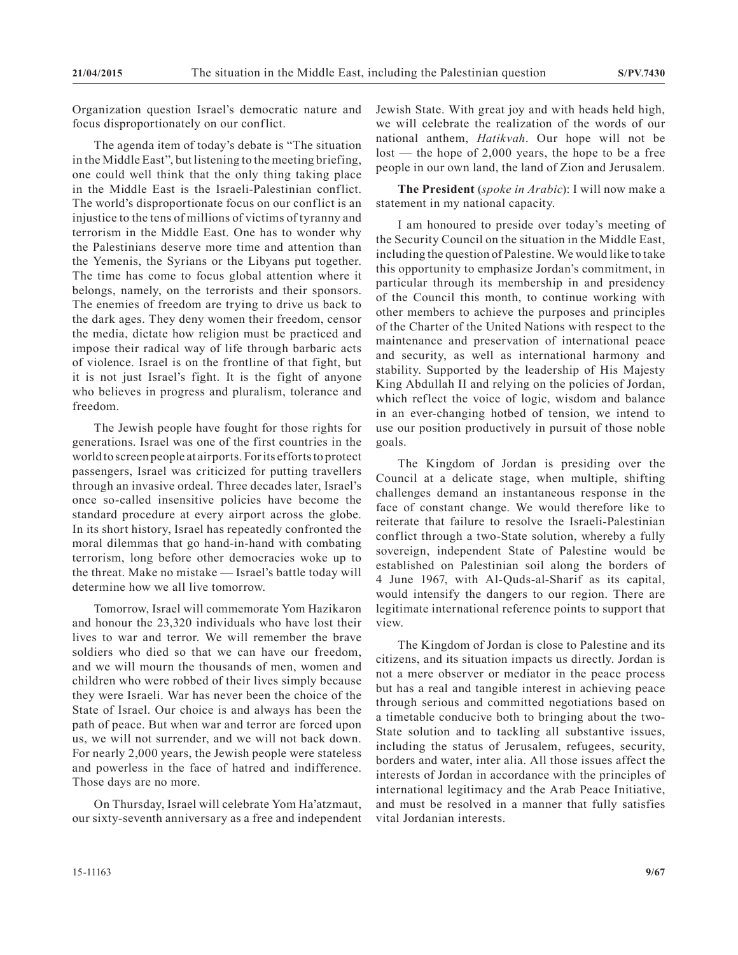Organization question Israel's democratic nature and focus disproportionately on our conflict.

The agenda item of today's debate is "The situation in the Middle East", but listening to the meeting briefing, one could well think that the only thing taking place in the Middle East is the Israeli-Palestinian conflict. The world's disproportionate focus on our conflict is an injustice to the tens of millions of victims of tyranny and terrorism in the Middle East. One has to wonder why the Palestinians deserve more time and attention than the Yemenis, the Syrians or the Libyans put together. The time has come to focus global attention where it belongs, namely, on the terrorists and their sponsors. The enemies of freedom are trying to drive us back to the dark ages. They deny women their freedom, censor the media, dictate how religion must be practiced and impose their radical way of life through barbaric acts of violence. Israel is on the frontline of that fight, but it is not just Israel's fight. It is the fight of anyone who believes in progress and pluralism, tolerance and freedom.

The Jewish people have fought for those rights for generations. Israel was one of the first countries in the world to screen people at airports. For its efforts to protect passengers, Israel was criticized for putting travellers through an invasive ordeal. Three decades later, Israel's once so-called insensitive policies have become the standard procedure at every airport across the globe. In its short history, Israel has repeatedly confronted the moral dilemmas that go hand-in-hand with combating terrorism, long before other democracies woke up to the threat. Make no mistake — Israel's battle today will determine how we all live tomorrow.

Tomorrow, Israel will commemorate Yom Hazikaron and honour the 23,320 individuals who have lost their lives to war and terror. We will remember the brave soldiers who died so that we can have our freedom, and we will mourn the thousands of men, women and children who were robbed of their lives simply because they were Israeli. War has never been the choice of the State of Israel. Our choice is and always has been the path of peace. But when war and terror are forced upon us, we will not surrender, and we will not back down. For nearly 2,000 years, the Jewish people were stateless and powerless in the face of hatred and indifference. Those days are no more.

On Thursday, Israel will celebrate Yom Ha'atzmaut, our sixty-seventh anniversary as a free and independent Jewish State. With great joy and with heads held high, we will celebrate the realization of the words of our national anthem, *Hatikvah*. Our hope will not be lost — the hope of 2,000 years, the hope to be a free people in our own land, the land of Zion and Jerusalem.

**The President** (*spoke in Arabic*): I will now make a statement in my national capacity.

I am honoured to preside over today's meeting of the Security Council on the situation in the Middle East, including the question of Palestine. We would like to take this opportunity to emphasize Jordan's commitment, in particular through its membership in and presidency of the Council this month, to continue working with other members to achieve the purposes and principles of the Charter of the United Nations with respect to the maintenance and preservation of international peace and security, as well as international harmony and stability. Supported by the leadership of His Majesty King Abdullah II and relying on the policies of Jordan, which reflect the voice of logic, wisdom and balance in an ever-changing hotbed of tension, we intend to use our position productively in pursuit of those noble goals.

The Kingdom of Jordan is presiding over the Council at a delicate stage, when multiple, shifting challenges demand an instantaneous response in the face of constant change. We would therefore like to reiterate that failure to resolve the Israeli-Palestinian conflict through a two-State solution, whereby a fully sovereign, independent State of Palestine would be established on Palestinian soil along the borders of 4 June 1967, with Al-Quds-al-Sharif as its capital, would intensify the dangers to our region. There are legitimate international reference points to support that view.

The Kingdom of Jordan is close to Palestine and its citizens, and its situation impacts us directly. Jordan is not a mere observer or mediator in the peace process but has a real and tangible interest in achieving peace through serious and committed negotiations based on a timetable conducive both to bringing about the two-State solution and to tackling all substantive issues, including the status of Jerusalem, refugees, security, borders and water, inter alia. All those issues affect the interests of Jordan in accordance with the principles of international legitimacy and the Arab Peace Initiative, and must be resolved in a manner that fully satisfies vital Jordanian interests.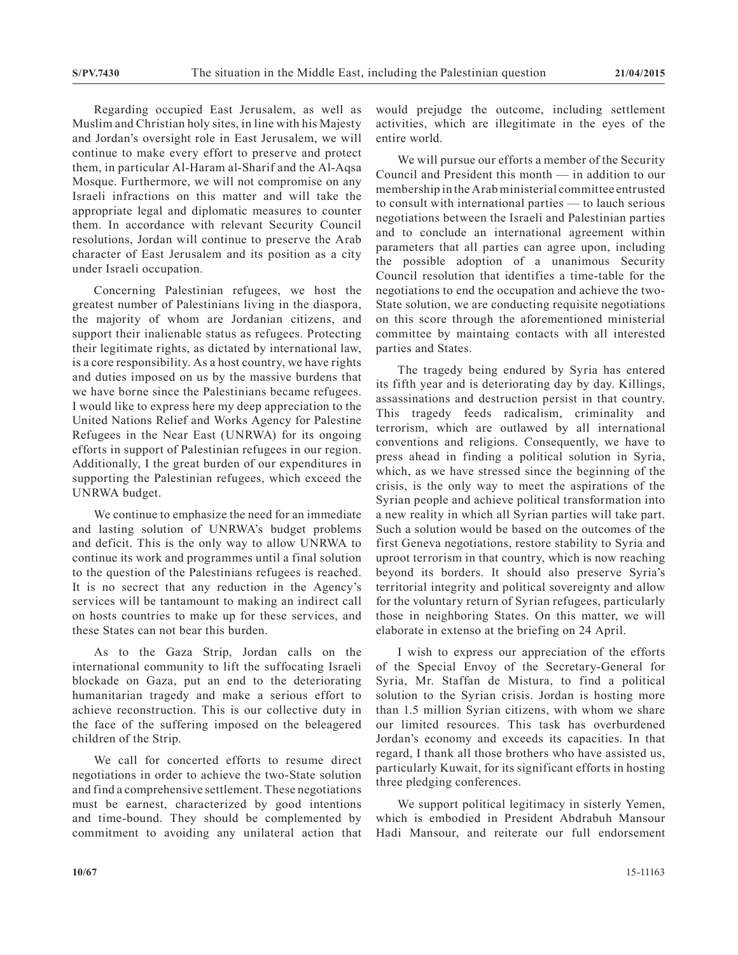Regarding occupied East Jerusalem, as well as Muslim and Christian holy sites, in line with his Majesty and Jordan's oversight role in East Jerusalem, we will continue to make every effort to preserve and protect them, in particular Al-Haram al-Sharif and the Al-Aqsa Mosque. Furthermore, we will not compromise on any Israeli infractions on this matter and will take the appropriate legal and diplomatic measures to counter them. In accordance with relevant Security Council resolutions, Jordan will continue to preserve the Arab character of East Jerusalem and its position as a city under Israeli occupation.

Concerning Palestinian refugees, we host the greatest number of Palestinians living in the diaspora, the majority of whom are Jordanian citizens, and support their inalienable status as refugees. Protecting their legitimate rights, as dictated by international law, is a core responsibility. As a host country, we have rights and duties imposed on us by the massive burdens that we have borne since the Palestinians became refugees. I would like to express here my deep appreciation to the United Nations Relief and Works Agency for Palestine Refugees in the Near East (UNRWA) for its ongoing efforts in support of Palestinian refugees in our region. Additionally, I the great burden of our expenditures in supporting the Palestinian refugees, which exceed the UNRWA budget.

We continue to emphasize the need for an immediate and lasting solution of UNRWA's budget problems and deficit. This is the only way to allow UNRWA to continue its work and programmes until a final solution to the question of the Palestinians refugees is reached. It is no secrect that any reduction in the Agency's services will be tantamount to making an indirect call on hosts countries to make up for these services, and these States can not bear this burden.

As to the Gaza Strip, Jordan calls on the international community to lift the suffocating Israeli blockade on Gaza, put an end to the deteriorating humanitarian tragedy and make a serious effort to achieve reconstruction. This is our collective duty in the face of the suffering imposed on the beleagered children of the Strip.

We call for concerted efforts to resume direct negotiations in order to achieve the two-State solution and find a comprehensive settlement. These negotiations must be earnest, characterized by good intentions and time-bound. They should be complemented by commitment to avoiding any unilateral action that

would prejudge the outcome, including settlement activities, which are illegitimate in the eyes of the entire world.

We will pursue our efforts a member of the Security Council and President this month — in addition to our membership in the Arab ministerial committee entrusted to consult with international parties — to lauch serious negotiations between the Israeli and Palestinian parties and to conclude an international agreement within parameters that all parties can agree upon, including the possible adoption of a unanimous Security Council resolution that identifies a time-table for the negotiations to end the occupation and achieve the two-State solution, we are conducting requisite negotiations on this score through the aforementioned ministerial committee by maintaing contacts with all interested parties and States.

The tragedy being endured by Syria has entered its fifth year and is deteriorating day by day. Killings, assassinations and destruction persist in that country. This tragedy feeds radicalism, criminality and terrorism, which are outlawed by all international conventions and religions. Consequently, we have to press ahead in finding a political solution in Syria, which, as we have stressed since the beginning of the crisis, is the only way to meet the aspirations of the Syrian people and achieve political transformation into a new reality in which all Syrian parties will take part. Such a solution would be based on the outcomes of the first Geneva negotiations, restore stability to Syria and uproot terrorism in that country, which is now reaching beyond its borders. It should also preserve Syria's territorial integrity and political sovereignty and allow for the voluntary return of Syrian refugees, particularly those in neighboring States. On this matter, we will elaborate in extenso at the briefing on 24 April.

I wish to express our appreciation of the efforts of the Special Envoy of the Secretary-General for Syria, Mr. Staffan de Mistura, to find a political solution to the Syrian crisis. Jordan is hosting more than 1.5 million Syrian citizens, with whom we share our limited resources. This task has overburdened Jordan's economy and exceeds its capacities. In that regard, I thank all those brothers who have assisted us, particularly Kuwait, for its significant efforts in hosting three pledging conferences.

We support political legitimacy in sisterly Yemen, which is embodied in President Abdrabuh Mansour Hadi Mansour, and reiterate our full endorsement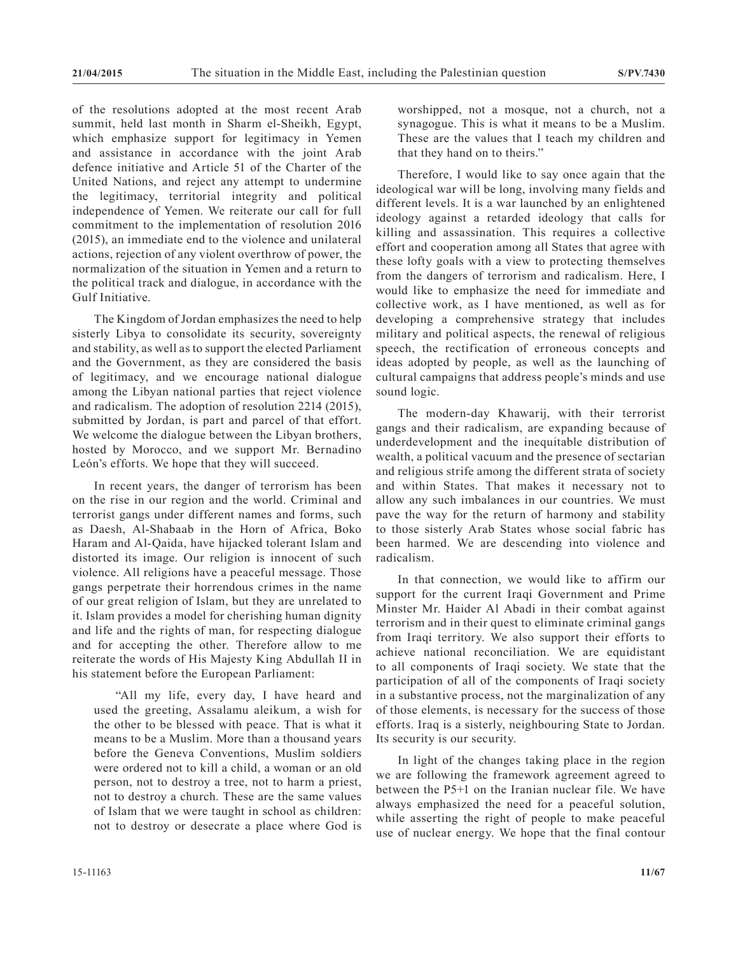of the resolutions adopted at the most recent Arab summit, held last month in Sharm el-Sheikh, Egypt, which emphasize support for legitimacy in Yemen and assistance in accordance with the joint Arab defence initiative and Article 51 of the Charter of the United Nations, and reject any attempt to undermine the legitimacy, territorial integrity and political independence of Yemen. We reiterate our call for full commitment to the implementation of resolution 2016 (2015), an immediate end to the violence and unilateral actions, rejection of any violent overthrow of power, the normalization of the situation in Yemen and a return to the political track and dialogue, in accordance with the Gulf Initiative.

The Kingdom of Jordan emphasizes the need to help sisterly Libya to consolidate its security, sovereignty and stability, as well as to support the elected Parliament and the Government, as they are considered the basis of legitimacy, and we encourage national dialogue among the Libyan national parties that reject violence and radicalism. The adoption of resolution 2214 (2015), submitted by Jordan, is part and parcel of that effort. We welcome the dialogue between the Libyan brothers, hosted by Morocco, and we support Mr. Bernadino León's efforts. We hope that they will succeed.

In recent years, the danger of terrorism has been on the rise in our region and the world. Criminal and terrorist gangs under different names and forms, such as Daesh, Al-Shabaab in the Horn of Africa, Boko Haram and Al-Qaida, have hijacked tolerant Islam and distorted its image. Our religion is innocent of such violence. All religions have a peaceful message. Those gangs perpetrate their horrendous crimes in the name of our great religion of Islam, but they are unrelated to it. Islam provides a model for cherishing human dignity and life and the rights of man, for respecting dialogue and for accepting the other. Therefore allow to me reiterate the words of His Majesty King Abdullah II in his statement before the European Parliament:

"All my life, every day, I have heard and used the greeting, Assalamu aleikum, a wish for the other to be blessed with peace. That is what it means to be a Muslim. More than a thousand years before the Geneva Conventions, Muslim soldiers were ordered not to kill a child, a woman or an old person, not to destroy a tree, not to harm a priest, not to destroy a church. These are the same values of Islam that we were taught in school as children: not to destroy or desecrate a place where God is

worshipped, not a mosque, not a church, not a synagogue. This is what it means to be a Muslim. These are the values that I teach my children and that they hand on to theirs."

Therefore, I would like to say once again that the ideological war will be long, involving many fields and different levels. It is a war launched by an enlightened ideology against a retarded ideology that calls for killing and assassination. This requires a collective effort and cooperation among all States that agree with these lofty goals with a view to protecting themselves from the dangers of terrorism and radicalism. Here, I would like to emphasize the need for immediate and collective work, as I have mentioned, as well as for developing a comprehensive strategy that includes military and political aspects, the renewal of religious speech, the rectification of erroneous concepts and ideas adopted by people, as well as the launching of cultural campaigns that address people's minds and use sound logic.

The modern-day Khawarij, with their terrorist gangs and their radicalism, are expanding because of underdevelopment and the inequitable distribution of wealth, a political vacuum and the presence of sectarian and religious strife among the different strata of society and within States. That makes it necessary not to allow any such imbalances in our countries. We must pave the way for the return of harmony and stability to those sisterly Arab States whose social fabric has been harmed. We are descending into violence and radicalism.

In that connection, we would like to affirm our support for the current Iraqi Government and Prime Minster Mr. Haider Al Abadi in their combat against terrorism and in their quest to eliminate criminal gangs from Iraqi territory. We also support their efforts to achieve national reconciliation. We are equidistant to all components of Iraqi society. We state that the participation of all of the components of Iraqi society in a substantive process, not the marginalization of any of those elements, is necessary for the success of those efforts. Iraq is a sisterly, neighbouring State to Jordan. Its security is our security.

In light of the changes taking place in the region we are following the framework agreement agreed to between the P5+1 on the Iranian nuclear file. We have always emphasized the need for a peaceful solution, while asserting the right of people to make peaceful use of nuclear energy. We hope that the final contour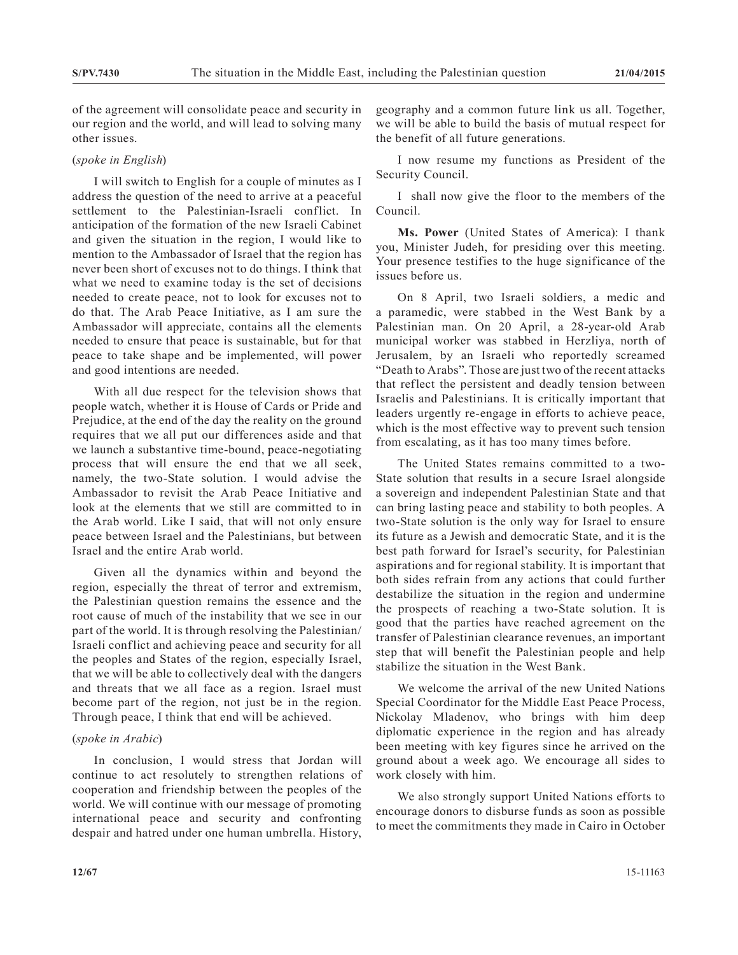of the agreement will consolidate peace and security in our region and the world, and will lead to solving many other issues.

# (*spoke in English*)

I will switch to English for a couple of minutes as I address the question of the need to arrive at a peaceful settlement to the Palestinian-Israeli conflict. In anticipation of the formation of the new Israeli Cabinet and given the situation in the region, I would like to mention to the Ambassador of Israel that the region has never been short of excuses not to do things. I think that what we need to examine today is the set of decisions needed to create peace, not to look for excuses not to do that. The Arab Peace Initiative, as I am sure the Ambassador will appreciate, contains all the elements needed to ensure that peace is sustainable, but for that peace to take shape and be implemented, will power and good intentions are needed.

With all due respect for the television shows that people watch, whether it is House of Cards or Pride and Prejudice, at the end of the day the reality on the ground requires that we all put our differences aside and that we launch a substantive time-bound, peace-negotiating process that will ensure the end that we all seek, namely, the two-State solution. I would advise the Ambassador to revisit the Arab Peace Initiative and look at the elements that we still are committed to in the Arab world. Like I said, that will not only ensure peace between Israel and the Palestinians, but between Israel and the entire Arab world.

Given all the dynamics within and beyond the region, especially the threat of terror and extremism, the Palestinian question remains the essence and the root cause of much of the instability that we see in our part of the world. It is through resolving the Palestinian/ Israeli conflict and achieving peace and security for all the peoples and States of the region, especially Israel, that we will be able to collectively deal with the dangers and threats that we all face as a region. Israel must become part of the region, not just be in the region. Through peace, I think that end will be achieved.

#### (*spoke in Arabic*)

In conclusion, I would stress that Jordan will continue to act resolutely to strengthen relations of cooperation and friendship between the peoples of the world. We will continue with our message of promoting international peace and security and confronting despair and hatred under one human umbrella. History,

geography and a common future link us all. Together, we will be able to build the basis of mutual respect for the benefit of all future generations.

I now resume my functions as President of the Security Council.

I shall now give the floor to the members of the Council.

**Ms. Power** (United States of America): I thank you, Minister Judeh, for presiding over this meeting. Your presence testifies to the huge significance of the issues before us.

On 8 April, two Israeli soldiers, a medic and a paramedic, were stabbed in the West Bank by a Palestinian man. On 20 April, a 28-year-old Arab municipal worker was stabbed in Herzliya, north of Jerusalem, by an Israeli who reportedly screamed "Death to Arabs". Those are just two of the recent attacks that reflect the persistent and deadly tension between Israelis and Palestinians. It is critically important that leaders urgently re-engage in efforts to achieve peace, which is the most effective way to prevent such tension from escalating, as it has too many times before.

The United States remains committed to a two-State solution that results in a secure Israel alongside a sovereign and independent Palestinian State and that can bring lasting peace and stability to both peoples. A two-State solution is the only way for Israel to ensure its future as a Jewish and democratic State, and it is the best path forward for Israel's security, for Palestinian aspirations and for regional stability. It is important that both sides refrain from any actions that could further destabilize the situation in the region and undermine the prospects of reaching a two-State solution. It is good that the parties have reached agreement on the transfer of Palestinian clearance revenues, an important step that will benefit the Palestinian people and help stabilize the situation in the West Bank.

We welcome the arrival of the new United Nations Special Coordinator for the Middle East Peace Process, Nickolay Mladenov, who brings with him deep diplomatic experience in the region and has already been meeting with key figures since he arrived on the ground about a week ago. We encourage all sides to work closely with him.

We also strongly support United Nations efforts to encourage donors to disburse funds as soon as possible to meet the commitments they made in Cairo in October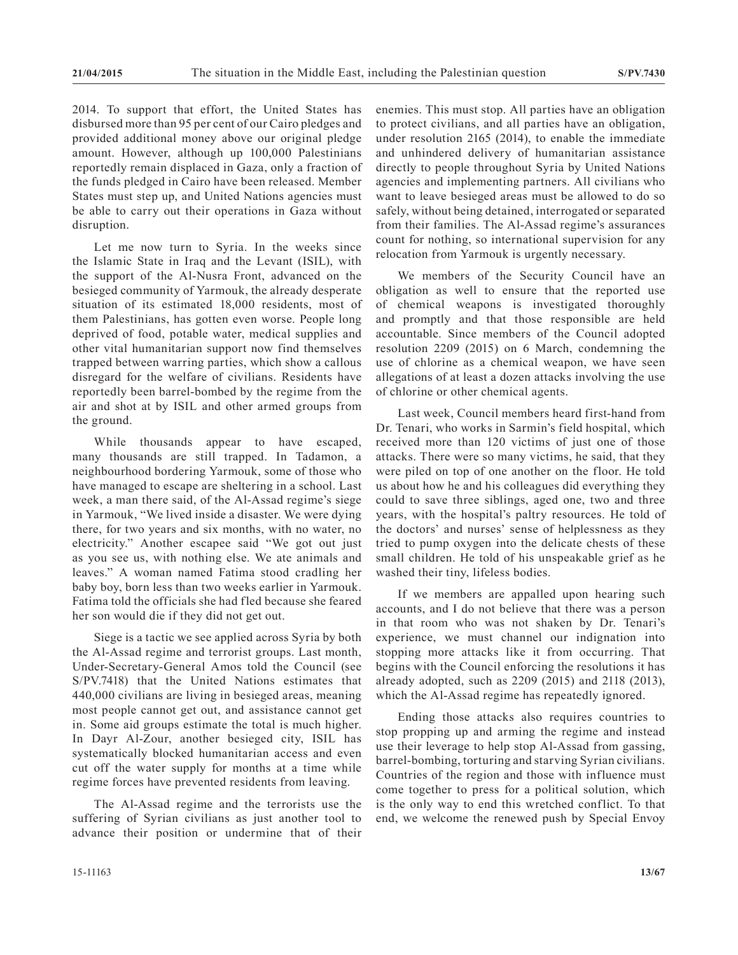2014. To support that effort, the United States has disbursed more than 95 per cent of our Cairo pledges and provided additional money above our original pledge amount. However, although up 100,000 Palestinians reportedly remain displaced in Gaza, only a fraction of the funds pledged in Cairo have been released. Member States must step up, and United Nations agencies must be able to carry out their operations in Gaza without disruption.

Let me now turn to Syria. In the weeks since the Islamic State in Iraq and the Levant (ISIL), with the support of the Al-Nusra Front, advanced on the besieged community of Yarmouk, the already desperate situation of its estimated 18,000 residents, most of them Palestinians, has gotten even worse. People long deprived of food, potable water, medical supplies and other vital humanitarian support now find themselves trapped between warring parties, which show a callous disregard for the welfare of civilians. Residents have reportedly been barrel-bombed by the regime from the air and shot at by ISIL and other armed groups from the ground.

While thousands appear to have escaped, many thousands are still trapped. In Tadamon, a neighbourhood bordering Yarmouk, some of those who have managed to escape are sheltering in a school. Last week, a man there said, of the Al-Assad regime's siege in Yarmouk, "We lived inside a disaster. We were dying there, for two years and six months, with no water, no electricity." Another escapee said "We got out just as you see us, with nothing else. We ate animals and leaves." A woman named Fatima stood cradling her baby boy, born less than two weeks earlier in Yarmouk. Fatima told the officials she had fled because she feared her son would die if they did not get out.

Siege is a tactic we see applied across Syria by both the Al-Assad regime and terrorist groups. Last month, Under-Secretary-General Amos told the Council (see S/PV.7418) that the United Nations estimates that 440,000 civilians are living in besieged areas, meaning most people cannot get out, and assistance cannot get in. Some aid groups estimate the total is much higher. In Dayr Al-Zour, another besieged city, ISIL has systematically blocked humanitarian access and even cut off the water supply for months at a time while regime forces have prevented residents from leaving.

The Al-Assad regime and the terrorists use the suffering of Syrian civilians as just another tool to advance their position or undermine that of their enemies. This must stop. All parties have an obligation to protect civilians, and all parties have an obligation, under resolution 2165 (2014), to enable the immediate and unhindered delivery of humanitarian assistance directly to people throughout Syria by United Nations agencies and implementing partners. All civilians who want to leave besieged areas must be allowed to do so safely, without being detained, interrogated or separated from their families. The Al-Assad regime's assurances count for nothing, so international supervision for any relocation from Yarmouk is urgently necessary.

We members of the Security Council have an obligation as well to ensure that the reported use of chemical weapons is investigated thoroughly and promptly and that those responsible are held accountable. Since members of the Council adopted resolution 2209 (2015) on 6 March, condemning the use of chlorine as a chemical weapon, we have seen allegations of at least a dozen attacks involving the use of chlorine or other chemical agents.

Last week, Council members heard first-hand from Dr. Tenari, who works in Sarmin's field hospital, which received more than 120 victims of just one of those attacks. There were so many victims, he said, that they were piled on top of one another on the floor. He told us about how he and his colleagues did everything they could to save three siblings, aged one, two and three years, with the hospital's paltry resources. He told of the doctors' and nurses' sense of helplessness as they tried to pump oxygen into the delicate chests of these small children. He told of his unspeakable grief as he washed their tiny, lifeless bodies.

If we members are appalled upon hearing such accounts, and I do not believe that there was a person in that room who was not shaken by Dr. Tenari's experience, we must channel our indignation into stopping more attacks like it from occurring. That begins with the Council enforcing the resolutions it has already adopted, such as 2209 (2015) and 2118 (2013), which the Al-Assad regime has repeatedly ignored.

Ending those attacks also requires countries to stop propping up and arming the regime and instead use their leverage to help stop Al-Assad from gassing, barrel-bombing, torturing and starving Syrian civilians. Countries of the region and those with influence must come together to press for a political solution, which is the only way to end this wretched conflict. To that end, we welcome the renewed push by Special Envoy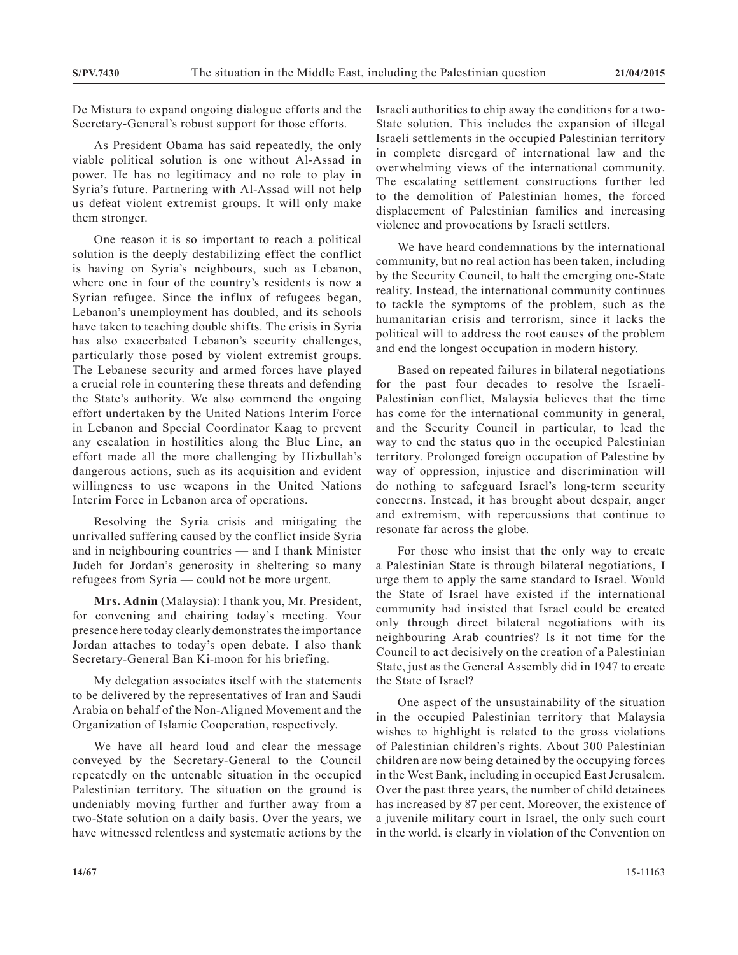De Mistura to expand ongoing dialogue efforts and the Secretary-General's robust support for those efforts.

As President Obama has said repeatedly, the only viable political solution is one without Al-Assad in power. He has no legitimacy and no role to play in Syria's future. Partnering with Al-Assad will not help us defeat violent extremist groups. It will only make them stronger.

One reason it is so important to reach a political solution is the deeply destabilizing effect the conflict is having on Syria's neighbours, such as Lebanon, where one in four of the country's residents is now a Syrian refugee. Since the influx of refugees began, Lebanon's unemployment has doubled, and its schools have taken to teaching double shifts. The crisis in Syria has also exacerbated Lebanon's security challenges, particularly those posed by violent extremist groups. The Lebanese security and armed forces have played a crucial role in countering these threats and defending the State's authority. We also commend the ongoing effort undertaken by the United Nations Interim Force in Lebanon and Special Coordinator Kaag to prevent any escalation in hostilities along the Blue Line, an effort made all the more challenging by Hizbullah's dangerous actions, such as its acquisition and evident willingness to use weapons in the United Nations Interim Force in Lebanon area of operations.

Resolving the Syria crisis and mitigating the unrivalled suffering caused by the conflict inside Syria and in neighbouring countries — and I thank Minister Judeh for Jordan's generosity in sheltering so many refugees from Syria — could not be more urgent.

**Mrs. Adnin** (Malaysia): I thank you, Mr. President, for convening and chairing today's meeting. Your presence here today clearly demonstrates the importance Jordan attaches to today's open debate. I also thank Secretary-General Ban Ki-moon for his briefing.

My delegation associates itself with the statements to be delivered by the representatives of Iran and Saudi Arabia on behalf of the Non-Aligned Movement and the Organization of Islamic Cooperation, respectively.

We have all heard loud and clear the message conveyed by the Secretary-General to the Council repeatedly on the untenable situation in the occupied Palestinian territory. The situation on the ground is undeniably moving further and further away from a two-State solution on a daily basis. Over the years, we have witnessed relentless and systematic actions by the Israeli authorities to chip away the conditions for a two-State solution. This includes the expansion of illegal Israeli settlements in the occupied Palestinian territory in complete disregard of international law and the overwhelming views of the international community. The escalating settlement constructions further led to the demolition of Palestinian homes, the forced displacement of Palestinian families and increasing violence and provocations by Israeli settlers.

We have heard condemnations by the international community, but no real action has been taken, including by the Security Council, to halt the emerging one-State reality. Instead, the international community continues to tackle the symptoms of the problem, such as the humanitarian crisis and terrorism, since it lacks the political will to address the root causes of the problem and end the longest occupation in modern history.

Based on repeated failures in bilateral negotiations for the past four decades to resolve the Israeli-Palestinian conflict, Malaysia believes that the time has come for the international community in general, and the Security Council in particular, to lead the way to end the status quo in the occupied Palestinian territory. Prolonged foreign occupation of Palestine by way of oppression, injustice and discrimination will do nothing to safeguard Israel's long-term security concerns. Instead, it has brought about despair, anger and extremism, with repercussions that continue to resonate far across the globe.

For those who insist that the only way to create a Palestinian State is through bilateral negotiations, I urge them to apply the same standard to Israel. Would the State of Israel have existed if the international community had insisted that Israel could be created only through direct bilateral negotiations with its neighbouring Arab countries? Is it not time for the Council to act decisively on the creation of a Palestinian State, just as the General Assembly did in 1947 to create the State of Israel?

One aspect of the unsustainability of the situation in the occupied Palestinian territory that Malaysia wishes to highlight is related to the gross violations of Palestinian children's rights. About 300 Palestinian children are now being detained by the occupying forces in the West Bank, including in occupied East Jerusalem. Over the past three years, the number of child detainees has increased by 87 per cent. Moreover, the existence of a juvenile military court in Israel, the only such court in the world, is clearly in violation of the Convention on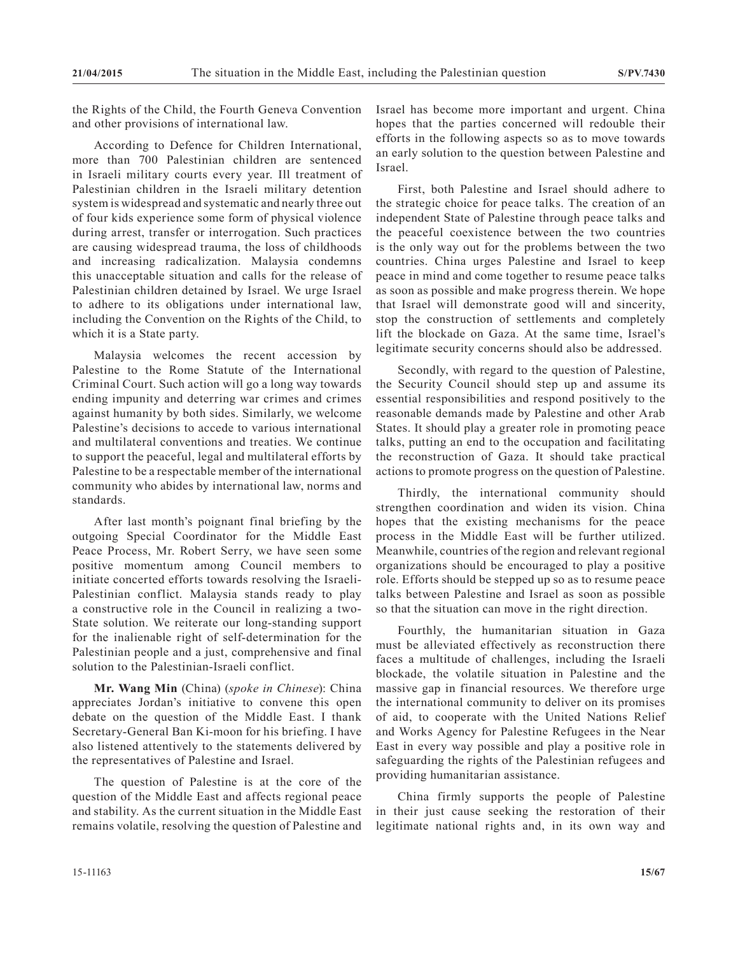the Rights of the Child, the Fourth Geneva Convention and other provisions of international law.

According to Defence for Children International, more than 700 Palestinian children are sentenced in Israeli military courts every year. Ill treatment of Palestinian children in the Israeli military detention system is widespread and systematic and nearly three out of four kids experience some form of physical violence during arrest, transfer or interrogation. Such practices are causing widespread trauma, the loss of childhoods and increasing radicalization. Malaysia condemns this unacceptable situation and calls for the release of Palestinian children detained by Israel. We urge Israel to adhere to its obligations under international law, including the Convention on the Rights of the Child, to which it is a State party.

Malaysia welcomes the recent accession by Palestine to the Rome Statute of the International Criminal Court. Such action will go a long way towards ending impunity and deterring war crimes and crimes against humanity by both sides. Similarly, we welcome Palestine's decisions to accede to various international and multilateral conventions and treaties. We continue to support the peaceful, legal and multilateral efforts by Palestine to be a respectable member of the international community who abides by international law, norms and standards.

After last month's poignant final briefing by the outgoing Special Coordinator for the Middle East Peace Process, Mr. Robert Serry, we have seen some positive momentum among Council members to initiate concerted efforts towards resolving the Israeli-Palestinian conflict. Malaysia stands ready to play a constructive role in the Council in realizing a two-State solution. We reiterate our long-standing support for the inalienable right of self-determination for the Palestinian people and a just, comprehensive and final solution to the Palestinian-Israeli conflict.

**Mr. Wang Min** (China) (*spoke in Chinese*): China appreciates Jordan's initiative to convene this open debate on the question of the Middle East. I thank Secretary-General Ban Ki-moon for his briefing. I have also listened attentively to the statements delivered by the representatives of Palestine and Israel.

The question of Palestine is at the core of the question of the Middle East and affects regional peace and stability. As the current situation in the Middle East remains volatile, resolving the question of Palestine and Israel has become more important and urgent. China hopes that the parties concerned will redouble their efforts in the following aspects so as to move towards an early solution to the question between Palestine and Israel.

First, both Palestine and Israel should adhere to the strategic choice for peace talks. The creation of an independent State of Palestine through peace talks and the peaceful coexistence between the two countries is the only way out for the problems between the two countries. China urges Palestine and Israel to keep peace in mind and come together to resume peace talks as soon as possible and make progress therein. We hope that Israel will demonstrate good will and sincerity, stop the construction of settlements and completely lift the blockade on Gaza. At the same time, Israel's legitimate security concerns should also be addressed.

Secondly, with regard to the question of Palestine, the Security Council should step up and assume its essential responsibilities and respond positively to the reasonable demands made by Palestine and other Arab States. It should play a greater role in promoting peace talks, putting an end to the occupation and facilitating the reconstruction of Gaza. It should take practical actions to promote progress on the question of Palestine.

Thirdly, the international community should strengthen coordination and widen its vision. China hopes that the existing mechanisms for the peace process in the Middle East will be further utilized. Meanwhile, countries of the region and relevant regional organizations should be encouraged to play a positive role. Efforts should be stepped up so as to resume peace talks between Palestine and Israel as soon as possible so that the situation can move in the right direction.

Fourthly, the humanitarian situation in Gaza must be alleviated effectively as reconstruction there faces a multitude of challenges, including the Israeli blockade, the volatile situation in Palestine and the massive gap in financial resources. We therefore urge the international community to deliver on its promises of aid, to cooperate with the United Nations Relief and Works Agency for Palestine Refugees in the Near East in every way possible and play a positive role in safeguarding the rights of the Palestinian refugees and providing humanitarian assistance.

China firmly supports the people of Palestine in their just cause seeking the restoration of their legitimate national rights and, in its own way and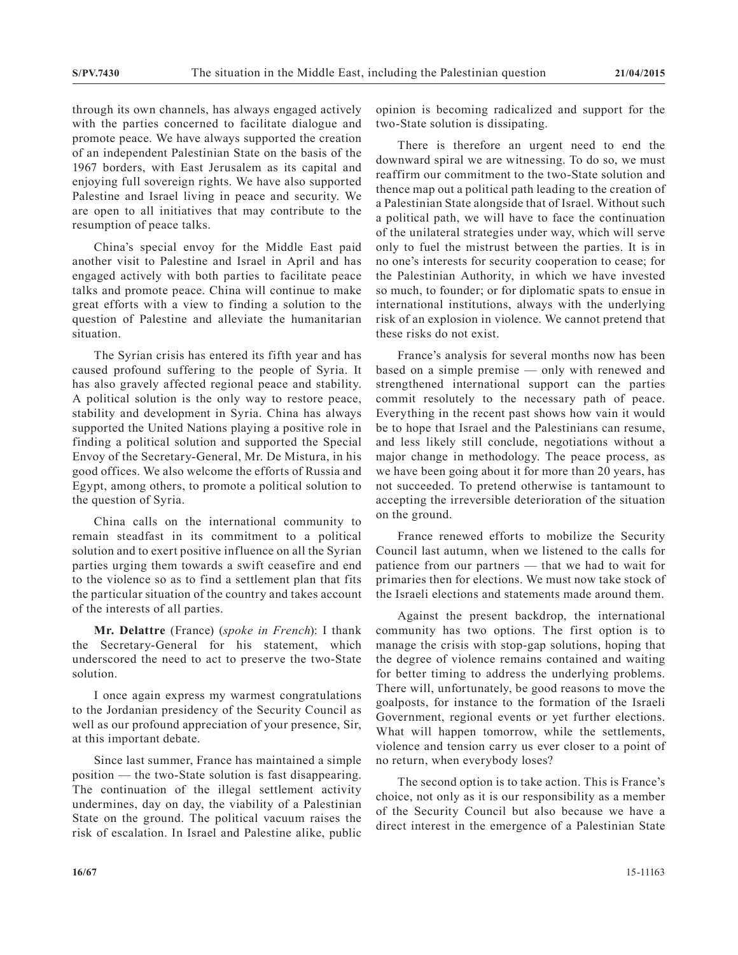through its own channels, has always engaged actively with the parties concerned to facilitate dialogue and promote peace. We have always supported the creation of an independent Palestinian State on the basis of the 1967 borders, with East Jerusalem as its capital and enjoying full sovereign rights. We have also supported Palestine and Israel living in peace and security. We are open to all initiatives that may contribute to the resumption of peace talks.

China's special envoy for the Middle East paid another visit to Palestine and Israel in April and has engaged actively with both parties to facilitate peace talks and promote peace. China will continue to make great efforts with a view to finding a solution to the question of Palestine and alleviate the humanitarian situation.

The Syrian crisis has entered its fifth year and has caused profound suffering to the people of Syria. It has also gravely affected regional peace and stability. A political solution is the only way to restore peace, stability and development in Syria. China has always supported the United Nations playing a positive role in finding a political solution and supported the Special Envoy of the Secretary-General, Mr. De Mistura, in his good offices. We also welcome the efforts of Russia and Egypt, among others, to promote a political solution to the question of Syria.

China calls on the international community to remain steadfast in its commitment to a political solution and to exert positive influence on all the Syrian parties urging them towards a swift ceasefire and end to the violence so as to find a settlement plan that fits the particular situation of the country and takes account of the interests of all parties.

**Mr. Delattre** (France) (*spoke in French*): I thank the Secretary-General for his statement, which underscored the need to act to preserve the two-State solution.

I once again express my warmest congratulations to the Jordanian presidency of the Security Council as well as our profound appreciation of your presence, Sir, at this important debate.

Since last summer, France has maintained a simple position — the two-State solution is fast disappearing. The continuation of the illegal settlement activity undermines, day on day, the viability of a Palestinian State on the ground. The political vacuum raises the risk of escalation. In Israel and Palestine alike, public opinion is becoming radicalized and support for the two-State solution is dissipating.

There is therefore an urgent need to end the downward spiral we are witnessing. To do so, we must reaffirm our commitment to the two-State solution and thence map out a political path leading to the creation of a Palestinian State alongside that of Israel. Without such a political path, we will have to face the continuation of the unilateral strategies under way, which will serve only to fuel the mistrust between the parties. It is in no one's interests for security cooperation to cease; for the Palestinian Authority, in which we have invested so much, to founder; or for diplomatic spats to ensue in international institutions, always with the underlying risk of an explosion in violence. We cannot pretend that these risks do not exist.

France's analysis for several months now has been based on a simple premise — only with renewed and strengthened international support can the parties commit resolutely to the necessary path of peace. Everything in the recent past shows how vain it would be to hope that Israel and the Palestinians can resume, and less likely still conclude, negotiations without a major change in methodology. The peace process, as we have been going about it for more than 20 years, has not succeeded. To pretend otherwise is tantamount to accepting the irreversible deterioration of the situation on the ground.

France renewed efforts to mobilize the Security Council last autumn, when we listened to the calls for patience from our partners — that we had to wait for primaries then for elections. We must now take stock of the Israeli elections and statements made around them.

Against the present backdrop, the international community has two options. The first option is to manage the crisis with stop-gap solutions, hoping that the degree of violence remains contained and waiting for better timing to address the underlying problems. There will, unfortunately, be good reasons to move the goalposts, for instance to the formation of the Israeli Government, regional events or yet further elections. What will happen tomorrow, while the settlements, violence and tension carry us ever closer to a point of no return, when everybody loses?

The second option is to take action. This is France's choice, not only as it is our responsibility as a member of the Security Council but also because we have a direct interest in the emergence of a Palestinian State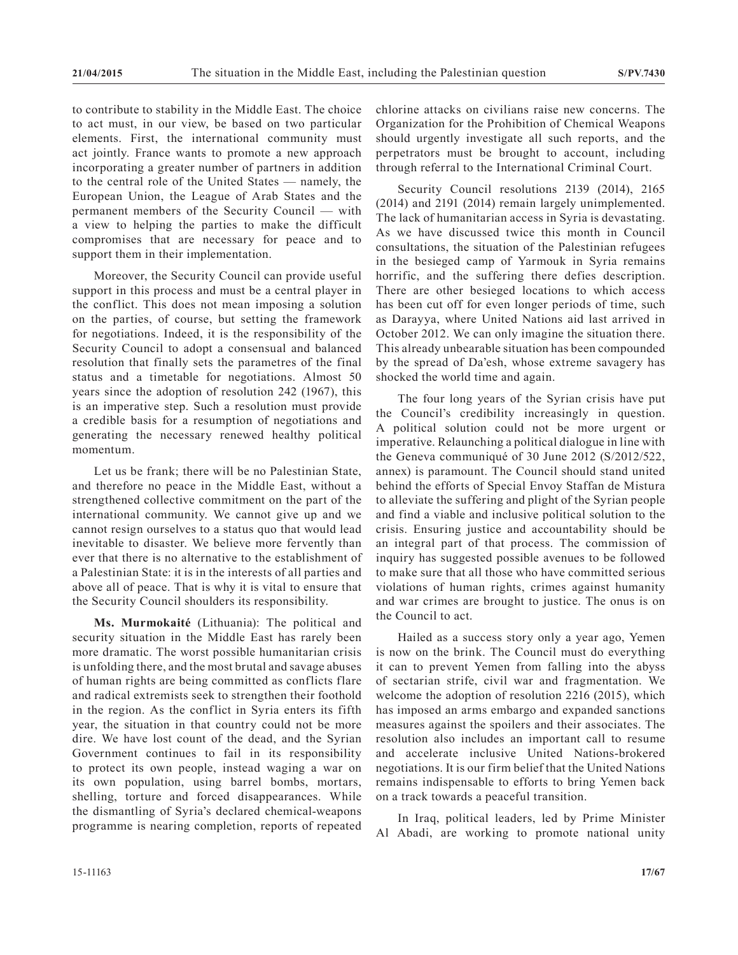to contribute to stability in the Middle East. The choice to act must, in our view, be based on two particular elements. First, the international community must act jointly. France wants to promote a new approach incorporating a greater number of partners in addition to the central role of the United States — namely, the European Union, the League of Arab States and the permanent members of the Security Council — with a view to helping the parties to make the difficult compromises that are necessary for peace and to support them in their implementation.

Moreover, the Security Council can provide useful support in this process and must be a central player in the conflict. This does not mean imposing a solution on the parties, of course, but setting the framework for negotiations. Indeed, it is the responsibility of the Security Council to adopt a consensual and balanced resolution that finally sets the parametres of the final status and a timetable for negotiations. Almost 50 years since the adoption of resolution 242 (1967), this is an imperative step. Such a resolution must provide a credible basis for a resumption of negotiations and generating the necessary renewed healthy political momentum.

Let us be frank; there will be no Palestinian State, and therefore no peace in the Middle East, without a strengthened collective commitment on the part of the international community. We cannot give up and we cannot resign ourselves to a status quo that would lead inevitable to disaster. We believe more fervently than ever that there is no alternative to the establishment of a Palestinian State: it is in the interests of all parties and above all of peace. That is why it is vital to ensure that the Security Council shoulders its responsibility.

**Ms. Murmokaité** (Lithuania): The political and security situation in the Middle East has rarely been more dramatic. The worst possible humanitarian crisis is unfolding there, and the most brutal and savage abuses of human rights are being committed as conflicts flare and radical extremists seek to strengthen their foothold in the region. As the conflict in Syria enters its fifth year, the situation in that country could not be more dire. We have lost count of the dead, and the Syrian Government continues to fail in its responsibility to protect its own people, instead waging a war on its own population, using barrel bombs, mortars, shelling, torture and forced disappearances. While the dismantling of Syria's declared chemical-weapons programme is nearing completion, reports of repeated

chlorine attacks on civilians raise new concerns. The Organization for the Prohibition of Chemical Weapons should urgently investigate all such reports, and the perpetrators must be brought to account, including through referral to the International Criminal Court.

Security Council resolutions 2139 (2014), 2165 (2014) and 2191 (2014) remain largely unimplemented. The lack of humanitarian access in Syria is devastating. As we have discussed twice this month in Council consultations, the situation of the Palestinian refugees in the besieged camp of Yarmouk in Syria remains horrific, and the suffering there defies description. There are other besieged locations to which access has been cut off for even longer periods of time, such as Darayya, where United Nations aid last arrived in October 2012. We can only imagine the situation there. This already unbearable situation has been compounded by the spread of Da'esh, whose extreme savagery has shocked the world time and again.

The four long years of the Syrian crisis have put the Council's credibility increasingly in question. A political solution could not be more urgent or imperative. Relaunching a political dialogue in line with the Geneva communiqué of 30 June 2012 (S/2012/522, annex) is paramount. The Council should stand united behind the efforts of Special Envoy Staffan de Mistura to alleviate the suffering and plight of the Syrian people and find a viable and inclusive political solution to the crisis. Ensuring justice and accountability should be an integral part of that process. The commission of inquiry has suggested possible avenues to be followed to make sure that all those who have committed serious violations of human rights, crimes against humanity and war crimes are brought to justice. The onus is on the Council to act.

Hailed as a success story only a year ago, Yemen is now on the brink. The Council must do everything it can to prevent Yemen from falling into the abyss of sectarian strife, civil war and fragmentation. We welcome the adoption of resolution 2216 (2015), which has imposed an arms embargo and expanded sanctions measures against the spoilers and their associates. The resolution also includes an important call to resume and accelerate inclusive United Nations-brokered negotiations. It is our firm belief that the United Nations remains indispensable to efforts to bring Yemen back on a track towards a peaceful transition.

In Iraq, political leaders, led by Prime Minister Al Abadi, are working to promote national unity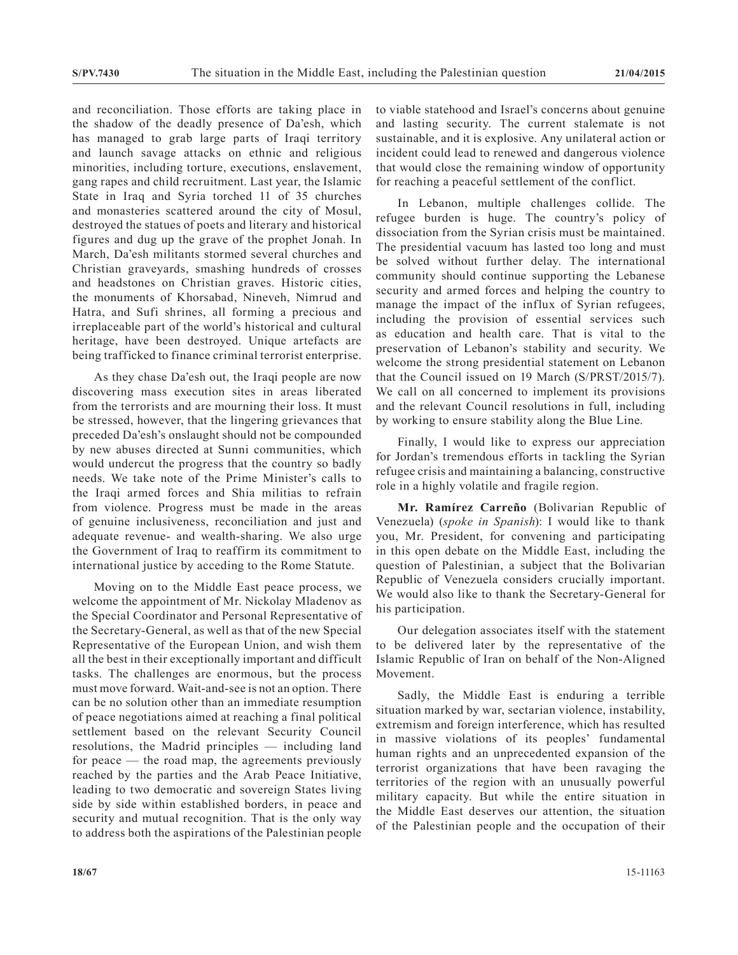and reconciliation. Those efforts are taking place in the shadow of the deadly presence of Da'esh, which has managed to grab large parts of Iraqi territory and launch savage attacks on ethnic and religious minorities, including torture, executions, enslavement, gang rapes and child recruitment. Last year, the Islamic State in Iraq and Syria torched 11 of 35 churches and monasteries scattered around the city of Mosul, destroyed the statues of poets and literary and historical figures and dug up the grave of the prophet Jonah. In March, Da'esh militants stormed several churches and Christian graveyards, smashing hundreds of crosses and headstones on Christian graves. Historic cities, the monuments of Khorsabad, Nineveh, Nimrud and Hatra, and Sufi shrines, all forming a precious and irreplaceable part of the world's historical and cultural heritage, have been destroyed. Unique artefacts are being trafficked to finance criminal terrorist enterprise.

As they chase Da'esh out, the Iraqi people are now discovering mass execution sites in areas liberated from the terrorists and are mourning their loss. It must be stressed, however, that the lingering grievances that preceded Da'esh's onslaught should not be compounded by new abuses directed at Sunni communities, which would undercut the progress that the country so badly needs. We take note of the Prime Minister's calls to the Iraqi armed forces and Shia militias to refrain from violence. Progress must be made in the areas of genuine inclusiveness, reconciliation and just and adequate revenue- and wealth-sharing. We also urge the Government of Iraq to reaffirm its commitment to international justice by acceding to the Rome Statute.

Moving on to the Middle East peace process, we welcome the appointment of Mr. Nickolay Mladenov as the Special Coordinator and Personal Representative of the Secretary-General, as well as that of the new Special Representative of the European Union, and wish them all the best in their exceptionally important and difficult tasks. The challenges are enormous, but the process must move forward. Wait-and-see is not an option. There can be no solution other than an immediate resumption of peace negotiations aimed at reaching a final political settlement based on the relevant Security Council resolutions, the Madrid principles — including land for peace — the road map, the agreements previously reached by the parties and the Arab Peace Initiative, leading to two democratic and sovereign States living side by side within established borders, in peace and security and mutual recognition. That is the only way to address both the aspirations of the Palestinian people

to viable statehood and Israel's concerns about genuine and lasting security. The current stalemate is not sustainable, and it is explosive. Any unilateral action or incident could lead to renewed and dangerous violence that would close the remaining window of opportunity for reaching a peaceful settlement of the conflict.

In Lebanon, multiple challenges collide. The refugee burden is huge. The country's policy of dissociation from the Syrian crisis must be maintained. The presidential vacuum has lasted too long and must be solved without further delay. The international community should continue supporting the Lebanese security and armed forces and helping the country to manage the impact of the influx of Syrian refugees, including the provision of essential services such as education and health care. That is vital to the preservation of Lebanon's stability and security. We welcome the strong presidential statement on Lebanon that the Council issued on 19 March (S/PRST/2015/7). We call on all concerned to implement its provisions and the relevant Council resolutions in full, including by working to ensure stability along the Blue Line.

Finally, I would like to express our appreciation for Jordan's tremendous efforts in tackling the Syrian refugee crisis and maintaining a balancing, constructive role in a highly volatile and fragile region.

**Mr. Ramírez Carreño** (Bolivarian Republic of Venezuela) (*spoke in Spanish*): I would like to thank you, Mr. President, for convening and participating in this open debate on the Middle East, including the question of Palestinian, a subject that the Bolivarian Republic of Venezuela considers crucially important. We would also like to thank the Secretary-General for his participation.

Our delegation associates itself with the statement to be delivered later by the representative of the Islamic Republic of Iran on behalf of the Non-Aligned Movement.

Sadly, the Middle East is enduring a terrible situation marked by war, sectarian violence, instability, extremism and foreign interference, which has resulted in massive violations of its peoples' fundamental human rights and an unprecedented expansion of the terrorist organizations that have been ravaging the territories of the region with an unusually powerful military capacity. But while the entire situation in the Middle East deserves our attention, the situation of the Palestinian people and the occupation of their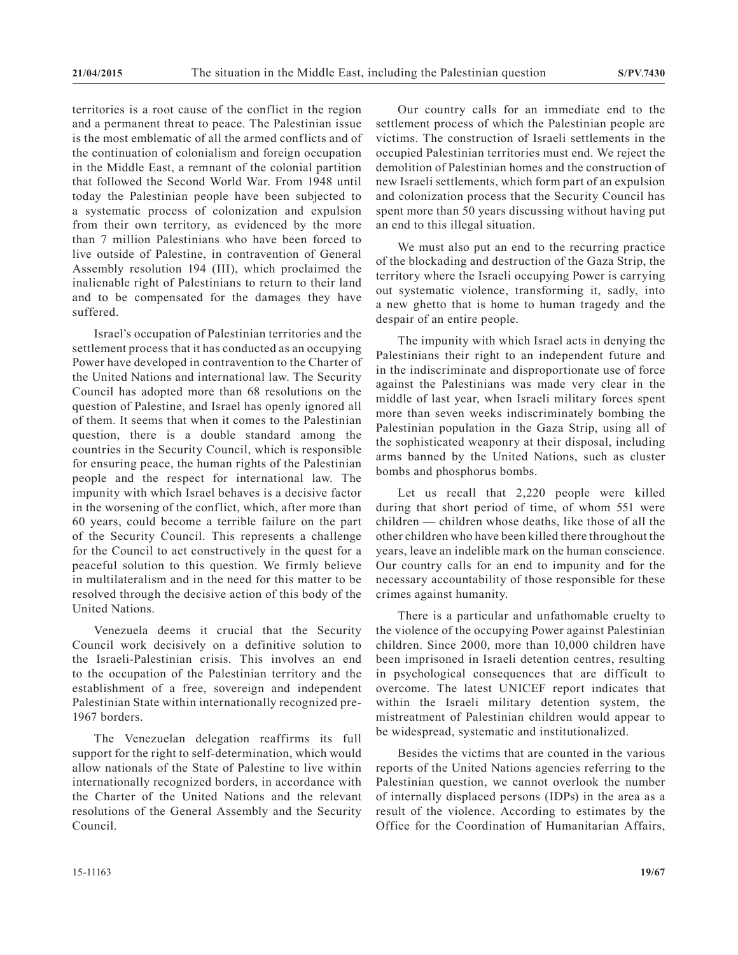territories is a root cause of the conflict in the region and a permanent threat to peace. The Palestinian issue is the most emblematic of all the armed conflicts and of the continuation of colonialism and foreign occupation in the Middle East, a remnant of the colonial partition that followed the Second World War. From 1948 until today the Palestinian people have been subjected to a systematic process of colonization and expulsion from their own territory, as evidenced by the more than 7 million Palestinians who have been forced to live outside of Palestine, in contravention of General Assembly resolution 194 (III), which proclaimed the inalienable right of Palestinians to return to their land and to be compensated for the damages they have suffered.

Israel's occupation of Palestinian territories and the settlement process that it has conducted as an occupying Power have developed in contravention to the Charter of the United Nations and international law. The Security Council has adopted more than 68 resolutions on the question of Palestine, and Israel has openly ignored all of them. It seems that when it comes to the Palestinian question, there is a double standard among the countries in the Security Council, which is responsible for ensuring peace, the human rights of the Palestinian people and the respect for international law. The impunity with which Israel behaves is a decisive factor in the worsening of the conflict, which, after more than 60 years, could become a terrible failure on the part of the Security Council. This represents a challenge for the Council to act constructively in the quest for a peaceful solution to this question. We firmly believe in multilateralism and in the need for this matter to be resolved through the decisive action of this body of the United Nations.

Venezuela deems it crucial that the Security Council work decisively on a definitive solution to the Israeli-Palestinian crisis. This involves an end to the occupation of the Palestinian territory and the establishment of a free, sovereign and independent Palestinian State within internationally recognized pre-1967 borders.

The Venezuelan delegation reaffirms its full support for the right to self-determination, which would allow nationals of the State of Palestine to live within internationally recognized borders, in accordance with the Charter of the United Nations and the relevant resolutions of the General Assembly and the Security Council.

Our country calls for an immediate end to the settlement process of which the Palestinian people are victims. The construction of Israeli settlements in the occupied Palestinian territories must end. We reject the demolition of Palestinian homes and the construction of new Israeli settlements, which form part of an expulsion and colonization process that the Security Council has spent more than 50 years discussing without having put an end to this illegal situation.

We must also put an end to the recurring practice of the blockading and destruction of the Gaza Strip, the territory where the Israeli occupying Power is carrying out systematic violence, transforming it, sadly, into a new ghetto that is home to human tragedy and the despair of an entire people.

The impunity with which Israel acts in denying the Palestinians their right to an independent future and in the indiscriminate and disproportionate use of force against the Palestinians was made very clear in the middle of last year, when Israeli military forces spent more than seven weeks indiscriminately bombing the Palestinian population in the Gaza Strip, using all of the sophisticated weaponry at their disposal, including arms banned by the United Nations, such as cluster bombs and phosphorus bombs.

Let us recall that 2,220 people were killed during that short period of time, of whom 551 were children — children whose deaths, like those of all the other children who have been killed there throughout the years, leave an indelible mark on the human conscience. Our country calls for an end to impunity and for the necessary accountability of those responsible for these crimes against humanity.

There is a particular and unfathomable cruelty to the violence of the occupying Power against Palestinian children. Since 2000, more than 10,000 children have been imprisoned in Israeli detention centres, resulting in psychological consequences that are difficult to overcome. The latest UNICEF report indicates that within the Israeli military detention system, the mistreatment of Palestinian children would appear to be widespread, systematic and institutionalized.

Besides the victims that are counted in the various reports of the United Nations agencies referring to the Palestinian question, we cannot overlook the number of internally displaced persons (IDPs) in the area as a result of the violence. According to estimates by the Office for the Coordination of Humanitarian Affairs,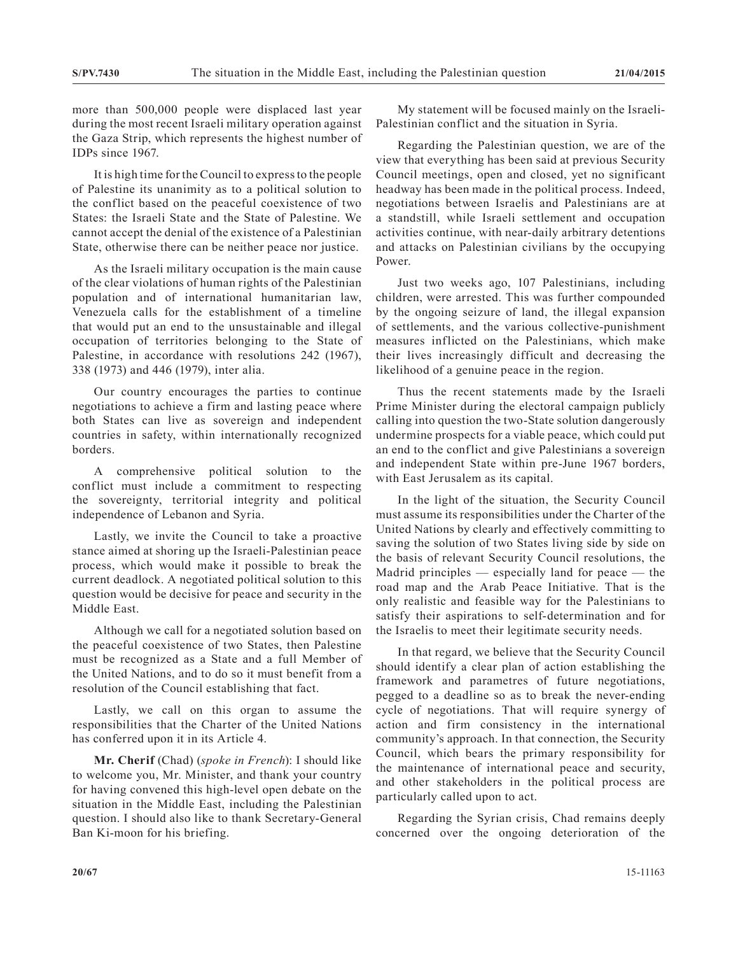more than 500,000 people were displaced last year during the most recent Israeli military operation against the Gaza Strip, which represents the highest number of IDPs since 1967.

It is high time for the Council to express to the people of Palestine its unanimity as to a political solution to the conflict based on the peaceful coexistence of two States: the Israeli State and the State of Palestine. We cannot accept the denial of the existence of a Palestinian State, otherwise there can be neither peace nor justice.

As the Israeli military occupation is the main cause of the clear violations of human rights of the Palestinian population and of international humanitarian law, Venezuela calls for the establishment of a timeline that would put an end to the unsustainable and illegal occupation of territories belonging to the State of Palestine, in accordance with resolutions 242 (1967), 338 (1973) and 446 (1979), inter alia.

Our country encourages the parties to continue negotiations to achieve a firm and lasting peace where both States can live as sovereign and independent countries in safety, within internationally recognized borders.

A comprehensive political solution to the conflict must include a commitment to respecting the sovereignty, territorial integrity and political independence of Lebanon and Syria.

Lastly, we invite the Council to take a proactive stance aimed at shoring up the Israeli-Palestinian peace process, which would make it possible to break the current deadlock. A negotiated political solution to this question would be decisive for peace and security in the Middle East.

Although we call for a negotiated solution based on the peaceful coexistence of two States, then Palestine must be recognized as a State and a full Member of the United Nations, and to do so it must benefit from a resolution of the Council establishing that fact.

Lastly, we call on this organ to assume the responsibilities that the Charter of the United Nations has conferred upon it in its Article 4.

**Mr. Cherif** (Chad) (*spoke in French*): I should like to welcome you, Mr. Minister, and thank your country for having convened this high-level open debate on the situation in the Middle East, including the Palestinian question. I should also like to thank Secretary-General Ban Ki-moon for his briefing.

My statement will be focused mainly on the Israeli-Palestinian conflict and the situation in Syria.

Regarding the Palestinian question, we are of the view that everything has been said at previous Security Council meetings, open and closed, yet no significant headway has been made in the political process. Indeed, negotiations between Israelis and Palestinians are at a standstill, while Israeli settlement and occupation activities continue, with near-daily arbitrary detentions and attacks on Palestinian civilians by the occupying Power.

Just two weeks ago, 107 Palestinians, including children, were arrested. This was further compounded by the ongoing seizure of land, the illegal expansion of settlements, and the various collective-punishment measures inflicted on the Palestinians, which make their lives increasingly difficult and decreasing the likelihood of a genuine peace in the region.

Thus the recent statements made by the Israeli Prime Minister during the electoral campaign publicly calling into question the two-State solution dangerously undermine prospects for a viable peace, which could put an end to the conflict and give Palestinians a sovereign and independent State within pre-June 1967 borders, with East Jerusalem as its capital.

In the light of the situation, the Security Council must assume its responsibilities under the Charter of the United Nations by clearly and effectively committing to saving the solution of two States living side by side on the basis of relevant Security Council resolutions, the Madrid principles — especially land for peace — the road map and the Arab Peace Initiative. That is the only realistic and feasible way for the Palestinians to satisfy their aspirations to self-determination and for the Israelis to meet their legitimate security needs.

In that regard, we believe that the Security Council should identify a clear plan of action establishing the framework and parametres of future negotiations, pegged to a deadline so as to break the never-ending cycle of negotiations. That will require synergy of action and firm consistency in the international community's approach. In that connection, the Security Council, which bears the primary responsibility for the maintenance of international peace and security, and other stakeholders in the political process are particularly called upon to act.

Regarding the Syrian crisis, Chad remains deeply concerned over the ongoing deterioration of the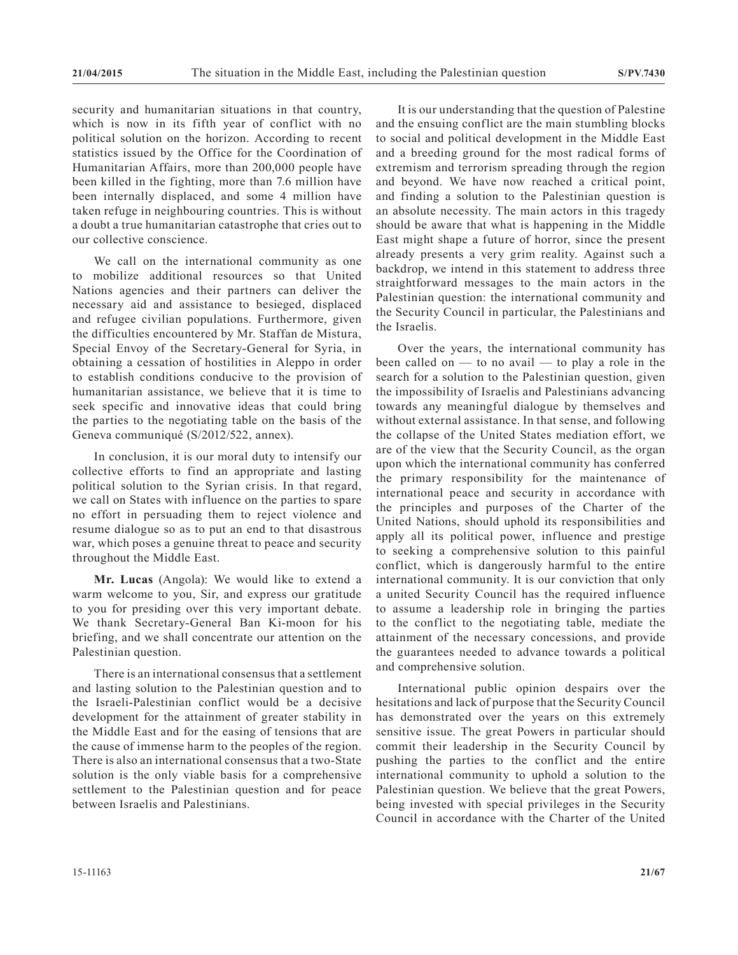security and humanitarian situations in that country, which is now in its fifth year of conflict with no political solution on the horizon. According to recent statistics issued by the Office for the Coordination of Humanitarian Affairs, more than 200,000 people have been killed in the fighting, more than 7.6 million have been internally displaced, and some 4 million have taken refuge in neighbouring countries. This is without a doubt a true humanitarian catastrophe that cries out to our collective conscience.

We call on the international community as one to mobilize additional resources so that United Nations agencies and their partners can deliver the necessary aid and assistance to besieged, displaced and refugee civilian populations. Furthermore, given the difficulties encountered by Mr. Staffan de Mistura, Special Envoy of the Secretary-General for Syria, in obtaining a cessation of hostilities in Aleppo in order to establish conditions conducive to the provision of humanitarian assistance, we believe that it is time to seek specific and innovative ideas that could bring the parties to the negotiating table on the basis of the Geneva communiqué (S/2012/522, annex).

In conclusion, it is our moral duty to intensify our collective efforts to find an appropriate and lasting political solution to the Syrian crisis. In that regard, we call on States with influence on the parties to spare no effort in persuading them to reject violence and resume dialogue so as to put an end to that disastrous war, which poses a genuine threat to peace and security throughout the Middle East.

**Mr. Lucas** (Angola): We would like to extend a warm welcome to you, Sir, and express our gratitude to you for presiding over this very important debate. We thank Secretary-General Ban Ki-moon for his briefing, and we shall concentrate our attention on the Palestinian question.

There is an international consensus that a settlement and lasting solution to the Palestinian question and to the Israeli-Palestinian conflict would be a decisive development for the attainment of greater stability in the Middle East and for the easing of tensions that are the cause of immense harm to the peoples of the region. There is also an international consensus that a two-State solution is the only viable basis for a comprehensive settlement to the Palestinian question and for peace between Israelis and Palestinians.

It is our understanding that the question of Palestine and the ensuing conflict are the main stumbling blocks to social and political development in the Middle East and a breeding ground for the most radical forms of extremism and terrorism spreading through the region and beyond. We have now reached a critical point, and finding a solution to the Palestinian question is an absolute necessity. The main actors in this tragedy should be aware that what is happening in the Middle East might shape a future of horror, since the present already presents a very grim reality. Against such a backdrop, we intend in this statement to address three straightforward messages to the main actors in the Palestinian question: the international community and the Security Council in particular, the Palestinians and the Israelis.

Over the years, the international community has been called on — to no avail — to play a role in the search for a solution to the Palestinian question, given the impossibility of Israelis and Palestinians advancing towards any meaningful dialogue by themselves and without external assistance. In that sense, and following the collapse of the United States mediation effort, we are of the view that the Security Council, as the organ upon which the international community has conferred the primary responsibility for the maintenance of international peace and security in accordance with the principles and purposes of the Charter of the United Nations, should uphold its responsibilities and apply all its political power, influence and prestige to seeking a comprehensive solution to this painful conflict, which is dangerously harmful to the entire international community. It is our conviction that only a united Security Council has the required influence to assume a leadership role in bringing the parties to the conflict to the negotiating table, mediate the attainment of the necessary concessions, and provide the guarantees needed to advance towards a political and comprehensive solution.

International public opinion despairs over the hesitations and lack of purpose that the Security Council has demonstrated over the years on this extremely sensitive issue. The great Powers in particular should commit their leadership in the Security Council by pushing the parties to the conflict and the entire international community to uphold a solution to the Palestinian question. We believe that the great Powers, being invested with special privileges in the Security Council in accordance with the Charter of the United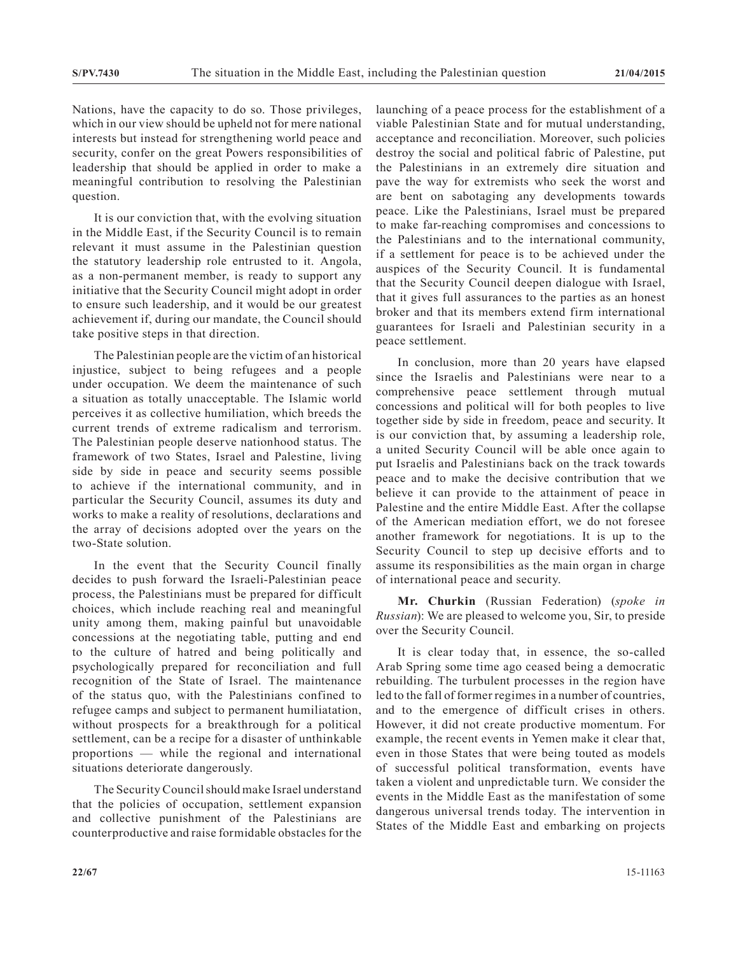Nations, have the capacity to do so. Those privileges, which in our view should be upheld not for mere national interests but instead for strengthening world peace and security, confer on the great Powers responsibilities of leadership that should be applied in order to make a meaningful contribution to resolving the Palestinian question.

It is our conviction that, with the evolving situation in the Middle East, if the Security Council is to remain relevant it must assume in the Palestinian question the statutory leadership role entrusted to it. Angola, as a non-permanent member, is ready to support any initiative that the Security Council might adopt in order to ensure such leadership, and it would be our greatest achievement if, during our mandate, the Council should take positive steps in that direction.

The Palestinian people are the victim of an historical injustice, subject to being refugees and a people under occupation. We deem the maintenance of such a situation as totally unacceptable. The Islamic world perceives it as collective humiliation, which breeds the current trends of extreme radicalism and terrorism. The Palestinian people deserve nationhood status. The framework of two States, Israel and Palestine, living side by side in peace and security seems possible to achieve if the international community, and in particular the Security Council, assumes its duty and works to make a reality of resolutions, declarations and the array of decisions adopted over the years on the two-State solution.

In the event that the Security Council finally decides to push forward the Israeli-Palestinian peace process, the Palestinians must be prepared for difficult choices, which include reaching real and meaningful unity among them, making painful but unavoidable concessions at the negotiating table, putting and end to the culture of hatred and being politically and psychologically prepared for reconciliation and full recognition of the State of Israel. The maintenance of the status quo, with the Palestinians confined to refugee camps and subject to permanent humiliatation, without prospects for a breakthrough for a political settlement, can be a recipe for a disaster of unthinkable proportions — while the regional and international situations deteriorate dangerously.

The Security Council should make Israel understand that the policies of occupation, settlement expansion and collective punishment of the Palestinians are counterproductive and raise formidable obstacles for the

launching of a peace process for the establishment of a viable Palestinian State and for mutual understanding, acceptance and reconciliation. Moreover, such policies destroy the social and political fabric of Palestine, put the Palestinians in an extremely dire situation and pave the way for extremists who seek the worst and are bent on sabotaging any developments towards peace. Like the Palestinians, Israel must be prepared to make far-reaching compromises and concessions to the Palestinians and to the international community, if a settlement for peace is to be achieved under the auspices of the Security Council. It is fundamental that the Security Council deepen dialogue with Israel, that it gives full assurances to the parties as an honest broker and that its members extend firm international guarantees for Israeli and Palestinian security in a peace settlement.

In conclusion, more than 20 years have elapsed since the Israelis and Palestinians were near to a comprehensive peace settlement through mutual concessions and political will for both peoples to live together side by side in freedom, peace and security. It is our conviction that, by assuming a leadership role, a united Security Council will be able once again to put Israelis and Palestinians back on the track towards peace and to make the decisive contribution that we believe it can provide to the attainment of peace in Palestine and the entire Middle East. After the collapse of the American mediation effort, we do not foresee another framework for negotiations. It is up to the Security Council to step up decisive efforts and to assume its responsibilities as the main organ in charge of international peace and security.

**Mr. Churkin** (Russian Federation) (*spoke in Russian*): We are pleased to welcome you, Sir, to preside over the Security Council.

It is clear today that, in essence, the so-called Arab Spring some time ago ceased being a democratic rebuilding. The turbulent processes in the region have led to the fall of former regimes in a number of countries, and to the emergence of difficult crises in others. However, it did not create productive momentum. For example, the recent events in Yemen make it clear that, even in those States that were being touted as models of successful political transformation, events have taken a violent and unpredictable turn. We consider the events in the Middle East as the manifestation of some dangerous universal trends today. The intervention in States of the Middle East and embarking on projects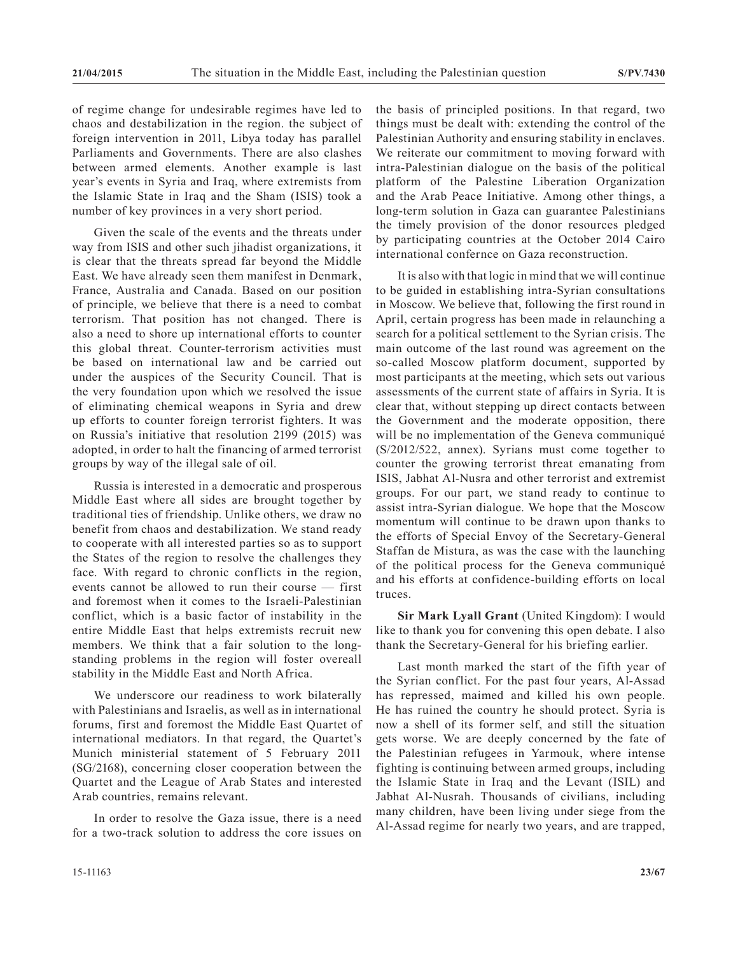of regime change for undesirable regimes have led to chaos and destabilization in the region. the subject of foreign intervention in 2011, Libya today has parallel Parliaments and Governments. There are also clashes between armed elements. Another example is last year's events in Syria and Iraq, where extremists from the Islamic State in Iraq and the Sham (ISIS) took a number of key provinces in a very short period.

Given the scale of the events and the threats under way from ISIS and other such jihadist organizations, it is clear that the threats spread far beyond the Middle East. We have already seen them manifest in Denmark, France, Australia and Canada. Based on our position of principle, we believe that there is a need to combat terrorism. That position has not changed. There is also a need to shore up international efforts to counter this global threat. Counter-terrorism activities must be based on international law and be carried out under the auspices of the Security Council. That is the very foundation upon which we resolved the issue of eliminating chemical weapons in Syria and drew up efforts to counter foreign terrorist fighters. It was on Russia's initiative that resolution 2199 (2015) was adopted, in order to halt the financing of armed terrorist groups by way of the illegal sale of oil.

Russia is interested in a democratic and prosperous Middle East where all sides are brought together by traditional ties of friendship. Unlike others, we draw no benefit from chaos and destabilization. We stand ready to cooperate with all interested parties so as to support the States of the region to resolve the challenges they face. With regard to chronic conflicts in the region, events cannot be allowed to run their course — first and foremost when it comes to the Israeli-Palestinian conflict, which is a basic factor of instability in the entire Middle East that helps extremists recruit new members. We think that a fair solution to the longstanding problems in the region will foster overeall stability in the Middle East and North Africa.

We underscore our readiness to work bilaterally with Palestinians and Israelis, as well as in international forums, first and foremost the Middle East Quartet of international mediators. In that regard, the Quartet's Munich ministerial statement of 5 February 2011 (SG/2168), concerning closer cooperation between the Quartet and the League of Arab States and interested Arab countries, remains relevant.

In order to resolve the Gaza issue, there is a need for a two-track solution to address the core issues on

the basis of principled positions. In that regard, two things must be dealt with: extending the control of the Palestinian Authority and ensuring stability in enclaves. We reiterate our commitment to moving forward with intra-Palestinian dialogue on the basis of the political platform of the Palestine Liberation Organization and the Arab Peace Initiative. Among other things, a long-term solution in Gaza can guarantee Palestinians the timely provision of the donor resources pledged by participating countries at the October 2014 Cairo international confernce on Gaza reconstruction.

It is also with that logic in mind that we will continue to be guided in establishing intra-Syrian consultations in Moscow. We believe that, following the first round in April, certain progress has been made in relaunching a search for a political settlement to the Syrian crisis. The main outcome of the last round was agreement on the so-called Moscow platform document, supported by most participants at the meeting, which sets out various assessments of the current state of affairs in Syria. It is clear that, without stepping up direct contacts between the Government and the moderate opposition, there will be no implementation of the Geneva communiqué (S/2012/522, annex). Syrians must come together to counter the growing terrorist threat emanating from ISIS, Jabhat Al-Nusra and other terrorist and extremist groups. For our part, we stand ready to continue to assist intra-Syrian dialogue. We hope that the Moscow momentum will continue to be drawn upon thanks to the efforts of Special Envoy of the Secretary-General Staffan de Mistura, as was the case with the launching of the political process for the Geneva communiqué and his efforts at confidence-building efforts on local truces.

**Sir Mark Lyall Grant** (United Kingdom): I would like to thank you for convening this open debate. I also thank the Secretary-General for his briefing earlier.

Last month marked the start of the fifth year of the Syrian conflict. For the past four years, Al-Assad has repressed, maimed and killed his own people. He has ruined the country he should protect. Syria is now a shell of its former self, and still the situation gets worse. We are deeply concerned by the fate of the Palestinian refugees in Yarmouk, where intense fighting is continuing between armed groups, including the Islamic State in Iraq and the Levant (ISIL) and Jabhat Al-Nusrah. Thousands of civilians, including many children, have been living under siege from the Al-Assad regime for nearly two years, and are trapped,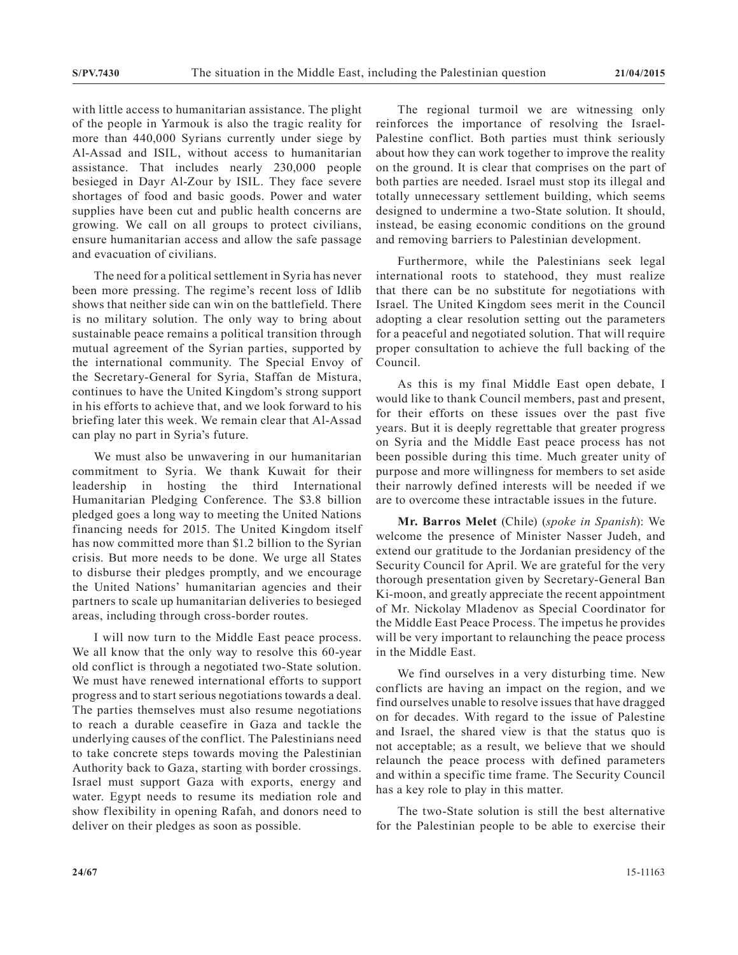with little access to humanitarian assistance. The plight of the people in Yarmouk is also the tragic reality for more than 440,000 Syrians currently under siege by Al-Assad and ISIL, without access to humanitarian assistance. That includes nearly 230,000 people besieged in Dayr Al-Zour by ISIL. They face severe shortages of food and basic goods. Power and water supplies have been cut and public health concerns are growing. We call on all groups to protect civilians, ensure humanitarian access and allow the safe passage and evacuation of civilians.

The need for a political settlement in Syria has never been more pressing. The regime's recent loss of Idlib shows that neither side can win on the battlefield. There is no military solution. The only way to bring about sustainable peace remains a political transition through mutual agreement of the Syrian parties, supported by the international community. The Special Envoy of the Secretary-General for Syria, Staffan de Mistura, continues to have the United Kingdom's strong support in his efforts to achieve that, and we look forward to his briefing later this week. We remain clear that Al-Assad can play no part in Syria's future.

We must also be unwavering in our humanitarian commitment to Syria. We thank Kuwait for their leadership in hosting the third International Humanitarian Pledging Conference. The \$3.8 billion pledged goes a long way to meeting the United Nations financing needs for 2015. The United Kingdom itself has now committed more than \$1.2 billion to the Syrian crisis. But more needs to be done. We urge all States to disburse their pledges promptly, and we encourage the United Nations' humanitarian agencies and their partners to scale up humanitarian deliveries to besieged areas, including through cross-border routes.

I will now turn to the Middle East peace process. We all know that the only way to resolve this 60-year old conflict is through a negotiated two-State solution. We must have renewed international efforts to support progress and to start serious negotiations towards a deal. The parties themselves must also resume negotiations to reach a durable ceasefire in Gaza and tackle the underlying causes of the conflict. The Palestinians need to take concrete steps towards moving the Palestinian Authority back to Gaza, starting with border crossings. Israel must support Gaza with exports, energy and water. Egypt needs to resume its mediation role and show flexibility in opening Rafah, and donors need to deliver on their pledges as soon as possible.

The regional turmoil we are witnessing only reinforces the importance of resolving the Israel-Palestine conflict. Both parties must think seriously about how they can work together to improve the reality on the ground. It is clear that comprises on the part of both parties are needed. Israel must stop its illegal and totally unnecessary settlement building, which seems designed to undermine a two-State solution. It should, instead, be easing economic conditions on the ground and removing barriers to Palestinian development.

Furthermore, while the Palestinians seek legal international roots to statehood, they must realize that there can be no substitute for negotiations with Israel. The United Kingdom sees merit in the Council adopting a clear resolution setting out the parameters for a peaceful and negotiated solution. That will require proper consultation to achieve the full backing of the Council.

As this is my final Middle East open debate, I would like to thank Council members, past and present, for their efforts on these issues over the past five years. But it is deeply regrettable that greater progress on Syria and the Middle East peace process has not been possible during this time. Much greater unity of purpose and more willingness for members to set aside their narrowly defined interests will be needed if we are to overcome these intractable issues in the future.

**Mr. Barros Melet** (Chile) (*spoke in Spanish*): We welcome the presence of Minister Nasser Judeh, and extend our gratitude to the Jordanian presidency of the Security Council for April. We are grateful for the very thorough presentation given by Secretary-General Ban Ki-moon, and greatly appreciate the recent appointment of Mr. Nickolay Mladenov as Special Coordinator for the Middle East Peace Process. The impetus he provides will be very important to relaunching the peace process in the Middle East.

We find ourselves in a very disturbing time. New conflicts are having an impact on the region, and we find ourselves unable to resolve issues that have dragged on for decades. With regard to the issue of Palestine and Israel, the shared view is that the status quo is not acceptable; as a result, we believe that we should relaunch the peace process with defined parameters and within a specific time frame. The Security Council has a key role to play in this matter.

The two-State solution is still the best alternative for the Palestinian people to be able to exercise their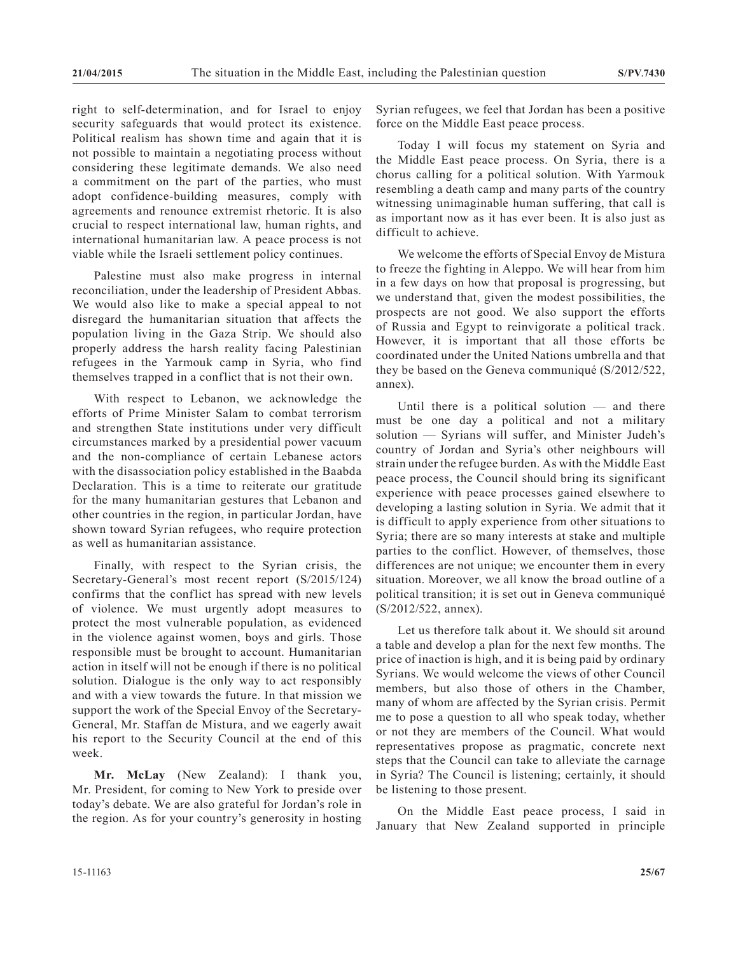right to self-determination, and for Israel to enjoy security safeguards that would protect its existence. Political realism has shown time and again that it is not possible to maintain a negotiating process without considering these legitimate demands. We also need a commitment on the part of the parties, who must adopt confidence-building measures, comply with agreements and renounce extremist rhetoric. It is also crucial to respect international law, human rights, and international humanitarian law. A peace process is not viable while the Israeli settlement policy continues.

Palestine must also make progress in internal reconciliation, under the leadership of President Abbas. We would also like to make a special appeal to not disregard the humanitarian situation that affects the population living in the Gaza Strip. We should also properly address the harsh reality facing Palestinian refugees in the Yarmouk camp in Syria, who find themselves trapped in a conflict that is not their own.

With respect to Lebanon, we acknowledge the efforts of Prime Minister Salam to combat terrorism and strengthen State institutions under very difficult circumstances marked by a presidential power vacuum and the non-compliance of certain Lebanese actors with the disassociation policy established in the Baabda Declaration. This is a time to reiterate our gratitude for the many humanitarian gestures that Lebanon and other countries in the region, in particular Jordan, have shown toward Syrian refugees, who require protection as well as humanitarian assistance.

Finally, with respect to the Syrian crisis, the Secretary-General's most recent report (S/2015/124) confirms that the conflict has spread with new levels of violence. We must urgently adopt measures to protect the most vulnerable population, as evidenced in the violence against women, boys and girls. Those responsible must be brought to account. Humanitarian action in itself will not be enough if there is no political solution. Dialogue is the only way to act responsibly and with a view towards the future. In that mission we support the work of the Special Envoy of the Secretary-General, Mr. Staffan de Mistura, and we eagerly await his report to the Security Council at the end of this week.

**Mr. McLay** (New Zealand): I thank you, Mr. President, for coming to New York to preside over today's debate. We are also grateful for Jordan's role in the region. As for your country's generosity in hosting Syrian refugees, we feel that Jordan has been a positive force on the Middle East peace process.

Today I will focus my statement on Syria and the Middle East peace process. On Syria, there is a chorus calling for a political solution. With Yarmouk resembling a death camp and many parts of the country witnessing unimaginable human suffering, that call is as important now as it has ever been. It is also just as difficult to achieve.

We welcome the efforts of Special Envoy de Mistura to freeze the fighting in Aleppo. We will hear from him in a few days on how that proposal is progressing, but we understand that, given the modest possibilities, the prospects are not good. We also support the efforts of Russia and Egypt to reinvigorate a political track. However, it is important that all those efforts be coordinated under the United Nations umbrella and that they be based on the Geneva communiqué (S/2012/522, annex).

Until there is a political solution — and there must be one day a political and not a military solution — Syrians will suffer, and Minister Judeh's country of Jordan and Syria's other neighbours will strain under the refugee burden. As with the Middle East peace process, the Council should bring its significant experience with peace processes gained elsewhere to developing a lasting solution in Syria. We admit that it is difficult to apply experience from other situations to Syria; there are so many interests at stake and multiple parties to the conflict. However, of themselves, those differences are not unique; we encounter them in every situation. Moreover, we all know the broad outline of a political transition; it is set out in Geneva communiqué (S/2012/522, annex).

Let us therefore talk about it. We should sit around a table and develop a plan for the next few months. The price of inaction is high, and it is being paid by ordinary Syrians. We would welcome the views of other Council members, but also those of others in the Chamber, many of whom are affected by the Syrian crisis. Permit me to pose a question to all who speak today, whether or not they are members of the Council. What would representatives propose as pragmatic, concrete next steps that the Council can take to alleviate the carnage in Syria? The Council is listening; certainly, it should be listening to those present.

On the Middle East peace process, I said in January that New Zealand supported in principle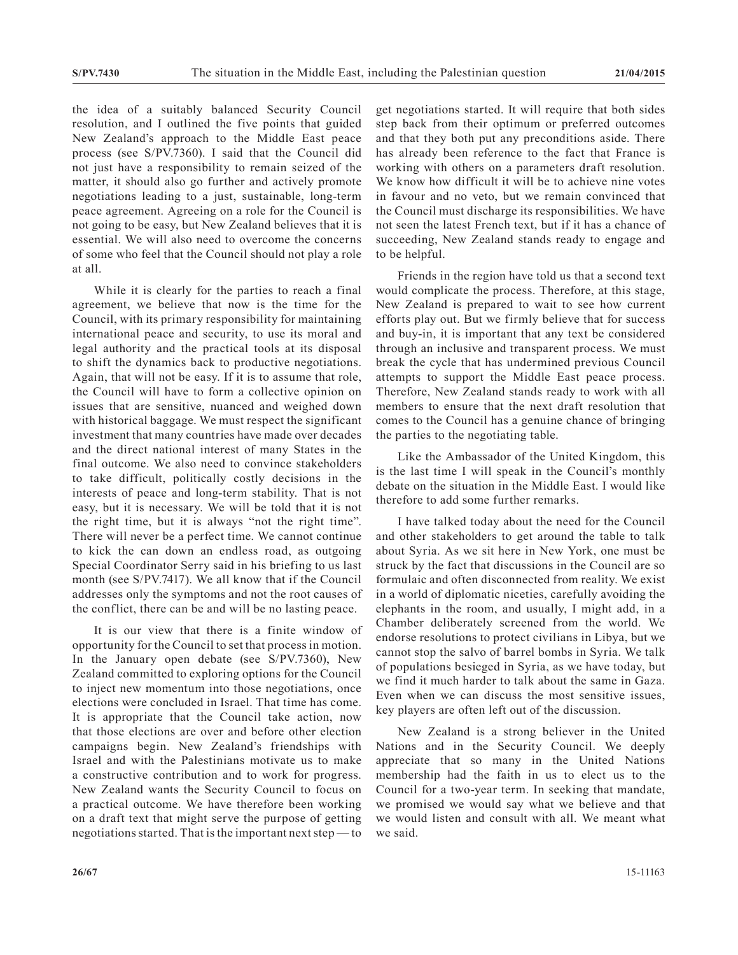the idea of a suitably balanced Security Council resolution, and I outlined the five points that guided New Zealand's approach to the Middle East peace process (see S/PV.7360). I said that the Council did not just have a responsibility to remain seized of the matter, it should also go further and actively promote negotiations leading to a just, sustainable, long-term peace agreement. Agreeing on a role for the Council is not going to be easy, but New Zealand believes that it is essential. We will also need to overcome the concerns of some who feel that the Council should not play a role at all.

While it is clearly for the parties to reach a final agreement, we believe that now is the time for the Council, with its primary responsibility for maintaining international peace and security, to use its moral and legal authority and the practical tools at its disposal to shift the dynamics back to productive negotiations. Again, that will not be easy. If it is to assume that role, the Council will have to form a collective opinion on issues that are sensitive, nuanced and weighed down with historical baggage. We must respect the significant investment that many countries have made over decades and the direct national interest of many States in the final outcome. We also need to convince stakeholders to take difficult, politically costly decisions in the interests of peace and long-term stability. That is not easy, but it is necessary. We will be told that it is not the right time, but it is always "not the right time". There will never be a perfect time. We cannot continue to kick the can down an endless road, as outgoing Special Coordinator Serry said in his briefing to us last month (see S/PV.7417). We all know that if the Council addresses only the symptoms and not the root causes of the conflict, there can be and will be no lasting peace.

It is our view that there is a finite window of opportunity for the Council to set that process in motion. In the January open debate (see S/PV.7360), New Zealand committed to exploring options for the Council to inject new momentum into those negotiations, once elections were concluded in Israel. That time has come. It is appropriate that the Council take action, now that those elections are over and before other election campaigns begin. New Zealand's friendships with Israel and with the Palestinians motivate us to make a constructive contribution and to work for progress. New Zealand wants the Security Council to focus on a practical outcome. We have therefore been working on a draft text that might serve the purpose of getting negotiations started. That is the important next step — to

get negotiations started. It will require that both sides step back from their optimum or preferred outcomes and that they both put any preconditions aside. There has already been reference to the fact that France is working with others on a parameters draft resolution. We know how difficult it will be to achieve nine votes in favour and no veto, but we remain convinced that the Council must discharge its responsibilities. We have not seen the latest French text, but if it has a chance of succeeding, New Zealand stands ready to engage and to be helpful.

Friends in the region have told us that a second text would complicate the process. Therefore, at this stage, New Zealand is prepared to wait to see how current efforts play out. But we firmly believe that for success and buy-in, it is important that any text be considered through an inclusive and transparent process. We must break the cycle that has undermined previous Council attempts to support the Middle East peace process. Therefore, New Zealand stands ready to work with all members to ensure that the next draft resolution that comes to the Council has a genuine chance of bringing the parties to the negotiating table.

Like the Ambassador of the United Kingdom, this is the last time I will speak in the Council's monthly debate on the situation in the Middle East. I would like therefore to add some further remarks.

I have talked today about the need for the Council and other stakeholders to get around the table to talk about Syria. As we sit here in New York, one must be struck by the fact that discussions in the Council are so formulaic and often disconnected from reality. We exist in a world of diplomatic niceties, carefully avoiding the elephants in the room, and usually, I might add, in a Chamber deliberately screened from the world. We endorse resolutions to protect civilians in Libya, but we cannot stop the salvo of barrel bombs in Syria. We talk of populations besieged in Syria, as we have today, but we find it much harder to talk about the same in Gaza. Even when we can discuss the most sensitive issues, key players are often left out of the discussion.

New Zealand is a strong believer in the United Nations and in the Security Council. We deeply appreciate that so many in the United Nations membership had the faith in us to elect us to the Council for a two-year term. In seeking that mandate, we promised we would say what we believe and that we would listen and consult with all. We meant what we said.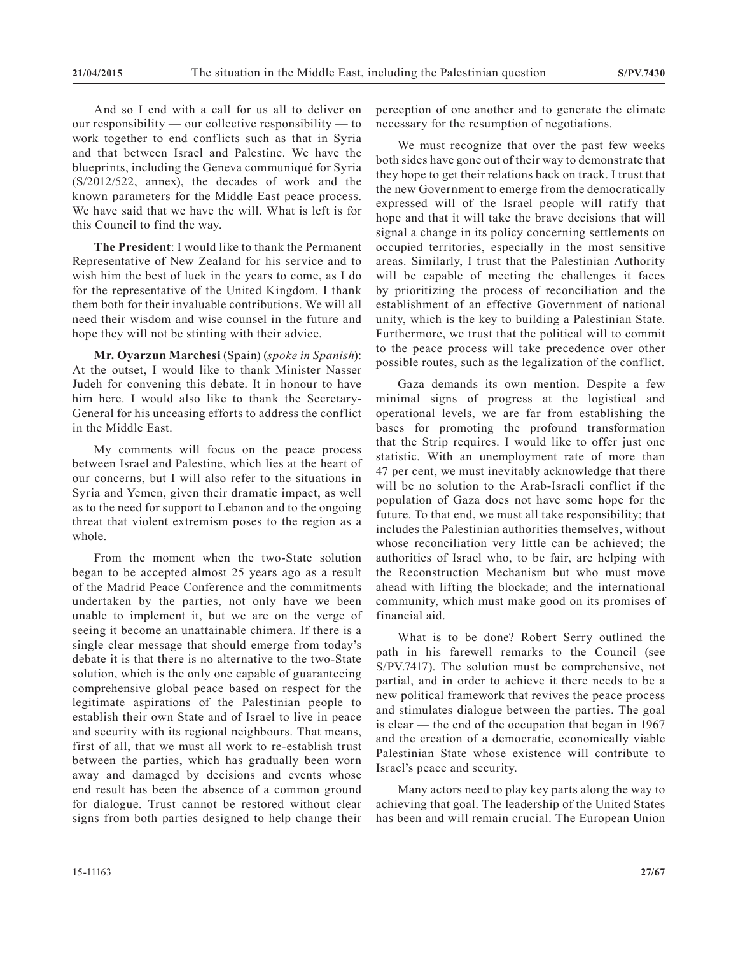And so I end with a call for us all to deliver on our responsibility — our collective responsibility — to work together to end conflicts such as that in Syria and that between Israel and Palestine. We have the blueprints, including the Geneva communiqué for Syria (S/2012/522, annex), the decades of work and the known parameters for the Middle East peace process. We have said that we have the will. What is left is for this Council to find the way.

**The President**: I would like to thank the Permanent Representative of New Zealand for his service and to wish him the best of luck in the years to come, as I do for the representative of the United Kingdom. I thank them both for their invaluable contributions. We will all need their wisdom and wise counsel in the future and hope they will not be stinting with their advice.

**Mr. Oyarzun Marchesi** (Spain) (*spoke in Spanish*): At the outset, I would like to thank Minister Nasser Judeh for convening this debate. It in honour to have him here. I would also like to thank the Secretary-General for his unceasing efforts to address the conflict in the Middle East.

My comments will focus on the peace process between Israel and Palestine, which lies at the heart of our concerns, but I will also refer to the situations in Syria and Yemen, given their dramatic impact, as well as to the need for support to Lebanon and to the ongoing threat that violent extremism poses to the region as a whole.

From the moment when the two-State solution began to be accepted almost 25 years ago as a result of the Madrid Peace Conference and the commitments undertaken by the parties, not only have we been unable to implement it, but we are on the verge of seeing it become an unattainable chimera. If there is a single clear message that should emerge from today's debate it is that there is no alternative to the two-State solution, which is the only one capable of guaranteeing comprehensive global peace based on respect for the legitimate aspirations of the Palestinian people to establish their own State and of Israel to live in peace and security with its regional neighbours. That means, first of all, that we must all work to re-establish trust between the parties, which has gradually been worn away and damaged by decisions and events whose end result has been the absence of a common ground for dialogue. Trust cannot be restored without clear signs from both parties designed to help change their

perception of one another and to generate the climate necessary for the resumption of negotiations.

We must recognize that over the past few weeks both sides have gone out of their way to demonstrate that they hope to get their relations back on track. I trust that the new Government to emerge from the democratically expressed will of the Israel people will ratify that hope and that it will take the brave decisions that will signal a change in its policy concerning settlements on occupied territories, especially in the most sensitive areas. Similarly, I trust that the Palestinian Authority will be capable of meeting the challenges it faces by prioritizing the process of reconciliation and the establishment of an effective Government of national unity, which is the key to building a Palestinian State. Furthermore, we trust that the political will to commit to the peace process will take precedence over other possible routes, such as the legalization of the conflict.

Gaza demands its own mention. Despite a few minimal signs of progress at the logistical and operational levels, we are far from establishing the bases for promoting the profound transformation that the Strip requires. I would like to offer just one statistic. With an unemployment rate of more than 47 per cent, we must inevitably acknowledge that there will be no solution to the Arab-Israeli conflict if the population of Gaza does not have some hope for the future. To that end, we must all take responsibility; that includes the Palestinian authorities themselves, without whose reconciliation very little can be achieved; the authorities of Israel who, to be fair, are helping with the Reconstruction Mechanism but who must move ahead with lifting the blockade; and the international community, which must make good on its promises of financial aid.

What is to be done? Robert Serry outlined the path in his farewell remarks to the Council (see S/PV.7417). The solution must be comprehensive, not partial, and in order to achieve it there needs to be a new political framework that revives the peace process and stimulates dialogue between the parties. The goal is clear — the end of the occupation that began in 1967 and the creation of a democratic, economically viable Palestinian State whose existence will contribute to Israel's peace and security.

Many actors need to play key parts along the way to achieving that goal. The leadership of the United States has been and will remain crucial. The European Union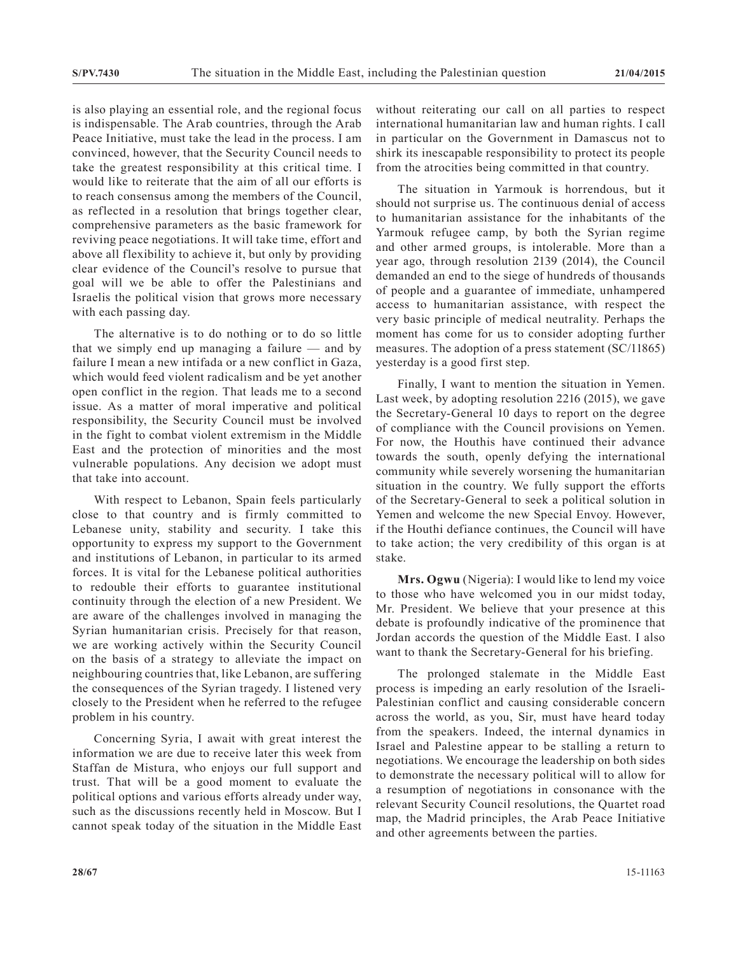is also playing an essential role, and the regional focus is indispensable. The Arab countries, through the Arab Peace Initiative, must take the lead in the process. I am convinced, however, that the Security Council needs to take the greatest responsibility at this critical time. I would like to reiterate that the aim of all our efforts is to reach consensus among the members of the Council, as reflected in a resolution that brings together clear, comprehensive parameters as the basic framework for reviving peace negotiations. It will take time, effort and above all flexibility to achieve it, but only by providing clear evidence of the Council's resolve to pursue that goal will we be able to offer the Palestinians and Israelis the political vision that grows more necessary with each passing day.

The alternative is to do nothing or to do so little that we simply end up managing a failure — and by failure I mean a new intifada or a new conflict in Gaza, which would feed violent radicalism and be yet another open conflict in the region. That leads me to a second issue. As a matter of moral imperative and political responsibility, the Security Council must be involved in the fight to combat violent extremism in the Middle East and the protection of minorities and the most vulnerable populations. Any decision we adopt must that take into account.

With respect to Lebanon, Spain feels particularly close to that country and is firmly committed to Lebanese unity, stability and security. I take this opportunity to express my support to the Government and institutions of Lebanon, in particular to its armed forces. It is vital for the Lebanese political authorities to redouble their efforts to guarantee institutional continuity through the election of a new President. We are aware of the challenges involved in managing the Syrian humanitarian crisis. Precisely for that reason, we are working actively within the Security Council on the basis of a strategy to alleviate the impact on neighbouring countries that, like Lebanon, are suffering the consequences of the Syrian tragedy. I listened very closely to the President when he referred to the refugee problem in his country.

Concerning Syria, I await with great interest the information we are due to receive later this week from Staffan de Mistura, who enjoys our full support and trust. That will be a good moment to evaluate the political options and various efforts already under way, such as the discussions recently held in Moscow. But I cannot speak today of the situation in the Middle East without reiterating our call on all parties to respect international humanitarian law and human rights. I call in particular on the Government in Damascus not to shirk its inescapable responsibility to protect its people from the atrocities being committed in that country.

The situation in Yarmouk is horrendous, but it should not surprise us. The continuous denial of access to humanitarian assistance for the inhabitants of the Yarmouk refugee camp, by both the Syrian regime and other armed groups, is intolerable. More than a year ago, through resolution 2139 (2014), the Council demanded an end to the siege of hundreds of thousands of people and a guarantee of immediate, unhampered access to humanitarian assistance, with respect the very basic principle of medical neutrality. Perhaps the moment has come for us to consider adopting further measures. The adoption of a press statement (SC/11865) yesterday is a good first step.

Finally, I want to mention the situation in Yemen. Last week, by adopting resolution 2216 (2015), we gave the Secretary-General 10 days to report on the degree of compliance with the Council provisions on Yemen. For now, the Houthis have continued their advance towards the south, openly defying the international community while severely worsening the humanitarian situation in the country. We fully support the efforts of the Secretary-General to seek a political solution in Yemen and welcome the new Special Envoy. However, if the Houthi defiance continues, the Council will have to take action; the very credibility of this organ is at stake.

**Mrs. Ogwu** (Nigeria): I would like to lend my voice to those who have welcomed you in our midst today, Mr. President. We believe that your presence at this debate is profoundly indicative of the prominence that Jordan accords the question of the Middle East. I also want to thank the Secretary-General for his briefing.

The prolonged stalemate in the Middle East process is impeding an early resolution of the Israeli-Palestinian conflict and causing considerable concern across the world, as you, Sir, must have heard today from the speakers. Indeed, the internal dynamics in Israel and Palestine appear to be stalling a return to negotiations. We encourage the leadership on both sides to demonstrate the necessary political will to allow for a resumption of negotiations in consonance with the relevant Security Council resolutions, the Quartet road map, the Madrid principles, the Arab Peace Initiative and other agreements between the parties.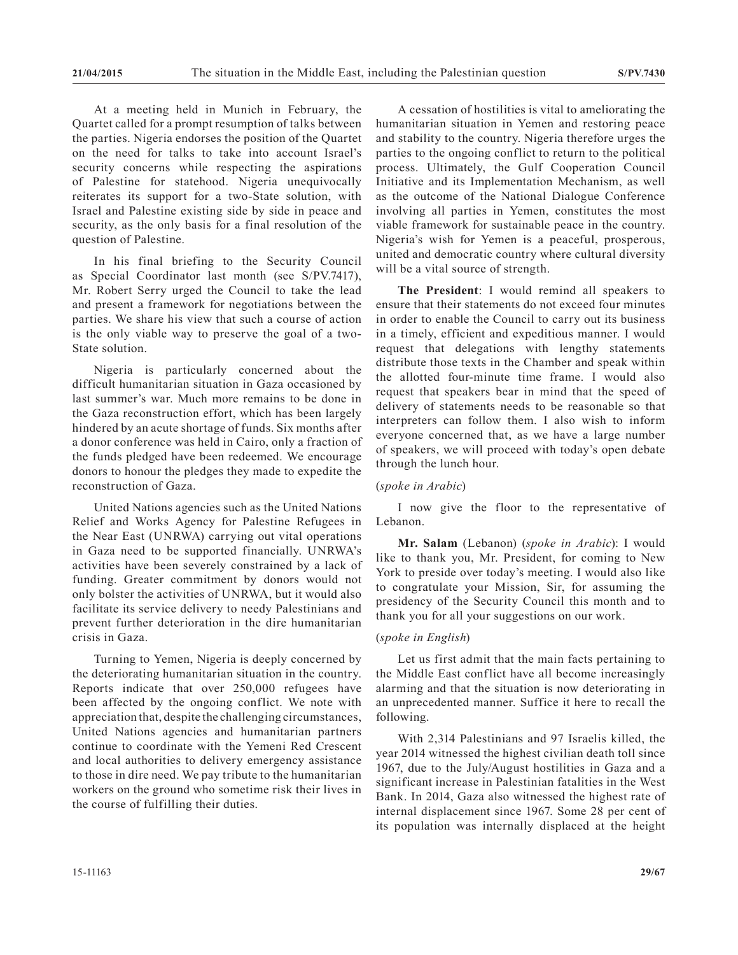At a meeting held in Munich in February, the Quartet called for a prompt resumption of talks between the parties. Nigeria endorses the position of the Quartet on the need for talks to take into account Israel's security concerns while respecting the aspirations of Palestine for statehood. Nigeria unequivocally reiterates its support for a two-State solution, with Israel and Palestine existing side by side in peace and security, as the only basis for a final resolution of the question of Palestine.

In his final briefing to the Security Council as Special Coordinator last month (see S/PV.7417), Mr. Robert Serry urged the Council to take the lead and present a framework for negotiations between the parties. We share his view that such a course of action is the only viable way to preserve the goal of a two-State solution.

Nigeria is particularly concerned about the difficult humanitarian situation in Gaza occasioned by last summer's war. Much more remains to be done in the Gaza reconstruction effort, which has been largely hindered by an acute shortage of funds. Six months after a donor conference was held in Cairo, only a fraction of the funds pledged have been redeemed. We encourage donors to honour the pledges they made to expedite the reconstruction of Gaza.

United Nations agencies such as the United Nations Relief and Works Agency for Palestine Refugees in the Near East (UNRWA) carrying out vital operations in Gaza need to be supported financially. UNRWA's activities have been severely constrained by a lack of funding. Greater commitment by donors would not only bolster the activities of UNRWA, but it would also facilitate its service delivery to needy Palestinians and prevent further deterioration in the dire humanitarian crisis in Gaza.

Turning to Yemen, Nigeria is deeply concerned by the deteriorating humanitarian situation in the country. Reports indicate that over 250,000 refugees have been affected by the ongoing conflict. We note with appreciation that, despite the challenging circumstances, United Nations agencies and humanitarian partners continue to coordinate with the Yemeni Red Crescent and local authorities to delivery emergency assistance to those in dire need. We pay tribute to the humanitarian workers on the ground who sometime risk their lives in the course of fulfilling their duties.

A cessation of hostilities is vital to ameliorating the humanitarian situation in Yemen and restoring peace and stability to the country. Nigeria therefore urges the parties to the ongoing conflict to return to the political process. Ultimately, the Gulf Cooperation Council Initiative and its Implementation Mechanism, as well as the outcome of the National Dialogue Conference involving all parties in Yemen, constitutes the most viable framework for sustainable peace in the country. Nigeria's wish for Yemen is a peaceful, prosperous, united and democratic country where cultural diversity will be a vital source of strength.

**The President**: I would remind all speakers to ensure that their statements do not exceed four minutes in order to enable the Council to carry out its business in a timely, efficient and expeditious manner. I would request that delegations with lengthy statements distribute those texts in the Chamber and speak within the allotted four-minute time frame. I would also request that speakers bear in mind that the speed of delivery of statements needs to be reasonable so that interpreters can follow them. I also wish to inform everyone concerned that, as we have a large number of speakers, we will proceed with today's open debate through the lunch hour.

# (*spoke in Arabic*)

I now give the floor to the representative of Lebanon.

**Mr. Salam** (Lebanon) (*spoke in Arabic*): I would like to thank you, Mr. President, for coming to New York to preside over today's meeting. I would also like to congratulate your Mission, Sir, for assuming the presidency of the Security Council this month and to thank you for all your suggestions on our work.

#### (*spoke in English*)

Let us first admit that the main facts pertaining to the Middle East conflict have all become increasingly alarming and that the situation is now deteriorating in an unprecedented manner. Suffice it here to recall the following.

With 2,314 Palestinians and 97 Israelis killed, the year 2014 witnessed the highest civilian death toll since 1967, due to the July/August hostilities in Gaza and a significant increase in Palestinian fatalities in the West Bank. In 2014, Gaza also witnessed the highest rate of internal displacement since 1967. Some 28 per cent of its population was internally displaced at the height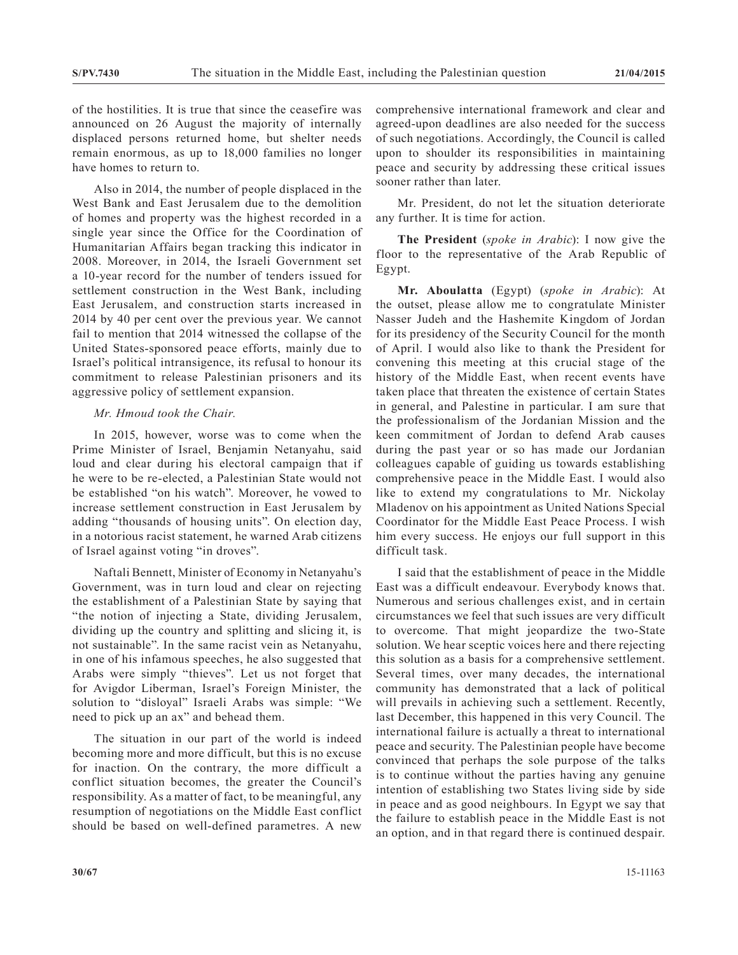of the hostilities. It is true that since the ceasefire was announced on 26 August the majority of internally displaced persons returned home, but shelter needs remain enormous, as up to 18,000 families no longer have homes to return to.

Also in 2014, the number of people displaced in the West Bank and East Jerusalem due to the demolition of homes and property was the highest recorded in a single year since the Office for the Coordination of Humanitarian Affairs began tracking this indicator in 2008. Moreover, in 2014, the Israeli Government set a 10-year record for the number of tenders issued for settlement construction in the West Bank, including East Jerusalem, and construction starts increased in 2014 by 40 per cent over the previous year. We cannot fail to mention that 2014 witnessed the collapse of the United States-sponsored peace efforts, mainly due to Israel's political intransigence, its refusal to honour its commitment to release Palestinian prisoners and its aggressive policy of settlement expansion.

# *Mr. Hmoud took the Chair.*

In 2015, however, worse was to come when the Prime Minister of Israel, Benjamin Netanyahu, said loud and clear during his electoral campaign that if he were to be re-elected, a Palestinian State would not be established "on his watch". Moreover, he vowed to increase settlement construction in East Jerusalem by adding "thousands of housing units". On election day, in a notorious racist statement, he warned Arab citizens of Israel against voting "in droves".

Naftali Bennett, Minister of Economy in Netanyahu's Government, was in turn loud and clear on rejecting the establishment of a Palestinian State by saying that "the notion of injecting a State, dividing Jerusalem, dividing up the country and splitting and slicing it, is not sustainable". In the same racist vein as Netanyahu, in one of his infamous speeches, he also suggested that Arabs were simply "thieves". Let us not forget that for Avigdor Liberman, Israel's Foreign Minister, the solution to "disloyal" Israeli Arabs was simple: "We need to pick up an ax" and behead them.

The situation in our part of the world is indeed becoming more and more difficult, but this is no excuse for inaction. On the contrary, the more difficult a conflict situation becomes, the greater the Council's responsibility. As a matter of fact, to be meaningful, any resumption of negotiations on the Middle East conflict should be based on well-defined parametres. A new

comprehensive international framework and clear and agreed-upon deadlines are also needed for the success of such negotiations. Accordingly, the Council is called upon to shoulder its responsibilities in maintaining peace and security by addressing these critical issues sooner rather than later.

Mr. President, do not let the situation deteriorate any further. It is time for action.

**The President** (*spoke in Arabic*): I now give the floor to the representative of the Arab Republic of Egypt.

**Mr. Aboulatta** (Egypt) (*spoke in Arabic*): At the outset, please allow me to congratulate Minister Nasser Judeh and the Hashemite Kingdom of Jordan for its presidency of the Security Council for the month of April. I would also like to thank the President for convening this meeting at this crucial stage of the history of the Middle East, when recent events have taken place that threaten the existence of certain States in general, and Palestine in particular. I am sure that the professionalism of the Jordanian Mission and the keen commitment of Jordan to defend Arab causes during the past year or so has made our Jordanian colleagues capable of guiding us towards establishing comprehensive peace in the Middle East. I would also like to extend my congratulations to Mr. Nickolay Mladenov on his appointment as United Nations Special Coordinator for the Middle East Peace Process. I wish him every success. He enjoys our full support in this difficult task.

I said that the establishment of peace in the Middle East was a difficult endeavour. Everybody knows that. Numerous and serious challenges exist, and in certain circumstances we feel that such issues are very difficult to overcome. That might jeopardize the two-State solution. We hear sceptic voices here and there rejecting this solution as a basis for a comprehensive settlement. Several times, over many decades, the international community has demonstrated that a lack of political will prevails in achieving such a settlement. Recently, last December, this happened in this very Council. The international failure is actually a threat to international peace and security. The Palestinian people have become convinced that perhaps the sole purpose of the talks is to continue without the parties having any genuine intention of establishing two States living side by side in peace and as good neighbours. In Egypt we say that the failure to establish peace in the Middle East is not an option, and in that regard there is continued despair.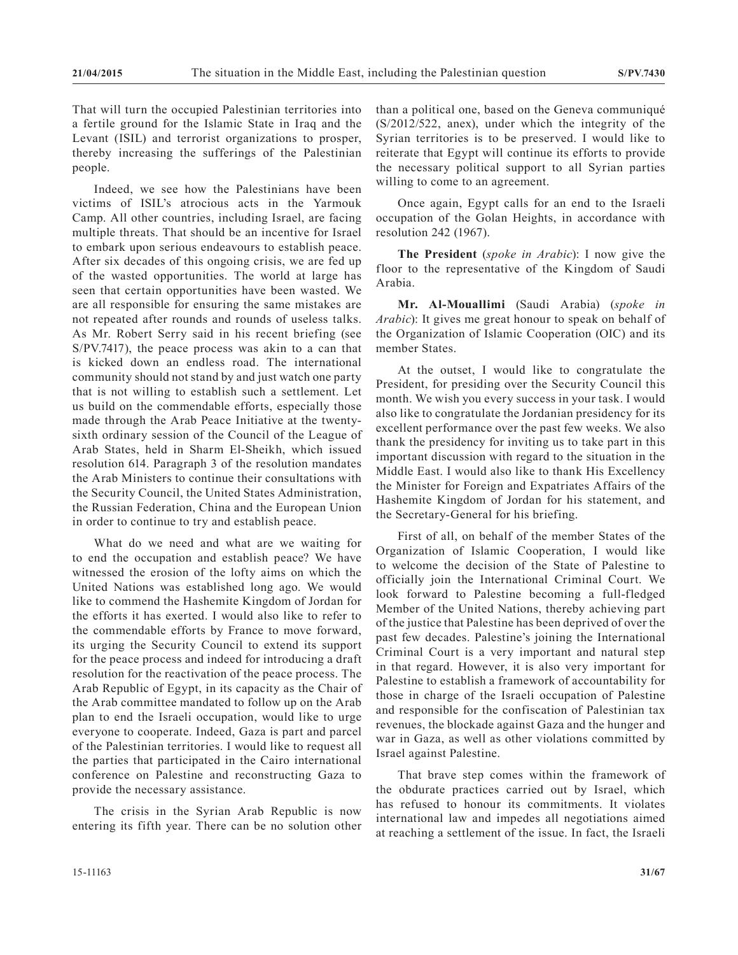That will turn the occupied Palestinian territories into a fertile ground for the Islamic State in Iraq and the Levant (ISIL) and terrorist organizations to prosper, thereby increasing the sufferings of the Palestinian people.

Indeed, we see how the Palestinians have been victims of ISIL's atrocious acts in the Yarmouk Camp. All other countries, including Israel, are facing multiple threats. That should be an incentive for Israel to embark upon serious endeavours to establish peace. After six decades of this ongoing crisis, we are fed up of the wasted opportunities. The world at large has seen that certain opportunities have been wasted. We are all responsible for ensuring the same mistakes are not repeated after rounds and rounds of useless talks. As Mr. Robert Serry said in his recent briefing (see S/PV.7417), the peace process was akin to a can that is kicked down an endless road. The international community should not stand by and just watch one party that is not willing to establish such a settlement. Let us build on the commendable efforts, especially those made through the Arab Peace Initiative at the twentysixth ordinary session of the Council of the League of Arab States, held in Sharm El-Sheikh, which issued resolution 614. Paragraph 3 of the resolution mandates the Arab Ministers to continue their consultations with the Security Council, the United States Administration, the Russian Federation, China and the European Union in order to continue to try and establish peace.

What do we need and what are we waiting for to end the occupation and establish peace? We have witnessed the erosion of the lofty aims on which the United Nations was established long ago. We would like to commend the Hashemite Kingdom of Jordan for the efforts it has exerted. I would also like to refer to the commendable efforts by France to move forward, its urging the Security Council to extend its support for the peace process and indeed for introducing a draft resolution for the reactivation of the peace process. The Arab Republic of Egypt, in its capacity as the Chair of the Arab committee mandated to follow up on the Arab plan to end the Israeli occupation, would like to urge everyone to cooperate. Indeed, Gaza is part and parcel of the Palestinian territories. I would like to request all the parties that participated in the Cairo international conference on Palestine and reconstructing Gaza to provide the necessary assistance.

The crisis in the Syrian Arab Republic is now entering its fifth year. There can be no solution other than a political one, based on the Geneva communiqué (S/2012/522, anex), under which the integrity of the Syrian territories is to be preserved. I would like to reiterate that Egypt will continue its efforts to provide the necessary political support to all Syrian parties willing to come to an agreement.

Once again, Egypt calls for an end to the Israeli occupation of the Golan Heights, in accordance with resolution 242 (1967).

**The President** (*spoke in Arabic*): I now give the floor to the representative of the Kingdom of Saudi Arabia.

**Mr. Al-Mouallimi** (Saudi Arabia) (*spoke in Arabic*): It gives me great honour to speak on behalf of the Organization of Islamic Cooperation (OIC) and its member States.

At the outset, I would like to congratulate the President, for presiding over the Security Council this month. We wish you every success in your task. I would also like to congratulate the Jordanian presidency for its excellent performance over the past few weeks. We also thank the presidency for inviting us to take part in this important discussion with regard to the situation in the Middle East. I would also like to thank His Excellency the Minister for Foreign and Expatriates Affairs of the Hashemite Kingdom of Jordan for his statement, and the Secretary-General for his briefing.

First of all, on behalf of the member States of the Organization of Islamic Cooperation, I would like to welcome the decision of the State of Palestine to officially join the International Criminal Court. We look forward to Palestine becoming a full-fledged Member of the United Nations, thereby achieving part of the justice that Palestine has been deprived of over the past few decades. Palestine's joining the International Criminal Court is a very important and natural step in that regard. However, it is also very important for Palestine to establish a framework of accountability for those in charge of the Israeli occupation of Palestine and responsible for the confiscation of Palestinian tax revenues, the blockade against Gaza and the hunger and war in Gaza, as well as other violations committed by Israel against Palestine.

That brave step comes within the framework of the obdurate practices carried out by Israel, which has refused to honour its commitments. It violates international law and impedes all negotiations aimed at reaching a settlement of the issue. In fact, the Israeli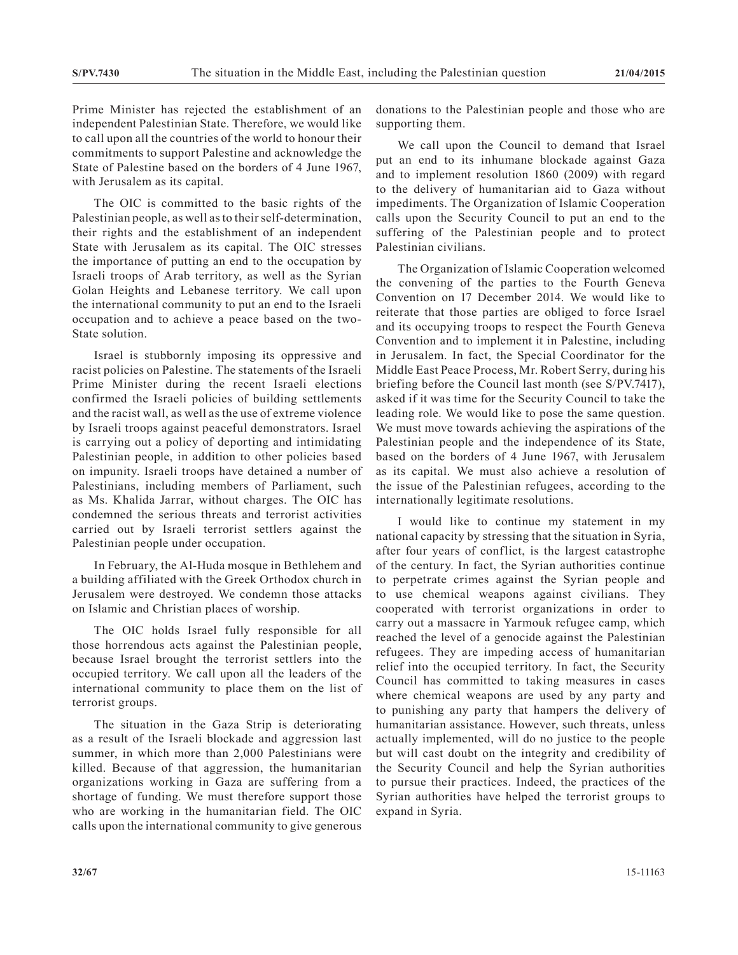Prime Minister has rejected the establishment of an independent Palestinian State. Therefore, we would like to call upon all the countries of the world to honour their commitments to support Palestine and acknowledge the State of Palestine based on the borders of 4 June 1967, with Jerusalem as its capital.

The OIC is committed to the basic rights of the Palestinian people, as well as to their self-determination, their rights and the establishment of an independent State with Jerusalem as its capital. The OIC stresses the importance of putting an end to the occupation by Israeli troops of Arab territory, as well as the Syrian Golan Heights and Lebanese territory. We call upon the international community to put an end to the Israeli occupation and to achieve a peace based on the two-State solution.

Israel is stubbornly imposing its oppressive and racist policies on Palestine. The statements of the Israeli Prime Minister during the recent Israeli elections confirmed the Israeli policies of building settlements and the racist wall, as well as the use of extreme violence by Israeli troops against peaceful demonstrators. Israel is carrying out a policy of deporting and intimidating Palestinian people, in addition to other policies based on impunity. Israeli troops have detained a number of Palestinians, including members of Parliament, such as Ms. Khalida Jarrar, without charges. The OIC has condemned the serious threats and terrorist activities carried out by Israeli terrorist settlers against the Palestinian people under occupation.

In February, the Al-Huda mosque in Bethlehem and a building affiliated with the Greek Orthodox church in Jerusalem were destroyed. We condemn those attacks on Islamic and Christian places of worship.

The OIC holds Israel fully responsible for all those horrendous acts against the Palestinian people, because Israel brought the terrorist settlers into the occupied territory. We call upon all the leaders of the international community to place them on the list of terrorist groups.

The situation in the Gaza Strip is deteriorating as a result of the Israeli blockade and aggression last summer, in which more than 2,000 Palestinians were killed. Because of that aggression, the humanitarian organizations working in Gaza are suffering from a shortage of funding. We must therefore support those who are working in the humanitarian field. The OIC calls upon the international community to give generous

donations to the Palestinian people and those who are supporting them.

We call upon the Council to demand that Israel put an end to its inhumane blockade against Gaza and to implement resolution 1860 (2009) with regard to the delivery of humanitarian aid to Gaza without impediments. The Organization of Islamic Cooperation calls upon the Security Council to put an end to the suffering of the Palestinian people and to protect Palestinian civilians.

The Organization of Islamic Cooperation welcomed the convening of the parties to the Fourth Geneva Convention on 17 December 2014. We would like to reiterate that those parties are obliged to force Israel and its occupying troops to respect the Fourth Geneva Convention and to implement it in Palestine, including in Jerusalem. In fact, the Special Coordinator for the Middle East Peace Process, Mr. Robert Serry, during his briefing before the Council last month (see S/PV.7417), asked if it was time for the Security Council to take the leading role. We would like to pose the same question. We must move towards achieving the aspirations of the Palestinian people and the independence of its State, based on the borders of 4 June 1967, with Jerusalem as its capital. We must also achieve a resolution of the issue of the Palestinian refugees, according to the internationally legitimate resolutions.

I would like to continue my statement in my national capacity by stressing that the situation in Syria, after four years of conflict, is the largest catastrophe of the century. In fact, the Syrian authorities continue to perpetrate crimes against the Syrian people and to use chemical weapons against civilians. They cooperated with terrorist organizations in order to carry out a massacre in Yarmouk refugee camp, which reached the level of a genocide against the Palestinian refugees. They are impeding access of humanitarian relief into the occupied territory. In fact, the Security Council has committed to taking measures in cases where chemical weapons are used by any party and to punishing any party that hampers the delivery of humanitarian assistance. However, such threats, unless actually implemented, will do no justice to the people but will cast doubt on the integrity and credibility of the Security Council and help the Syrian authorities to pursue their practices. Indeed, the practices of the Syrian authorities have helped the terrorist groups to expand in Syria.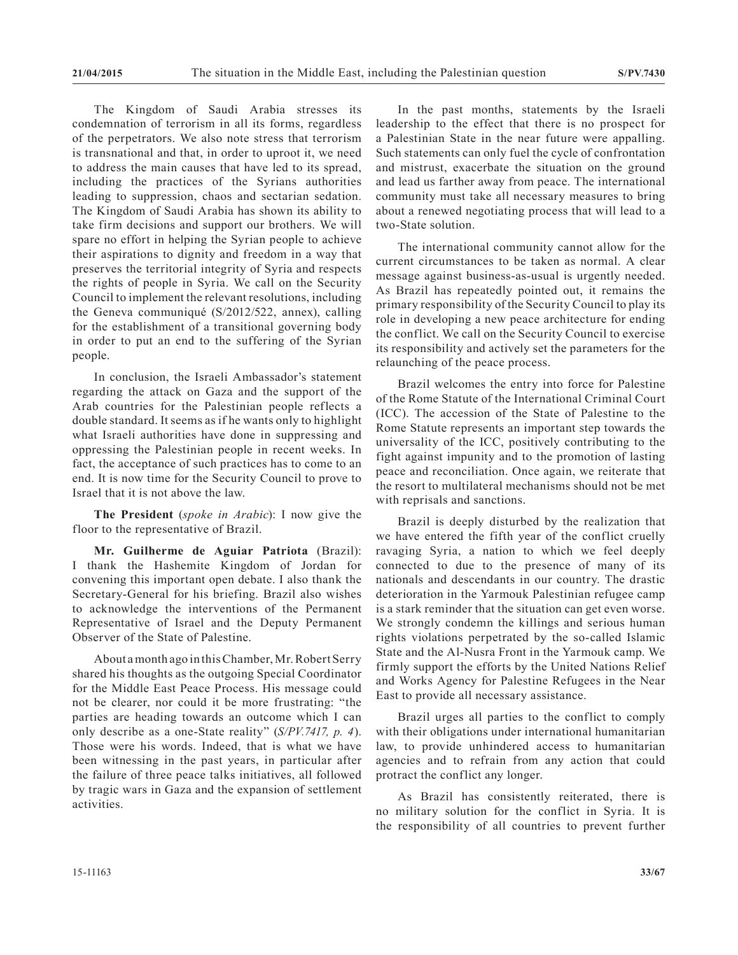The Kingdom of Saudi Arabia stresses its condemnation of terrorism in all its forms, regardless of the perpetrators. We also note stress that terrorism is transnational and that, in order to uproot it, we need to address the main causes that have led to its spread, including the practices of the Syrians authorities leading to suppression, chaos and sectarian sedation. The Kingdom of Saudi Arabia has shown its ability to take firm decisions and support our brothers. We will spare no effort in helping the Syrian people to achieve their aspirations to dignity and freedom in a way that preserves the territorial integrity of Syria and respects the rights of people in Syria. We call on the Security Council to implement the relevant resolutions, including the Geneva communiqué (S/2012/522, annex), calling for the establishment of a transitional governing body in order to put an end to the suffering of the Syrian people.

In conclusion, the Israeli Ambassador's statement regarding the attack on Gaza and the support of the Arab countries for the Palestinian people reflects a double standard. It seems as if he wants only to highlight what Israeli authorities have done in suppressing and oppressing the Palestinian people in recent weeks. In fact, the acceptance of such practices has to come to an end. It is now time for the Security Council to prove to Israel that it is not above the law.

**The President** (*spoke in Arabic*): I now give the floor to the representative of Brazil.

**Mr. Guilherme de Aguiar Patriota** (Brazil): I thank the Hashemite Kingdom of Jordan for convening this important open debate. I also thank the Secretary-General for his briefing. Brazil also wishes to acknowledge the interventions of the Permanent Representative of Israel and the Deputy Permanent Observer of the State of Palestine.

About a month ago in this Chamber, Mr. Robert Serry shared his thoughts as the outgoing Special Coordinator for the Middle East Peace Process. His message could not be clearer, nor could it be more frustrating: "the parties are heading towards an outcome which I can only describe as a one-State reality" (*S/PV.7417, p. 4*). Those were his words. Indeed, that is what we have been witnessing in the past years, in particular after the failure of three peace talks initiatives, all followed by tragic wars in Gaza and the expansion of settlement activities.

In the past months, statements by the Israeli leadership to the effect that there is no prospect for a Palestinian State in the near future were appalling. Such statements can only fuel the cycle of confrontation and mistrust, exacerbate the situation on the ground and lead us farther away from peace. The international community must take all necessary measures to bring about a renewed negotiating process that will lead to a two-State solution.

The international community cannot allow for the current circumstances to be taken as normal. A clear message against business-as-usual is urgently needed. As Brazil has repeatedly pointed out, it remains the primary responsibility of the Security Council to play its role in developing a new peace architecture for ending the conflict. We call on the Security Council to exercise its responsibility and actively set the parameters for the relaunching of the peace process.

Brazil welcomes the entry into force for Palestine of the Rome Statute of the International Criminal Court (ICC). The accession of the State of Palestine to the Rome Statute represents an important step towards the universality of the ICC, positively contributing to the fight against impunity and to the promotion of lasting peace and reconciliation. Once again, we reiterate that the resort to multilateral mechanisms should not be met with reprisals and sanctions.

Brazil is deeply disturbed by the realization that we have entered the fifth year of the conflict cruelly ravaging Syria, a nation to which we feel deeply connected to due to the presence of many of its nationals and descendants in our country. The drastic deterioration in the Yarmouk Palestinian refugee camp is a stark reminder that the situation can get even worse. We strongly condemn the killings and serious human rights violations perpetrated by the so-called Islamic State and the Al-Nusra Front in the Yarmouk camp. We firmly support the efforts by the United Nations Relief and Works Agency for Palestine Refugees in the Near East to provide all necessary assistance.

Brazil urges all parties to the conflict to comply with their obligations under international humanitarian law, to provide unhindered access to humanitarian agencies and to refrain from any action that could protract the conflict any longer.

As Brazil has consistently reiterated, there is no military solution for the conflict in Syria. It is the responsibility of all countries to prevent further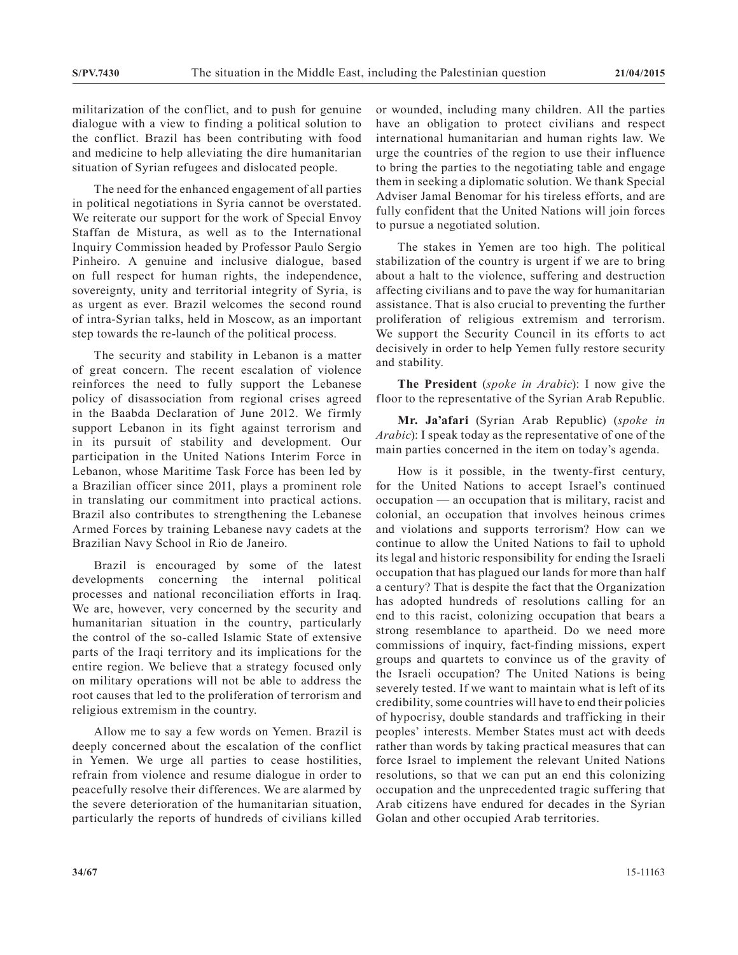militarization of the conflict, and to push for genuine dialogue with a view to finding a political solution to the conflict. Brazil has been contributing with food and medicine to help alleviating the dire humanitarian situation of Syrian refugees and dislocated people.

The need for the enhanced engagement of all parties in political negotiations in Syria cannot be overstated. We reiterate our support for the work of Special Envoy Staffan de Mistura, as well as to the International Inquiry Commission headed by Professor Paulo Sergio Pinheiro. A genuine and inclusive dialogue, based on full respect for human rights, the independence, sovereignty, unity and territorial integrity of Syria, is as urgent as ever. Brazil welcomes the second round of intra-Syrian talks, held in Moscow, as an important step towards the re-launch of the political process.

The security and stability in Lebanon is a matter of great concern. The recent escalation of violence reinforces the need to fully support the Lebanese policy of disassociation from regional crises agreed in the Baabda Declaration of June 2012. We firmly support Lebanon in its fight against terrorism and in its pursuit of stability and development. Our participation in the United Nations Interim Force in Lebanon, whose Maritime Task Force has been led by a Brazilian officer since 2011, plays a prominent role in translating our commitment into practical actions. Brazil also contributes to strengthening the Lebanese Armed Forces by training Lebanese navy cadets at the Brazilian Navy School in Rio de Janeiro.

Brazil is encouraged by some of the latest developments concerning the internal political processes and national reconciliation efforts in Iraq. We are, however, very concerned by the security and humanitarian situation in the country, particularly the control of the so-called Islamic State of extensive parts of the Iraqi territory and its implications for the entire region. We believe that a strategy focused only on military operations will not be able to address the root causes that led to the proliferation of terrorism and religious extremism in the country.

Allow me to say a few words on Yemen. Brazil is deeply concerned about the escalation of the conflict in Yemen. We urge all parties to cease hostilities, refrain from violence and resume dialogue in order to peacefully resolve their differences. We are alarmed by the severe deterioration of the humanitarian situation, particularly the reports of hundreds of civilians killed or wounded, including many children. All the parties have an obligation to protect civilians and respect international humanitarian and human rights law. We urge the countries of the region to use their influence to bring the parties to the negotiating table and engage them in seeking a diplomatic solution. We thank Special Adviser Jamal Benomar for his tireless efforts, and are fully confident that the United Nations will join forces to pursue a negotiated solution.

The stakes in Yemen are too high. The political stabilization of the country is urgent if we are to bring about a halt to the violence, suffering and destruction affecting civilians and to pave the way for humanitarian assistance. That is also crucial to preventing the further proliferation of religious extremism and terrorism. We support the Security Council in its efforts to act decisively in order to help Yemen fully restore security and stability.

**The President** (*spoke in Arabic*): I now give the floor to the representative of the Syrian Arab Republic.

**Mr. Ja'afari** (Syrian Arab Republic) (*spoke in Arabic*): I speak today as the representative of one of the main parties concerned in the item on today's agenda.

How is it possible, in the twenty-first century, for the United Nations to accept Israel's continued occupation — an occupation that is military, racist and colonial, an occupation that involves heinous crimes and violations and supports terrorism? How can we continue to allow the United Nations to fail to uphold its legal and historic responsibility for ending the Israeli occupation that has plagued our lands for more than half a century? That is despite the fact that the Organization has adopted hundreds of resolutions calling for an end to this racist, colonizing occupation that bears a strong resemblance to apartheid. Do we need more commissions of inquiry, fact-finding missions, expert groups and quartets to convince us of the gravity of the Israeli occupation? The United Nations is being severely tested. If we want to maintain what is left of its credibility, some countries will have to end their policies of hypocrisy, double standards and trafficking in their peoples' interests. Member States must act with deeds rather than words by taking practical measures that can force Israel to implement the relevant United Nations resolutions, so that we can put an end this colonizing occupation and the unprecedented tragic suffering that Arab citizens have endured for decades in the Syrian Golan and other occupied Arab territories.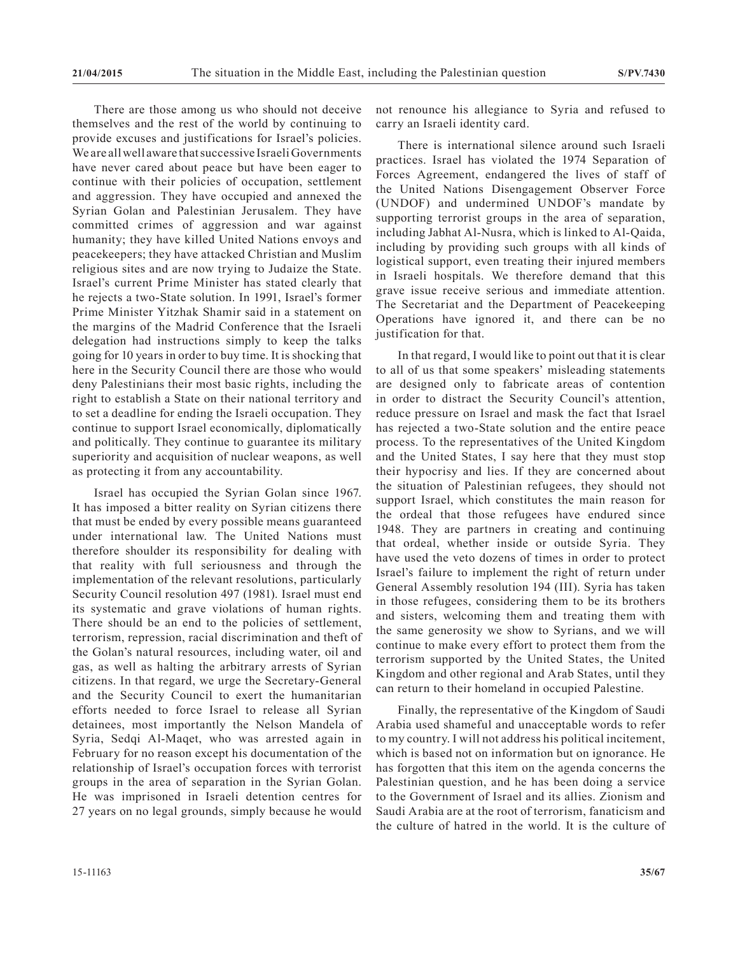There are those among us who should not deceive themselves and the rest of the world by continuing to provide excuses and justifications for Israel's policies. We are all well aware that successive Israeli Governments have never cared about peace but have been eager to continue with their policies of occupation, settlement and aggression. They have occupied and annexed the Syrian Golan and Palestinian Jerusalem. They have committed crimes of aggression and war against humanity; they have killed United Nations envoys and peacekeepers; they have attacked Christian and Muslim religious sites and are now trying to Judaize the State. Israel's current Prime Minister has stated clearly that he rejects a two-State solution. In 1991, Israel's former Prime Minister Yitzhak Shamir said in a statement on the margins of the Madrid Conference that the Israeli delegation had instructions simply to keep the talks going for 10 years in order to buy time. It is shocking that here in the Security Council there are those who would deny Palestinians their most basic rights, including the right to establish a State on their national territory and to set a deadline for ending the Israeli occupation. They continue to support Israel economically, diplomatically and politically. They continue to guarantee its military superiority and acquisition of nuclear weapons, as well as protecting it from any accountability.

Israel has occupied the Syrian Golan since 1967. It has imposed a bitter reality on Syrian citizens there that must be ended by every possible means guaranteed under international law. The United Nations must therefore shoulder its responsibility for dealing with that reality with full seriousness and through the implementation of the relevant resolutions, particularly Security Council resolution 497 (1981). Israel must end its systematic and grave violations of human rights. There should be an end to the policies of settlement, terrorism, repression, racial discrimination and theft of the Golan's natural resources, including water, oil and gas, as well as halting the arbitrary arrests of Syrian citizens. In that regard, we urge the Secretary-General and the Security Council to exert the humanitarian efforts needed to force Israel to release all Syrian detainees, most importantly the Nelson Mandela of Syria, Sedqi Al-Maqet, who was arrested again in February for no reason except his documentation of the relationship of Israel's occupation forces with terrorist groups in the area of separation in the Syrian Golan. He was imprisoned in Israeli detention centres for 27 years on no legal grounds, simply because he would

not renounce his allegiance to Syria and refused to carry an Israeli identity card.

There is international silence around such Israeli practices. Israel has violated the 1974 Separation of Forces Agreement, endangered the lives of staff of the United Nations Disengagement Observer Force (UNDOF) and undermined UNDOF's mandate by supporting terrorist groups in the area of separation, including Jabhat Al-Nusra, which is linked to Al-Qaida, including by providing such groups with all kinds of logistical support, even treating their injured members in Israeli hospitals. We therefore demand that this grave issue receive serious and immediate attention. The Secretariat and the Department of Peacekeeping Operations have ignored it, and there can be no justification for that.

In that regard, I would like to point out that it is clear to all of us that some speakers' misleading statements are designed only to fabricate areas of contention in order to distract the Security Council's attention, reduce pressure on Israel and mask the fact that Israel has rejected a two-State solution and the entire peace process. To the representatives of the United Kingdom and the United States, I say here that they must stop their hypocrisy and lies. If they are concerned about the situation of Palestinian refugees, they should not support Israel, which constitutes the main reason for the ordeal that those refugees have endured since 1948. They are partners in creating and continuing that ordeal, whether inside or outside Syria. They have used the veto dozens of times in order to protect Israel's failure to implement the right of return under General Assembly resolution 194 (III). Syria has taken in those refugees, considering them to be its brothers and sisters, welcoming them and treating them with the same generosity we show to Syrians, and we will continue to make every effort to protect them from the terrorism supported by the United States, the United Kingdom and other regional and Arab States, until they can return to their homeland in occupied Palestine.

Finally, the representative of the Kingdom of Saudi Arabia used shameful and unacceptable words to refer to my country. I will not address his political incitement, which is based not on information but on ignorance. He has forgotten that this item on the agenda concerns the Palestinian question, and he has been doing a service to the Government of Israel and its allies. Zionism and Saudi Arabia are at the root of terrorism, fanaticism and the culture of hatred in the world. It is the culture of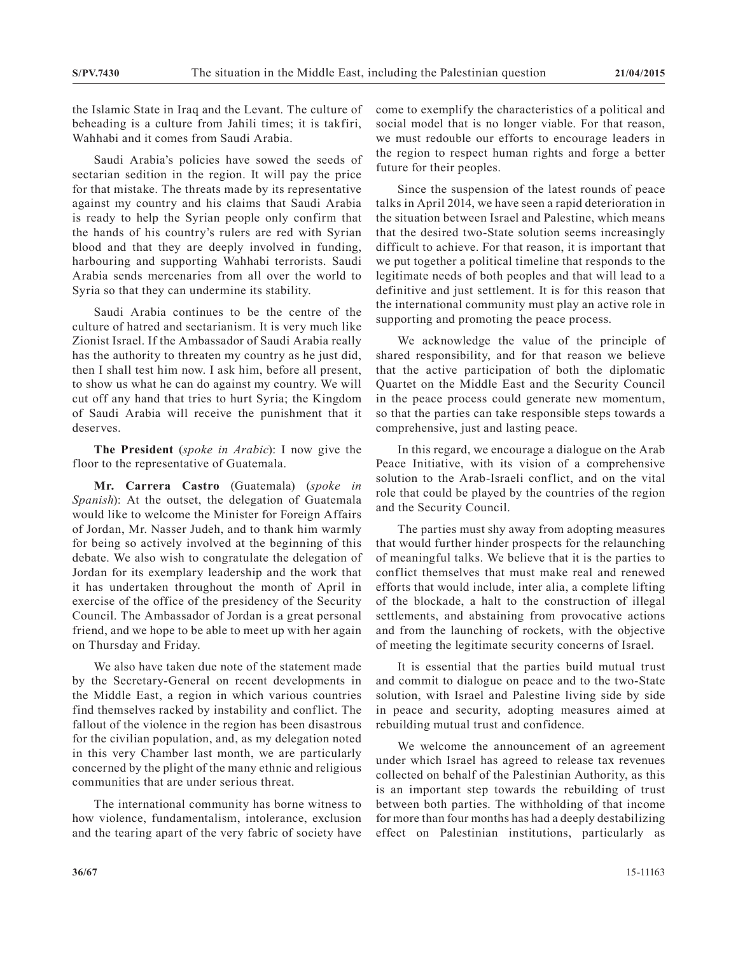the Islamic State in Iraq and the Levant. The culture of beheading is a culture from Jahili times; it is takfiri, Wahhabi and it comes from Saudi Arabia.

Saudi Arabia's policies have sowed the seeds of sectarian sedition in the region. It will pay the price for that mistake. The threats made by its representative against my country and his claims that Saudi Arabia is ready to help the Syrian people only confirm that the hands of his country's rulers are red with Syrian blood and that they are deeply involved in funding, harbouring and supporting Wahhabi terrorists. Saudi Arabia sends mercenaries from all over the world to Syria so that they can undermine its stability.

Saudi Arabia continues to be the centre of the culture of hatred and sectarianism. It is very much like Zionist Israel. If the Ambassador of Saudi Arabia really has the authority to threaten my country as he just did, then I shall test him now. I ask him, before all present, to show us what he can do against my country. We will cut off any hand that tries to hurt Syria; the Kingdom of Saudi Arabia will receive the punishment that it deserves.

**The President** (*spoke in Arabic*): I now give the floor to the representative of Guatemala.

**Mr. Carrera Castro** (Guatemala) (*spoke in Spanish*): At the outset, the delegation of Guatemala would like to welcome the Minister for Foreign Affairs of Jordan, Mr. Nasser Judeh, and to thank him warmly for being so actively involved at the beginning of this debate. We also wish to congratulate the delegation of Jordan for its exemplary leadership and the work that it has undertaken throughout the month of April in exercise of the office of the presidency of the Security Council. The Ambassador of Jordan is a great personal friend, and we hope to be able to meet up with her again on Thursday and Friday.

We also have taken due note of the statement made by the Secretary-General on recent developments in the Middle East, a region in which various countries find themselves racked by instability and conflict. The fallout of the violence in the region has been disastrous for the civilian population, and, as my delegation noted in this very Chamber last month, we are particularly concerned by the plight of the many ethnic and religious communities that are under serious threat.

The international community has borne witness to how violence, fundamentalism, intolerance, exclusion and the tearing apart of the very fabric of society have come to exemplify the characteristics of a political and social model that is no longer viable. For that reason, we must redouble our efforts to encourage leaders in the region to respect human rights and forge a better future for their peoples.

Since the suspension of the latest rounds of peace talks in April 2014, we have seen a rapid deterioration in the situation between Israel and Palestine, which means that the desired two-State solution seems increasingly difficult to achieve. For that reason, it is important that we put together a political timeline that responds to the legitimate needs of both peoples and that will lead to a definitive and just settlement. It is for this reason that the international community must play an active role in supporting and promoting the peace process.

We acknowledge the value of the principle of shared responsibility, and for that reason we believe that the active participation of both the diplomatic Quartet on the Middle East and the Security Council in the peace process could generate new momentum, so that the parties can take responsible steps towards a comprehensive, just and lasting peace.

In this regard, we encourage a dialogue on the Arab Peace Initiative, with its vision of a comprehensive solution to the Arab-Israeli conflict, and on the vital role that could be played by the countries of the region and the Security Council.

The parties must shy away from adopting measures that would further hinder prospects for the relaunching of meaningful talks. We believe that it is the parties to conflict themselves that must make real and renewed efforts that would include, inter alia, a complete lifting of the blockade, a halt to the construction of illegal settlements, and abstaining from provocative actions and from the launching of rockets, with the objective of meeting the legitimate security concerns of Israel.

It is essential that the parties build mutual trust and commit to dialogue on peace and to the two-State solution, with Israel and Palestine living side by side in peace and security, adopting measures aimed at rebuilding mutual trust and confidence.

We welcome the announcement of an agreement under which Israel has agreed to release tax revenues collected on behalf of the Palestinian Authority, as this is an important step towards the rebuilding of trust between both parties. The withholding of that income for more than four months has had a deeply destabilizing effect on Palestinian institutions, particularly as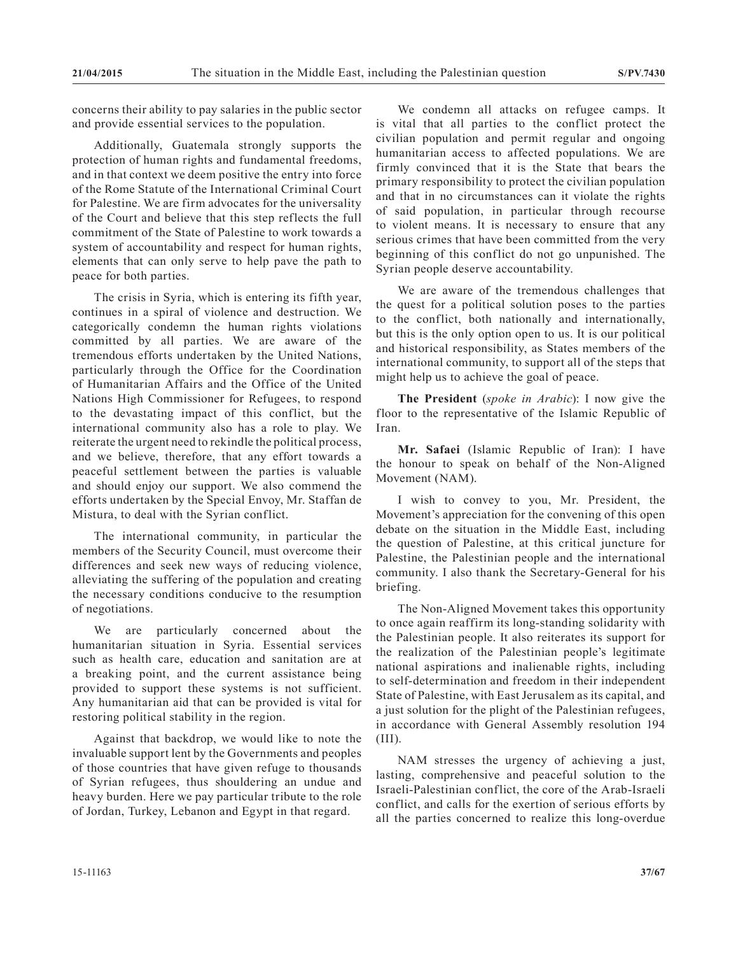concerns their ability to pay salaries in the public sector and provide essential services to the population.

Additionally, Guatemala strongly supports the protection of human rights and fundamental freedoms, and in that context we deem positive the entry into force of the Rome Statute of the International Criminal Court for Palestine. We are firm advocates for the universality of the Court and believe that this step reflects the full commitment of the State of Palestine to work towards a system of accountability and respect for human rights, elements that can only serve to help pave the path to peace for both parties.

The crisis in Syria, which is entering its fifth year, continues in a spiral of violence and destruction. We categorically condemn the human rights violations committed by all parties. We are aware of the tremendous efforts undertaken by the United Nations, particularly through the Office for the Coordination of Humanitarian Affairs and the Office of the United Nations High Commissioner for Refugees, to respond to the devastating impact of this conflict, but the international community also has a role to play. We reiterate the urgent need to rekindle the political process, and we believe, therefore, that any effort towards a peaceful settlement between the parties is valuable and should enjoy our support. We also commend the efforts undertaken by the Special Envoy, Mr. Staffan de Mistura, to deal with the Syrian conflict.

The international community, in particular the members of the Security Council, must overcome their differences and seek new ways of reducing violence, alleviating the suffering of the population and creating the necessary conditions conducive to the resumption of negotiations.

We are particularly concerned about the humanitarian situation in Syria. Essential services such as health care, education and sanitation are at a breaking point, and the current assistance being provided to support these systems is not sufficient. Any humanitarian aid that can be provided is vital for restoring political stability in the region.

Against that backdrop, we would like to note the invaluable support lent by the Governments and peoples of those countries that have given refuge to thousands of Syrian refugees, thus shouldering an undue and heavy burden. Here we pay particular tribute to the role of Jordan, Turkey, Lebanon and Egypt in that regard.

We condemn all attacks on refugee camps. It is vital that all parties to the conflict protect the civilian population and permit regular and ongoing humanitarian access to affected populations. We are firmly convinced that it is the State that bears the primary responsibility to protect the civilian population and that in no circumstances can it violate the rights of said population, in particular through recourse to violent means. It is necessary to ensure that any serious crimes that have been committed from the very beginning of this conflict do not go unpunished. The Syrian people deserve accountability.

We are aware of the tremendous challenges that the quest for a political solution poses to the parties to the conflict, both nationally and internationally, but this is the only option open to us. It is our political and historical responsibility, as States members of the international community, to support all of the steps that might help us to achieve the goal of peace.

**The President** (*spoke in Arabic*): I now give the floor to the representative of the Islamic Republic of Iran.

**Mr. Safaei** (Islamic Republic of Iran): I have the honour to speak on behalf of the Non-Aligned Movement (NAM).

I wish to convey to you, Mr. President, the Movement's appreciation for the convening of this open debate on the situation in the Middle East, including the question of Palestine, at this critical juncture for Palestine, the Palestinian people and the international community. I also thank the Secretary-General for his briefing.

The Non-Aligned Movement takes this opportunity to once again reaffirm its long-standing solidarity with the Palestinian people. It also reiterates its support for the realization of the Palestinian people's legitimate national aspirations and inalienable rights, including to self-determination and freedom in their independent State of Palestine, with East Jerusalem as its capital, and a just solution for the plight of the Palestinian refugees, in accordance with General Assembly resolution 194 (III).

NAM stresses the urgency of achieving a just, lasting, comprehensive and peaceful solution to the Israeli-Palestinian conflict, the core of the Arab-Israeli conflict, and calls for the exertion of serious efforts by all the parties concerned to realize this long-overdue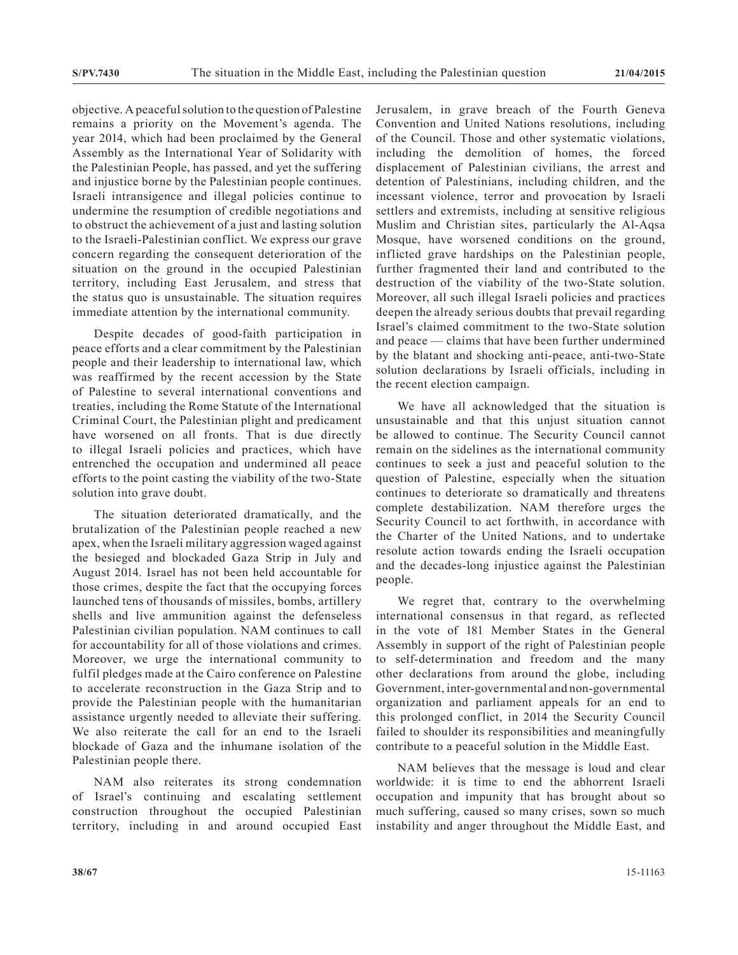objective. A peaceful solution to the question of Palestine remains a priority on the Movement's agenda. The year 2014, which had been proclaimed by the General Assembly as the International Year of Solidarity with the Palestinian People, has passed, and yet the suffering and injustice borne by the Palestinian people continues. Israeli intransigence and illegal policies continue to undermine the resumption of credible negotiations and to obstruct the achievement of a just and lasting solution to the Israeli-Palestinian conflict. We express our grave concern regarding the consequent deterioration of the situation on the ground in the occupied Palestinian territory, including East Jerusalem, and stress that the status quo is unsustainable. The situation requires immediate attention by the international community.

Despite decades of good-faith participation in peace efforts and a clear commitment by the Palestinian people and their leadership to international law, which was reaffirmed by the recent accession by the State of Palestine to several international conventions and treaties, including the Rome Statute of the International Criminal Court, the Palestinian plight and predicament have worsened on all fronts. That is due directly to illegal Israeli policies and practices, which have entrenched the occupation and undermined all peace efforts to the point casting the viability of the two-State solution into grave doubt.

The situation deteriorated dramatically, and the brutalization of the Palestinian people reached a new apex, when the Israeli military aggression waged against the besieged and blockaded Gaza Strip in July and August 2014. Israel has not been held accountable for those crimes, despite the fact that the occupying forces launched tens of thousands of missiles, bombs, artillery shells and live ammunition against the defenseless Palestinian civilian population. NAM continues to call for accountability for all of those violations and crimes. Moreover, we urge the international community to fulfil pledges made at the Cairo conference on Palestine to accelerate reconstruction in the Gaza Strip and to provide the Palestinian people with the humanitarian assistance urgently needed to alleviate their suffering. We also reiterate the call for an end to the Israeli blockade of Gaza and the inhumane isolation of the Palestinian people there.

NAM also reiterates its strong condemnation of Israel's continuing and escalating settlement construction throughout the occupied Palestinian territory, including in and around occupied East Jerusalem, in grave breach of the Fourth Geneva Convention and United Nations resolutions, including of the Council. Those and other systematic violations, including the demolition of homes, the forced displacement of Palestinian civilians, the arrest and detention of Palestinians, including children, and the incessant violence, terror and provocation by Israeli settlers and extremists, including at sensitive religious Muslim and Christian sites, particularly the Al-Aqsa Mosque, have worsened conditions on the ground, inflicted grave hardships on the Palestinian people, further fragmented their land and contributed to the destruction of the viability of the two-State solution. Moreover, all such illegal Israeli policies and practices deepen the already serious doubts that prevail regarding Israel's claimed commitment to the two-State solution and peace — claims that have been further undermined by the blatant and shocking anti-peace, anti-two-State solution declarations by Israeli officials, including in the recent election campaign.

We have all acknowledged that the situation is unsustainable and that this unjust situation cannot be allowed to continue. The Security Council cannot remain on the sidelines as the international community continues to seek a just and peaceful solution to the question of Palestine, especially when the situation continues to deteriorate so dramatically and threatens complete destabilization. NAM therefore urges the Security Council to act forthwith, in accordance with the Charter of the United Nations, and to undertake resolute action towards ending the Israeli occupation and the decades-long injustice against the Palestinian people.

We regret that, contrary to the overwhelming international consensus in that regard, as reflected in the vote of 181 Member States in the General Assembly in support of the right of Palestinian people to self-determination and freedom and the many other declarations from around the globe, including Government, inter-governmental and non-governmental organization and parliament appeals for an end to this prolonged conflict, in 2014 the Security Council failed to shoulder its responsibilities and meaningfully contribute to a peaceful solution in the Middle East.

NAM believes that the message is loud and clear worldwide: it is time to end the abhorrent Israeli occupation and impunity that has brought about so much suffering, caused so many crises, sown so much instability and anger throughout the Middle East, and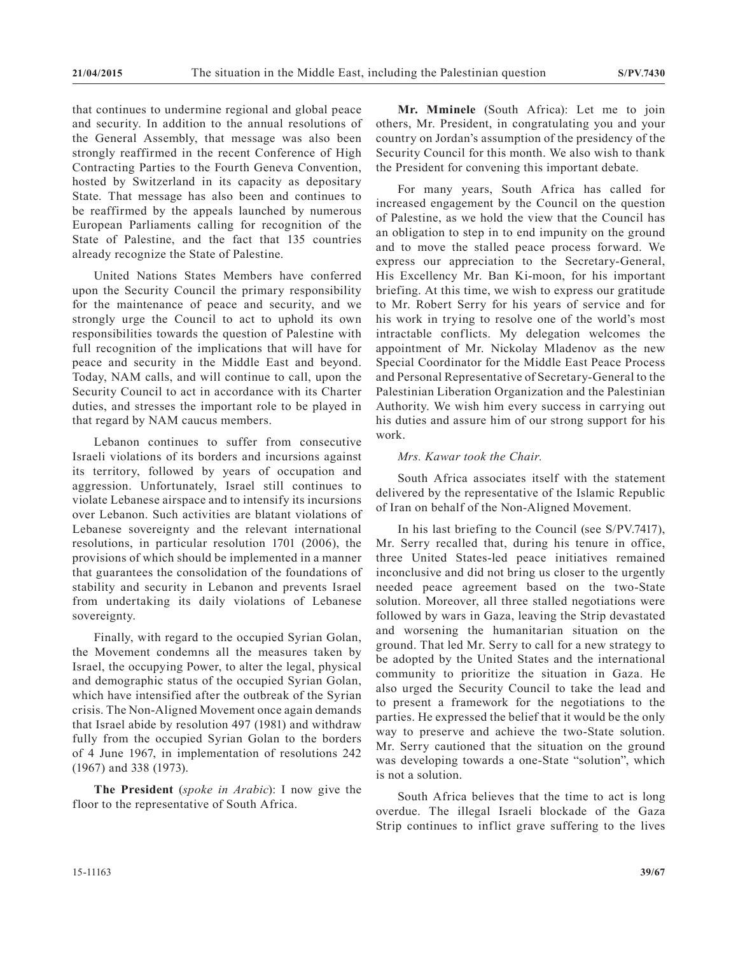that continues to undermine regional and global peace and security. In addition to the annual resolutions of the General Assembly, that message was also been strongly reaffirmed in the recent Conference of High Contracting Parties to the Fourth Geneva Convention, hosted by Switzerland in its capacity as depositary State. That message has also been and continues to be reaffirmed by the appeals launched by numerous European Parliaments calling for recognition of the State of Palestine, and the fact that 135 countries already recognize the State of Palestine.

United Nations States Members have conferred upon the Security Council the primary responsibility for the maintenance of peace and security, and we strongly urge the Council to act to uphold its own responsibilities towards the question of Palestine with full recognition of the implications that will have for peace and security in the Middle East and beyond. Today, NAM calls, and will continue to call, upon the Security Council to act in accordance with its Charter duties, and stresses the important role to be played in that regard by NAM caucus members.

Lebanon continues to suffer from consecutive Israeli violations of its borders and incursions against its territory, followed by years of occupation and aggression. Unfortunately, Israel still continues to violate Lebanese airspace and to intensify its incursions over Lebanon. Such activities are blatant violations of Lebanese sovereignty and the relevant international resolutions, in particular resolution 1701 (2006), the provisions of which should be implemented in a manner that guarantees the consolidation of the foundations of stability and security in Lebanon and prevents Israel from undertaking its daily violations of Lebanese sovereignty.

Finally, with regard to the occupied Syrian Golan, the Movement condemns all the measures taken by Israel, the occupying Power, to alter the legal, physical and demographic status of the occupied Syrian Golan, which have intensified after the outbreak of the Syrian crisis. The Non-Aligned Movement once again demands that Israel abide by resolution 497 (1981) and withdraw fully from the occupied Syrian Golan to the borders of 4 June 1967, in implementation of resolutions 242 (1967) and 338 (1973).

**The President** (*spoke in Arabic*): I now give the floor to the representative of South Africa.

**Mr. Mminele** (South Africa): Let me to join others, Mr. President, in congratulating you and your country on Jordan's assumption of the presidency of the Security Council for this month. We also wish to thank the President for convening this important debate.

For many years, South Africa has called for increased engagement by the Council on the question of Palestine, as we hold the view that the Council has an obligation to step in to end impunity on the ground and to move the stalled peace process forward. We express our appreciation to the Secretary-General, His Excellency Mr. Ban Ki-moon, for his important briefing. At this time, we wish to express our gratitude to Mr. Robert Serry for his years of service and for his work in trying to resolve one of the world's most intractable conflicts. My delegation welcomes the appointment of Mr. Nickolay Mladenov as the new Special Coordinator for the Middle East Peace Process and Personal Representative of Secretary-General to the Palestinian Liberation Organization and the Palestinian Authority. We wish him every success in carrying out his duties and assure him of our strong support for his work.

# *Mrs. Kawar took the Chair.*

South Africa associates itself with the statement delivered by the representative of the Islamic Republic of Iran on behalf of the Non-Aligned Movement.

In his last briefing to the Council (see S/PV.7417), Mr. Serry recalled that, during his tenure in office, three United States-led peace initiatives remained inconclusive and did not bring us closer to the urgently needed peace agreement based on the two-State solution. Moreover, all three stalled negotiations were followed by wars in Gaza, leaving the Strip devastated and worsening the humanitarian situation on the ground. That led Mr. Serry to call for a new strategy to be adopted by the United States and the international community to prioritize the situation in Gaza. He also urged the Security Council to take the lead and to present a framework for the negotiations to the parties. He expressed the belief that it would be the only way to preserve and achieve the two-State solution. Mr. Serry cautioned that the situation on the ground was developing towards a one-State "solution", which is not a solution.

South Africa believes that the time to act is long overdue. The illegal Israeli blockade of the Gaza Strip continues to inflict grave suffering to the lives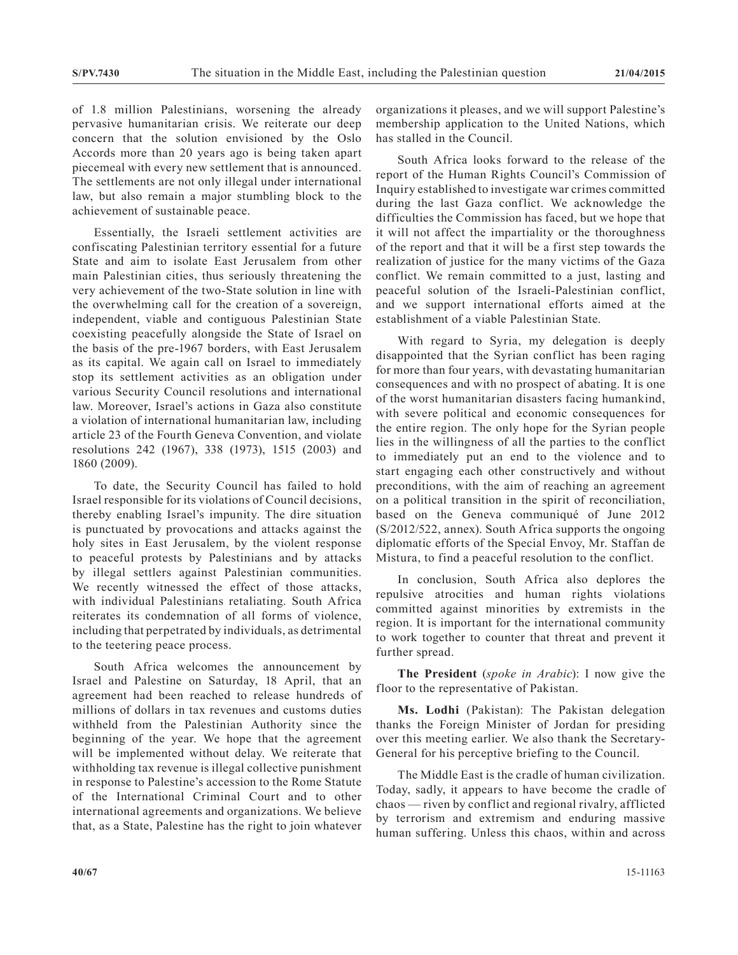of 1.8 million Palestinians, worsening the already pervasive humanitarian crisis. We reiterate our deep concern that the solution envisioned by the Oslo Accords more than 20 years ago is being taken apart piecemeal with every new settlement that is announced. The settlements are not only illegal under international law, but also remain a major stumbling block to the achievement of sustainable peace.

Essentially, the Israeli settlement activities are confiscating Palestinian territory essential for a future State and aim to isolate East Jerusalem from other main Palestinian cities, thus seriously threatening the very achievement of the two-State solution in line with the overwhelming call for the creation of a sovereign, independent, viable and contiguous Palestinian State coexisting peacefully alongside the State of Israel on the basis of the pre-1967 borders, with East Jerusalem as its capital. We again call on Israel to immediately stop its settlement activities as an obligation under various Security Council resolutions and international law. Moreover, Israel's actions in Gaza also constitute a violation of international humanitarian law, including article 23 of the Fourth Geneva Convention, and violate resolutions 242 (1967), 338 (1973), 1515 (2003) and 1860 (2009).

To date, the Security Council has failed to hold Israel responsible for its violations of Council decisions, thereby enabling Israel's impunity. The dire situation is punctuated by provocations and attacks against the holy sites in East Jerusalem, by the violent response to peaceful protests by Palestinians and by attacks by illegal settlers against Palestinian communities. We recently witnessed the effect of those attacks, with individual Palestinians retaliating. South Africa reiterates its condemnation of all forms of violence, including that perpetrated by individuals, as detrimental to the teetering peace process.

South Africa welcomes the announcement by Israel and Palestine on Saturday, 18 April, that an agreement had been reached to release hundreds of millions of dollars in tax revenues and customs duties withheld from the Palestinian Authority since the beginning of the year. We hope that the agreement will be implemented without delay. We reiterate that withholding tax revenue is illegal collective punishment in response to Palestine's accession to the Rome Statute of the International Criminal Court and to other international agreements and organizations. We believe that, as a State, Palestine has the right to join whatever

organizations it pleases, and we will support Palestine's membership application to the United Nations, which has stalled in the Council.

South Africa looks forward to the release of the report of the Human Rights Council's Commission of Inquiry established to investigate war crimes committed during the last Gaza conflict. We acknowledge the difficulties the Commission has faced, but we hope that it will not affect the impartiality or the thoroughness of the report and that it will be a first step towards the realization of justice for the many victims of the Gaza conflict. We remain committed to a just, lasting and peaceful solution of the Israeli-Palestinian conflict, and we support international efforts aimed at the establishment of a viable Palestinian State.

With regard to Syria, my delegation is deeply disappointed that the Syrian conflict has been raging for more than four years, with devastating humanitarian consequences and with no prospect of abating. It is one of the worst humanitarian disasters facing humankind, with severe political and economic consequences for the entire region. The only hope for the Syrian people lies in the willingness of all the parties to the conflict to immediately put an end to the violence and to start engaging each other constructively and without preconditions, with the aim of reaching an agreement on a political transition in the spirit of reconciliation, based on the Geneva communiqué of June 2012 (S/2012/522, annex). South Africa supports the ongoing diplomatic efforts of the Special Envoy, Mr. Staffan de Mistura, to find a peaceful resolution to the conflict.

In conclusion, South Africa also deplores the repulsive atrocities and human rights violations committed against minorities by extremists in the region. It is important for the international community to work together to counter that threat and prevent it further spread.

**The President** (*spoke in Arabic*): I now give the floor to the representative of Pakistan.

**Ms. Lodhi** (Pakistan): The Pakistan delegation thanks the Foreign Minister of Jordan for presiding over this meeting earlier. We also thank the Secretary-General for his perceptive briefing to the Council.

The Middle East is the cradle of human civilization. Today, sadly, it appears to have become the cradle of chaos — riven by conflict and regional rivalry, afflicted by terrorism and extremism and enduring massive human suffering. Unless this chaos, within and across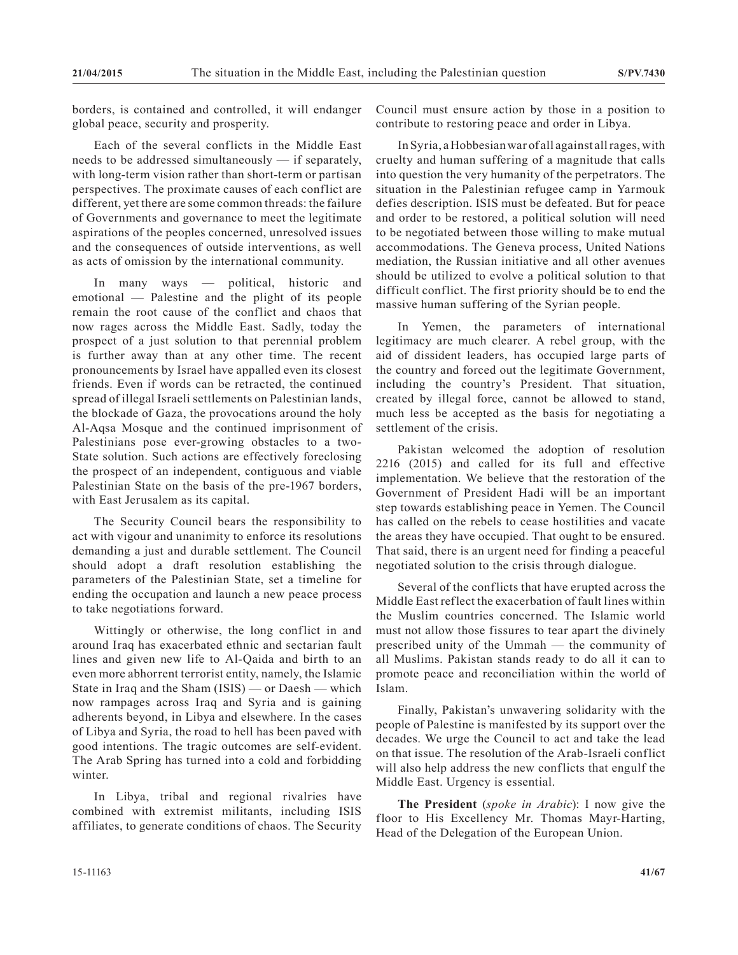borders, is contained and controlled, it will endanger global peace, security and prosperity.

Each of the several conflicts in the Middle East needs to be addressed simultaneously — if separately, with long-term vision rather than short-term or partisan perspectives. The proximate causes of each conflict are different, yet there are some common threads: the failure of Governments and governance to meet the legitimate aspirations of the peoples concerned, unresolved issues and the consequences of outside interventions, as well as acts of omission by the international community.

In many ways — political, historic and emotional — Palestine and the plight of its people remain the root cause of the conflict and chaos that now rages across the Middle East. Sadly, today the prospect of a just solution to that perennial problem is further away than at any other time. The recent pronouncements by Israel have appalled even its closest friends. Even if words can be retracted, the continued spread of illegal Israeli settlements on Palestinian lands, the blockade of Gaza, the provocations around the holy Al-Aqsa Mosque and the continued imprisonment of Palestinians pose ever-growing obstacles to a two-State solution. Such actions are effectively foreclosing the prospect of an independent, contiguous and viable Palestinian State on the basis of the pre-1967 borders, with East Jerusalem as its capital.

The Security Council bears the responsibility to act with vigour and unanimity to enforce its resolutions demanding a just and durable settlement. The Council should adopt a draft resolution establishing the parameters of the Palestinian State, set a timeline for ending the occupation and launch a new peace process to take negotiations forward.

Wittingly or otherwise, the long conflict in and around Iraq has exacerbated ethnic and sectarian fault lines and given new life to Al-Qaida and birth to an even more abhorrent terrorist entity, namely, the Islamic State in Iraq and the Sham (ISIS) — or Daesh — which now rampages across Iraq and Syria and is gaining adherents beyond, in Libya and elsewhere. In the cases of Libya and Syria, the road to hell has been paved with good intentions. The tragic outcomes are self-evident. The Arab Spring has turned into a cold and forbidding winter.

In Libya, tribal and regional rivalries have combined with extremist militants, including ISIS affiliates, to generate conditions of chaos. The Security Council must ensure action by those in a position to contribute to restoring peace and order in Libya.

In Syria, a Hobbesian war of all against all rages, with cruelty and human suffering of a magnitude that calls into question the very humanity of the perpetrators. The situation in the Palestinian refugee camp in Yarmouk defies description. ISIS must be defeated. But for peace and order to be restored, a political solution will need to be negotiated between those willing to make mutual accommodations. The Geneva process, United Nations mediation, the Russian initiative and all other avenues should be utilized to evolve a political solution to that difficult conflict. The first priority should be to end the massive human suffering of the Syrian people.

In Yemen, the parameters of international legitimacy are much clearer. A rebel group, with the aid of dissident leaders, has occupied large parts of the country and forced out the legitimate Government, including the country's President. That situation, created by illegal force, cannot be allowed to stand, much less be accepted as the basis for negotiating a settlement of the crisis.

Pakistan welcomed the adoption of resolution 2216 (2015) and called for its full and effective implementation. We believe that the restoration of the Government of President Hadi will be an important step towards establishing peace in Yemen. The Council has called on the rebels to cease hostilities and vacate the areas they have occupied. That ought to be ensured. That said, there is an urgent need for finding a peaceful negotiated solution to the crisis through dialogue.

Several of the conflicts that have erupted across the Middle East reflect the exacerbation of fault lines within the Muslim countries concerned. The Islamic world must not allow those fissures to tear apart the divinely prescribed unity of the Ummah — the community of all Muslims. Pakistan stands ready to do all it can to promote peace and reconciliation within the world of Islam.

Finally, Pakistan's unwavering solidarity with the people of Palestine is manifested by its support over the decades. We urge the Council to act and take the lead on that issue. The resolution of the Arab-Israeli conflict will also help address the new conflicts that engulf the Middle East. Urgency is essential.

**The President** (*spoke in Arabic*): I now give the floor to His Excellency Mr. Thomas Mayr-Harting, Head of the Delegation of the European Union.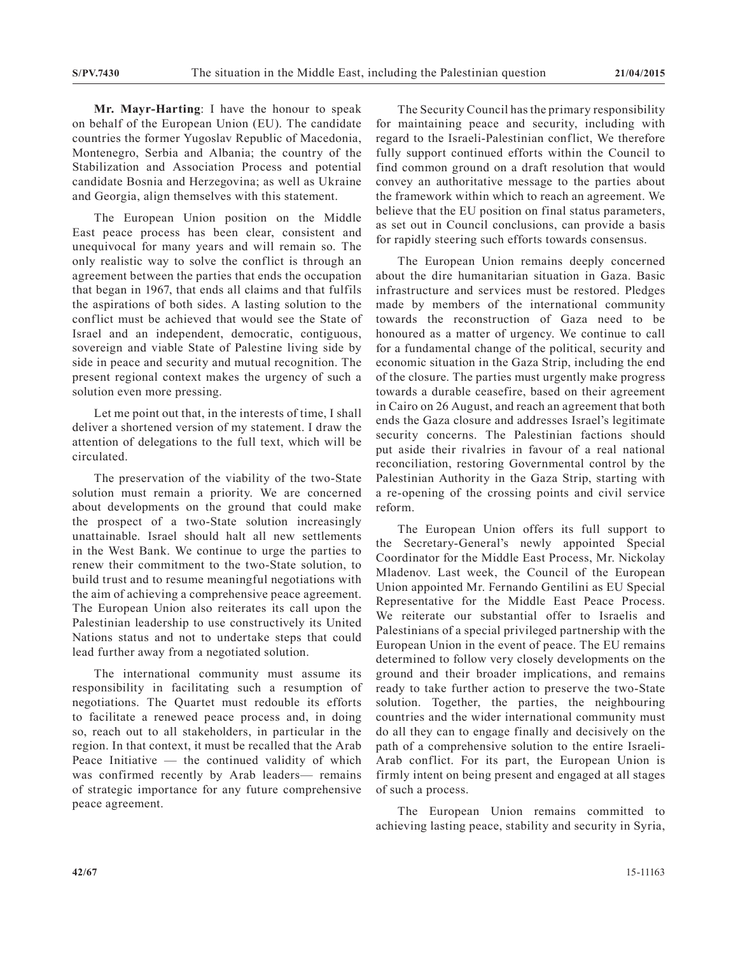**Mr. Mayr-Harting**: I have the honour to speak on behalf of the European Union (EU). The candidate countries the former Yugoslav Republic of Macedonia, Montenegro, Serbia and Albania; the country of the Stabilization and Association Process and potential candidate Bosnia and Herzegovina; as well as Ukraine and Georgia, align themselves with this statement.

The European Union position on the Middle East peace process has been clear, consistent and unequivocal for many years and will remain so. The only realistic way to solve the conflict is through an agreement between the parties that ends the occupation that began in 1967, that ends all claims and that fulfils the aspirations of both sides. A lasting solution to the conflict must be achieved that would see the State of Israel and an independent, democratic, contiguous, sovereign and viable State of Palestine living side by side in peace and security and mutual recognition. The present regional context makes the urgency of such a solution even more pressing.

Let me point out that, in the interests of time, I shall deliver a shortened version of my statement. I draw the attention of delegations to the full text, which will be circulated.

The preservation of the viability of the two-State solution must remain a priority. We are concerned about developments on the ground that could make the prospect of a two-State solution increasingly unattainable. Israel should halt all new settlements in the West Bank. We continue to urge the parties to renew their commitment to the two-State solution, to build trust and to resume meaningful negotiations with the aim of achieving a comprehensive peace agreement. The European Union also reiterates its call upon the Palestinian leadership to use constructively its United Nations status and not to undertake steps that could lead further away from a negotiated solution.

The international community must assume its responsibility in facilitating such a resumption of negotiations. The Quartet must redouble its efforts to facilitate a renewed peace process and, in doing so, reach out to all stakeholders, in particular in the region. In that context, it must be recalled that the Arab Peace Initiative — the continued validity of which was confirmed recently by Arab leaders— remains of strategic importance for any future comprehensive peace agreement.

The Security Council has the primary responsibility for maintaining peace and security, including with regard to the Israeli-Palestinian conflict, We therefore fully support continued efforts within the Council to find common ground on a draft resolution that would convey an authoritative message to the parties about the framework within which to reach an agreement. We believe that the EU position on final status parameters, as set out in Council conclusions, can provide a basis for rapidly steering such efforts towards consensus.

The European Union remains deeply concerned about the dire humanitarian situation in Gaza. Basic infrastructure and services must be restored. Pledges made by members of the international community towards the reconstruction of Gaza need to be honoured as a matter of urgency. We continue to call for a fundamental change of the political, security and economic situation in the Gaza Strip, including the end of the closure. The parties must urgently make progress towards a durable ceasefire, based on their agreement in Cairo on 26 August, and reach an agreement that both ends the Gaza closure and addresses Israel's legitimate security concerns. The Palestinian factions should put aside their rivalries in favour of a real national reconciliation, restoring Governmental control by the Palestinian Authority in the Gaza Strip, starting with a re-opening of the crossing points and civil service reform.

The European Union offers its full support to the Secretary-General's newly appointed Special Coordinator for the Middle East Process, Mr. Nickolay Mladenov. Last week, the Council of the European Union appointed Mr. Fernando Gentilini as EU Special Representative for the Middle East Peace Process. We reiterate our substantial offer to Israelis and Palestinians of a special privileged partnership with the European Union in the event of peace. The EU remains determined to follow very closely developments on the ground and their broader implications, and remains ready to take further action to preserve the two-State solution. Together, the parties, the neighbouring countries and the wider international community must do all they can to engage finally and decisively on the path of a comprehensive solution to the entire Israeli-Arab conflict. For its part, the European Union is firmly intent on being present and engaged at all stages of such a process.

The European Union remains committed to achieving lasting peace, stability and security in Syria,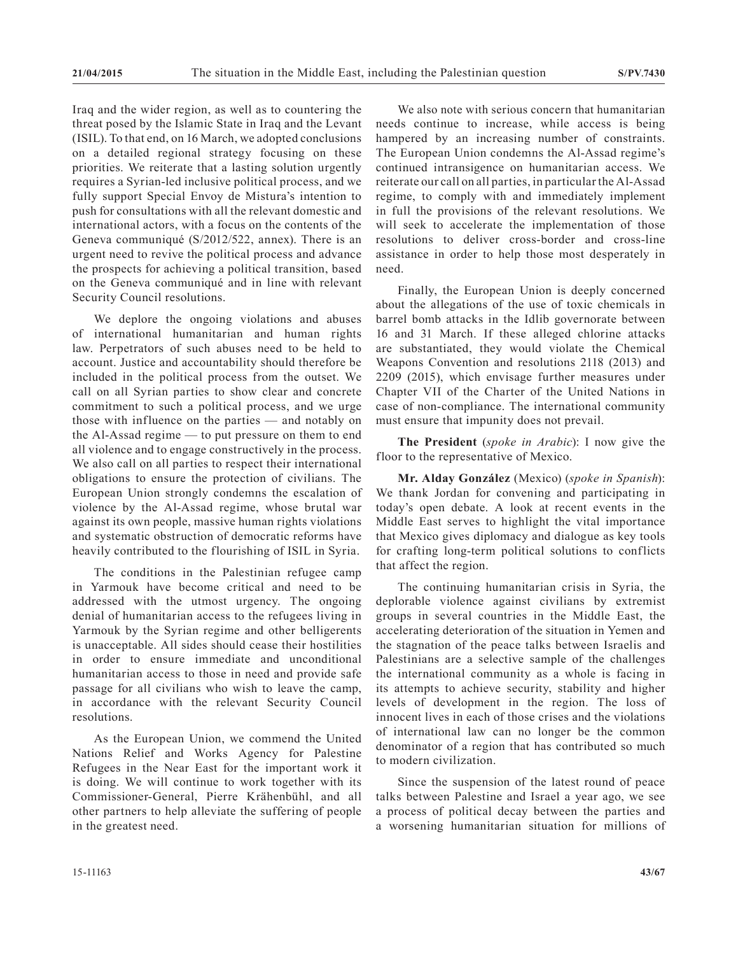Iraq and the wider region, as well as to countering the threat posed by the Islamic State in Iraq and the Levant (ISIL). To that end, on 16 March, we adopted conclusions on a detailed regional strategy focusing on these priorities. We reiterate that a lasting solution urgently requires a Syrian-led inclusive political process, and we fully support Special Envoy de Mistura's intention to push for consultations with all the relevant domestic and international actors, with a focus on the contents of the Geneva communiqué (S/2012/522, annex). There is an urgent need to revive the political process and advance the prospects for achieving a political transition, based on the Geneva communiqué and in line with relevant Security Council resolutions.

We deplore the ongoing violations and abuses of international humanitarian and human rights law. Perpetrators of such abuses need to be held to account. Justice and accountability should therefore be included in the political process from the outset. We call on all Syrian parties to show clear and concrete commitment to such a political process, and we urge those with influence on the parties — and notably on the Al-Assad regime — to put pressure on them to end all violence and to engage constructively in the process. We also call on all parties to respect their international obligations to ensure the protection of civilians. The European Union strongly condemns the escalation of violence by the Al-Assad regime, whose brutal war against its own people, massive human rights violations and systematic obstruction of democratic reforms have heavily contributed to the flourishing of ISIL in Syria.

The conditions in the Palestinian refugee camp in Yarmouk have become critical and need to be addressed with the utmost urgency. The ongoing denial of humanitarian access to the refugees living in Yarmouk by the Syrian regime and other belligerents is unacceptable. All sides should cease their hostilities in order to ensure immediate and unconditional humanitarian access to those in need and provide safe passage for all civilians who wish to leave the camp, in accordance with the relevant Security Council resolutions.

As the European Union, we commend the United Nations Relief and Works Agency for Palestine Refugees in the Near East for the important work it is doing. We will continue to work together with its Commissioner-General, Pierre Krähenbühl, and all other partners to help alleviate the suffering of people in the greatest need.

We also note with serious concern that humanitarian needs continue to increase, while access is being hampered by an increasing number of constraints. The European Union condemns the Al-Assad regime's continued intransigence on humanitarian access. We reiterate our call on all parties, in particular the Al-Assad regime, to comply with and immediately implement in full the provisions of the relevant resolutions. We will seek to accelerate the implementation of those resolutions to deliver cross-border and cross-line assistance in order to help those most desperately in need.

Finally, the European Union is deeply concerned about the allegations of the use of toxic chemicals in barrel bomb attacks in the Idlib governorate between 16 and 31 March. If these alleged chlorine attacks are substantiated, they would violate the Chemical Weapons Convention and resolutions 2118 (2013) and 2209 (2015), which envisage further measures under Chapter VII of the Charter of the United Nations in case of non-compliance. The international community must ensure that impunity does not prevail.

**The President** (*spoke in Arabic*): I now give the floor to the representative of Mexico.

**Mr. Alday González** (Mexico) (*spoke in Spanish*): We thank Jordan for convening and participating in today's open debate. A look at recent events in the Middle East serves to highlight the vital importance that Mexico gives diplomacy and dialogue as key tools for crafting long-term political solutions to conflicts that affect the region.

The continuing humanitarian crisis in Syria, the deplorable violence against civilians by extremist groups in several countries in the Middle East, the accelerating deterioration of the situation in Yemen and the stagnation of the peace talks between Israelis and Palestinians are a selective sample of the challenges the international community as a whole is facing in its attempts to achieve security, stability and higher levels of development in the region. The loss of innocent lives in each of those crises and the violations of international law can no longer be the common denominator of a region that has contributed so much to modern civilization.

Since the suspension of the latest round of peace talks between Palestine and Israel a year ago, we see a process of political decay between the parties and a worsening humanitarian situation for millions of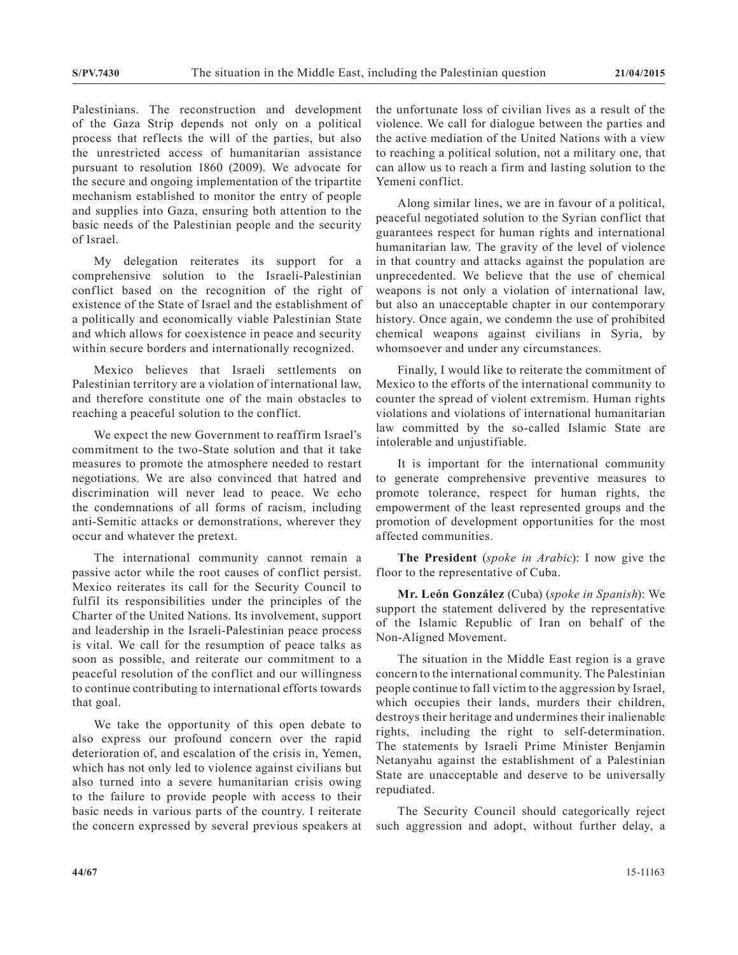Palestinians. The reconstruction and development of the Gaza Strip depends not only on a political process that reflects the will of the parties, but also the unrestricted access of humanitarian assistance pursuant to resolution 1860 (2009). We advocate for the secure and ongoing implementation of the tripartite mechanism established to monitor the entry of people and supplies into Gaza, ensuring both attention to the basic needs of the Palestinian people and the security of Israel.

My delegation reiterates its support for a comprehensive solution to the Israeli-Palestinian conflict based on the recognition of the right of existence of the State of Israel and the establishment of a politically and economically viable Palestinian State and which allows for coexistence in peace and security within secure borders and internationally recognized.

Mexico believes that Israeli settlements on Palestinian territory are a violation of international law, and therefore constitute one of the main obstacles to reaching a peaceful solution to the conflict.

We expect the new Government to reaffirm Israel's commitment to the two-State solution and that it take measures to promote the atmosphere needed to restart negotiations. We are also convinced that hatred and discrimination will never lead to peace. We echo the condemnations of all forms of racism, including anti-Semitic attacks or demonstrations, wherever they occur and whatever the pretext.

The international community cannot remain a passive actor while the root causes of conflict persist. Mexico reiterates its call for the Security Council to fulfil its responsibilities under the principles of the Charter of the United Nations. Its involvement, support and leadership in the Israeli-Palestinian peace process is vital. We call for the resumption of peace talks as soon as possible, and reiterate our commitment to a peaceful resolution of the conflict and our willingness to continue contributing to international efforts towards that goal.

We take the opportunity of this open debate to also express our profound concern over the rapid deterioration of, and escalation of the crisis in, Yemen, which has not only led to violence against civilians but also turned into a severe humanitarian crisis owing to the failure to provide people with access to their basic needs in various parts of the country. I reiterate the concern expressed by several previous speakers at the unfortunate loss of civilian lives as a result of the violence. We call for dialogue between the parties and the active mediation of the United Nations with a view to reaching a political solution, not a military one, that can allow us to reach a firm and lasting solution to the Yemeni conflict.

Along similar lines, we are in favour of a political, peaceful negotiated solution to the Syrian conflict that guarantees respect for human rights and international humanitarian law. The gravity of the level of violence in that country and attacks against the population are unprecedented. We believe that the use of chemical weapons is not only a violation of international law, but also an unacceptable chapter in our contemporary history. Once again, we condemn the use of prohibited chemical weapons against civilians in Syria, by whomsoever and under any circumstances.

Finally, I would like to reiterate the commitment of Mexico to the efforts of the international community to counter the spread of violent extremism. Human rights violations and violations of international humanitarian law committed by the so-called Islamic State are intolerable and unjustifiable.

It is important for the international community to generate comprehensive preventive measures to promote tolerance, respect for human rights, the empowerment of the least represented groups and the promotion of development opportunities for the most affected communities.

**The President** (*spoke in Arabic*): I now give the floor to the representative of Cuba.

**Mr. León González** (Cuba) (*spoke in Spanish*): We support the statement delivered by the representative of the Islamic Republic of Iran on behalf of the Non-Aligned Movement.

The situation in the Middle East region is a grave concern to the international community. The Palestinian people continue to fall victim to the aggression by Israel, which occupies their lands, murders their children, destroys their heritage and undermines their inalienable rights, including the right to self-determination. The statements by Israeli Prime Minister Benjamin Netanyahu against the establishment of a Palestinian State are unacceptable and deserve to be universally repudiated.

The Security Council should categorically reject such aggression and adopt, without further delay, a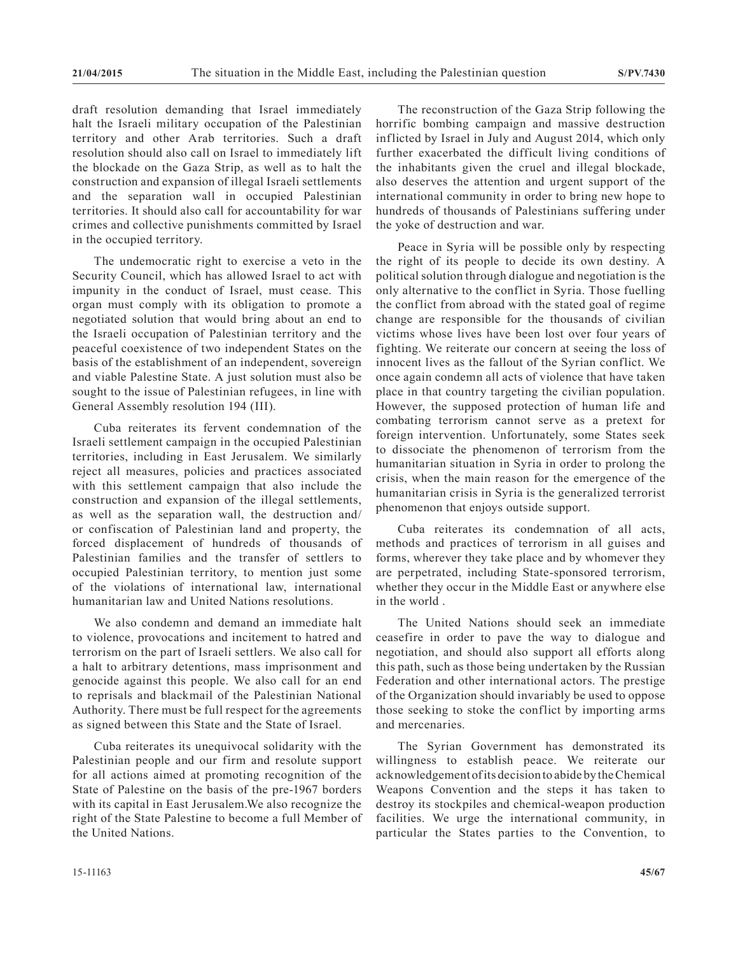draft resolution demanding that Israel immediately halt the Israeli military occupation of the Palestinian territory and other Arab territories. Such a draft resolution should also call on Israel to immediately lift the blockade on the Gaza Strip, as well as to halt the construction and expansion of illegal Israeli settlements and the separation wall in occupied Palestinian territories. It should also call for accountability for war crimes and collective punishments committed by Israel in the occupied territory.

The undemocratic right to exercise a veto in the Security Council, which has allowed Israel to act with impunity in the conduct of Israel, must cease. This organ must comply with its obligation to promote a negotiated solution that would bring about an end to the Israeli occupation of Palestinian territory and the peaceful coexistence of two independent States on the basis of the establishment of an independent, sovereign and viable Palestine State. A just solution must also be sought to the issue of Palestinian refugees, in line with General Assembly resolution 194 (III).

Cuba reiterates its fervent condemnation of the Israeli settlement campaign in the occupied Palestinian territories, including in East Jerusalem. We similarly reject all measures, policies and practices associated with this settlement campaign that also include the construction and expansion of the illegal settlements, as well as the separation wall, the destruction and/ or confiscation of Palestinian land and property, the forced displacement of hundreds of thousands of Palestinian families and the transfer of settlers to occupied Palestinian territory, to mention just some of the violations of international law, international humanitarian law and United Nations resolutions.

We also condemn and demand an immediate halt to violence, provocations and incitement to hatred and terrorism on the part of Israeli settlers. We also call for a halt to arbitrary detentions, mass imprisonment and genocide against this people. We also call for an end to reprisals and blackmail of the Palestinian National Authority. There must be full respect for the agreements as signed between this State and the State of Israel.

Cuba reiterates its unequivocal solidarity with the Palestinian people and our firm and resolute support for all actions aimed at promoting recognition of the State of Palestine on the basis of the pre-1967 borders with its capital in East Jerusalem.We also recognize the right of the State Palestine to become a full Member of the United Nations.

The reconstruction of the Gaza Strip following the horrific bombing campaign and massive destruction inflicted by Israel in July and August 2014, which only further exacerbated the difficult living conditions of the inhabitants given the cruel and illegal blockade, also deserves the attention and urgent support of the international community in order to bring new hope to hundreds of thousands of Palestinians suffering under the yoke of destruction and war.

Peace in Syria will be possible only by respecting the right of its people to decide its own destiny. A political solution through dialogue and negotiation is the only alternative to the conflict in Syria. Those fuelling the conflict from abroad with the stated goal of regime change are responsible for the thousands of civilian victims whose lives have been lost over four years of fighting. We reiterate our concern at seeing the loss of innocent lives as the fallout of the Syrian conflict. We once again condemn all acts of violence that have taken place in that country targeting the civilian population. However, the supposed protection of human life and combating terrorism cannot serve as a pretext for foreign intervention. Unfortunately, some States seek to dissociate the phenomenon of terrorism from the humanitarian situation in Syria in order to prolong the crisis, when the main reason for the emergence of the humanitarian crisis in Syria is the generalized terrorist phenomenon that enjoys outside support.

Cuba reiterates its condemnation of all acts, methods and practices of terrorism in all guises and forms, wherever they take place and by whomever they are perpetrated, including State-sponsored terrorism, whether they occur in the Middle East or anywhere else in the world .

The United Nations should seek an immediate ceasefire in order to pave the way to dialogue and negotiation, and should also support all efforts along this path, such as those being undertaken by the Russian Federation and other international actors. The prestige of the Organization should invariably be used to oppose those seeking to stoke the conflict by importing arms and mercenaries.

The Syrian Government has demonstrated its willingness to establish peace. We reiterate our acknowledgement of its decision to abide by the Chemical Weapons Convention and the steps it has taken to destroy its stockpiles and chemical-weapon production facilities. We urge the international community, in particular the States parties to the Convention, to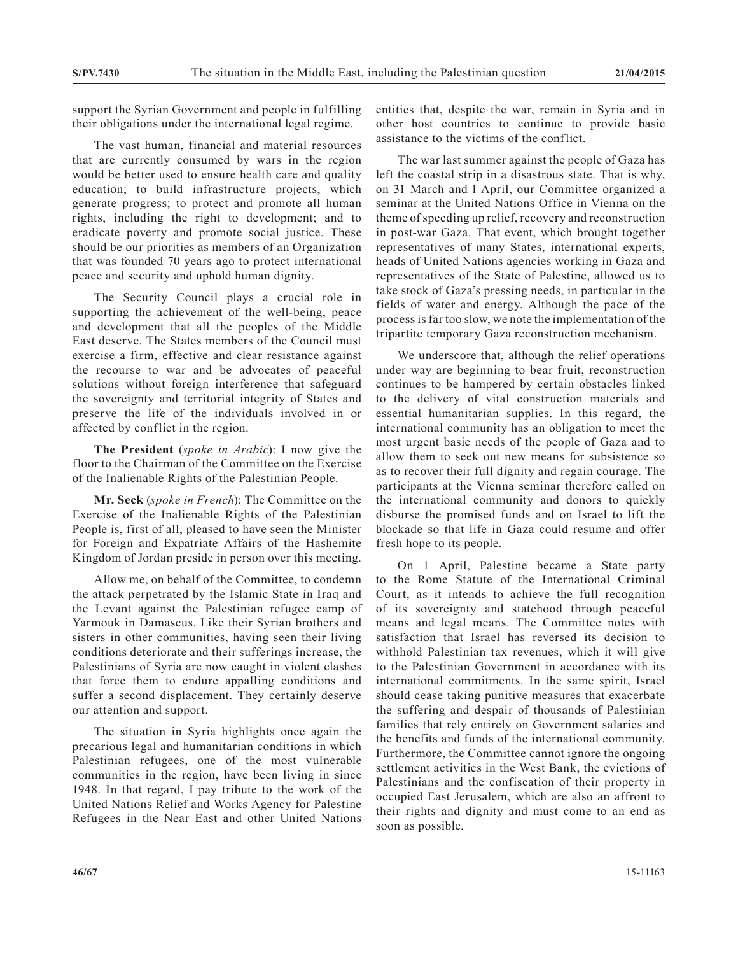support the Syrian Government and people in fulfilling their obligations under the international legal regime.

The vast human, financial and material resources that are currently consumed by wars in the region would be better used to ensure health care and quality education; to build infrastructure projects, which generate progress; to protect and promote all human rights, including the right to development; and to eradicate poverty and promote social justice. These should be our priorities as members of an Organization that was founded 70 years ago to protect international peace and security and uphold human dignity.

The Security Council plays a crucial role in supporting the achievement of the well-being, peace and development that all the peoples of the Middle East deserve. The States members of the Council must exercise a firm, effective and clear resistance against the recourse to war and be advocates of peaceful solutions without foreign interference that safeguard the sovereignty and territorial integrity of States and preserve the life of the individuals involved in or affected by conflict in the region.

**The President** (*spoke in Arabic*): I now give the floor to the Chairman of the Committee on the Exercise of the Inalienable Rights of the Palestinian People.

**Mr. Seck** (*spoke in French*): The Committee on the Exercise of the Inalienable Rights of the Palestinian People is, first of all, pleased to have seen the Minister for Foreign and Expatriate Affairs of the Hashemite Kingdom of Jordan preside in person over this meeting.

Allow me, on behalf of the Committee, to condemn the attack perpetrated by the Islamic State in Iraq and the Levant against the Palestinian refugee camp of Yarmouk in Damascus. Like their Syrian brothers and sisters in other communities, having seen their living conditions deteriorate and their sufferings increase, the Palestinians of Syria are now caught in violent clashes that force them to endure appalling conditions and suffer a second displacement. They certainly deserve our attention and support.

The situation in Syria highlights once again the precarious legal and humanitarian conditions in which Palestinian refugees, one of the most vulnerable communities in the region, have been living in since 1948. In that regard, I pay tribute to the work of the United Nations Relief and Works Agency for Palestine Refugees in the Near East and other United Nations entities that, despite the war, remain in Syria and in other host countries to continue to provide basic assistance to the victims of the conflict.

The war last summer against the people of Gaza has left the coastal strip in a disastrous state. That is why, on 31 March and l April, our Committee organized a seminar at the United Nations Office in Vienna on the theme of speeding up relief, recovery and reconstruction in post-war Gaza. That event, which brought together representatives of many States, international experts, heads of United Nations agencies working in Gaza and representatives of the State of Palestine, allowed us to take stock of Gaza's pressing needs, in particular in the fields of water and energy. Although the pace of the process is far too slow, we note the implementation of the tripartite temporary Gaza reconstruction mechanism.

We underscore that, although the relief operations under way are beginning to bear fruit, reconstruction continues to be hampered by certain obstacles linked to the delivery of vital construction materials and essential humanitarian supplies. In this regard, the international community has an obligation to meet the most urgent basic needs of the people of Gaza and to allow them to seek out new means for subsistence so as to recover their full dignity and regain courage. The participants at the Vienna seminar therefore called on the international community and donors to quickly disburse the promised funds and on Israel to lift the blockade so that life in Gaza could resume and offer fresh hope to its people.

On 1 April, Palestine became a State party to the Rome Statute of the International Criminal Court, as it intends to achieve the full recognition of its sovereignty and statehood through peaceful means and legal means. The Committee notes with satisfaction that Israel has reversed its decision to withhold Palestinian tax revenues, which it will give to the Palestinian Government in accordance with its international commitments. In the same spirit, Israel should cease taking punitive measures that exacerbate the suffering and despair of thousands of Palestinian families that rely entirely on Government salaries and the benefits and funds of the international community. Furthermore, the Committee cannot ignore the ongoing settlement activities in the West Bank, the evictions of Palestinians and the confiscation of their property in occupied East Jerusalem, which are also an affront to their rights and dignity and must come to an end as soon as possible.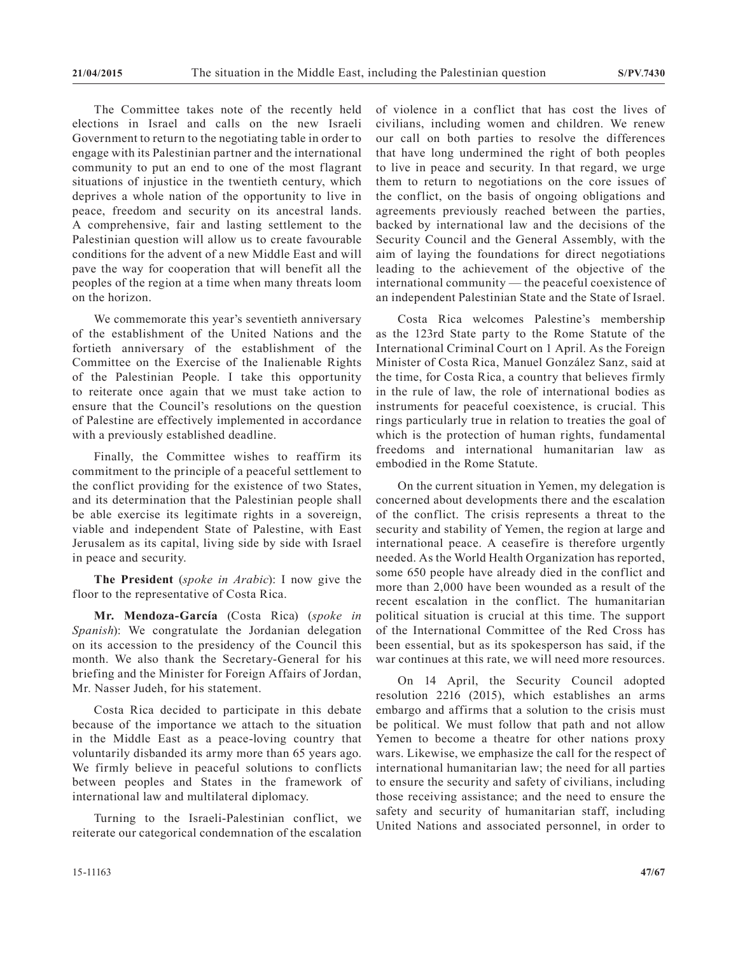The Committee takes note of the recently held elections in Israel and calls on the new Israeli Government to return to the negotiating table in order to engage with its Palestinian partner and the international community to put an end to one of the most flagrant situations of injustice in the twentieth century, which deprives a whole nation of the opportunity to live in peace, freedom and security on its ancestral lands. A comprehensive, fair and lasting settlement to the Palestinian question will allow us to create favourable conditions for the advent of a new Middle East and will pave the way for cooperation that will benefit all the peoples of the region at a time when many threats loom on the horizon.

We commemorate this year's seventieth anniversary of the establishment of the United Nations and the fortieth anniversary of the establishment of the Committee on the Exercise of the Inalienable Rights of the Palestinian People. I take this opportunity to reiterate once again that we must take action to ensure that the Council's resolutions on the question of Palestine are effectively implemented in accordance with a previously established deadline.

Finally, the Committee wishes to reaffirm its commitment to the principle of a peaceful settlement to the conflict providing for the existence of two States, and its determination that the Palestinian people shall be able exercise its legitimate rights in a sovereign, viable and independent State of Palestine, with East Jerusalem as its capital, living side by side with Israel in peace and security.

**The President** (*spoke in Arabic*): I now give the floor to the representative of Costa Rica.

**Mr. Mendoza-García** (Costa Rica) (*spoke in Spanish*): We congratulate the Jordanian delegation on its accession to the presidency of the Council this month. We also thank the Secretary-General for his briefing and the Minister for Foreign Affairs of Jordan, Mr. Nasser Judeh, for his statement.

Costa Rica decided to participate in this debate because of the importance we attach to the situation in the Middle East as a peace-loving country that voluntarily disbanded its army more than 65 years ago. We firmly believe in peaceful solutions to conflicts between peoples and States in the framework of international law and multilateral diplomacy.

Turning to the Israeli-Palestinian conflict, we reiterate our categorical condemnation of the escalation of violence in a conflict that has cost the lives of civilians, including women and children. We renew our call on both parties to resolve the differences that have long undermined the right of both peoples to live in peace and security. In that regard, we urge them to return to negotiations on the core issues of the conflict, on the basis of ongoing obligations and agreements previously reached between the parties, backed by international law and the decisions of the Security Council and the General Assembly, with the aim of laying the foundations for direct negotiations leading to the achievement of the objective of the international community — the peaceful coexistence of an independent Palestinian State and the State of Israel.

Costa Rica welcomes Palestine's membership as the 123rd State party to the Rome Statute of the International Criminal Court on 1 April. As the Foreign Minister of Costa Rica, Manuel González Sanz, said at the time, for Costa Rica, a country that believes firmly in the rule of law, the role of international bodies as instruments for peaceful coexistence, is crucial. This rings particularly true in relation to treaties the goal of which is the protection of human rights, fundamental freedoms and international humanitarian law as embodied in the Rome Statute.

On the current situation in Yemen, my delegation is concerned about developments there and the escalation of the conflict. The crisis represents a threat to the security and stability of Yemen, the region at large and international peace. A ceasefire is therefore urgently needed. As the World Health Organization has reported, some 650 people have already died in the conflict and more than 2,000 have been wounded as a result of the recent escalation in the conflict. The humanitarian political situation is crucial at this time. The support of the International Committee of the Red Cross has been essential, but as its spokesperson has said, if the war continues at this rate, we will need more resources.

On 14 April, the Security Council adopted resolution 2216 (2015), which establishes an arms embargo and affirms that a solution to the crisis must be political. We must follow that path and not allow Yemen to become a theatre for other nations proxy wars. Likewise, we emphasize the call for the respect of international humanitarian law; the need for all parties to ensure the security and safety of civilians, including those receiving assistance; and the need to ensure the safety and security of humanitarian staff, including United Nations and associated personnel, in order to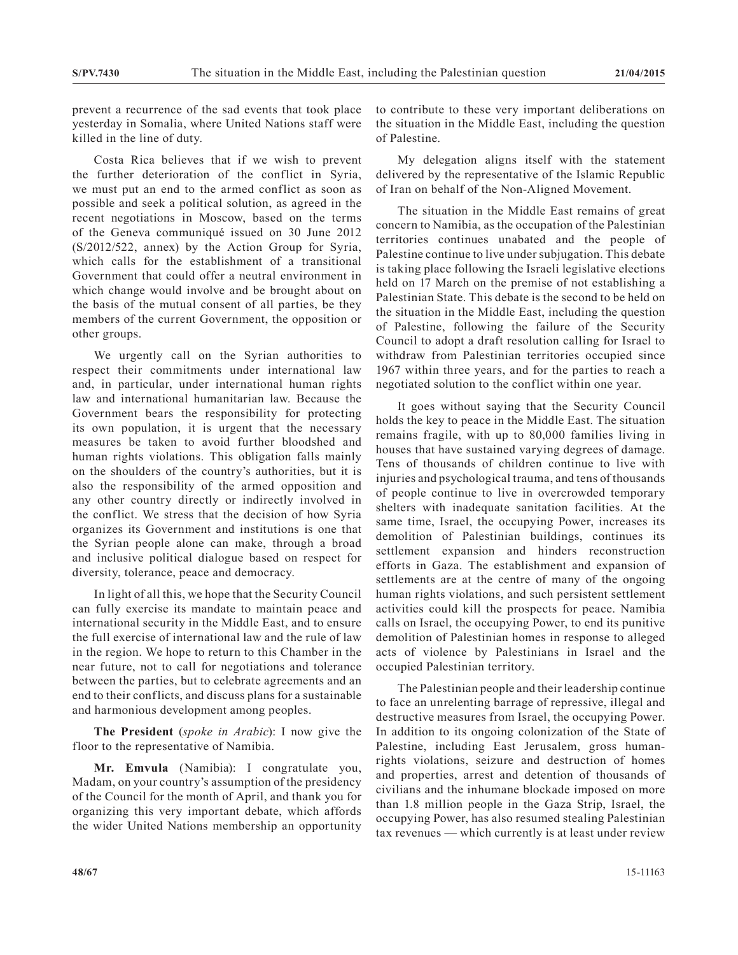prevent a recurrence of the sad events that took place yesterday in Somalia, where United Nations staff were killed in the line of duty.

Costa Rica believes that if we wish to prevent the further deterioration of the conflict in Syria, we must put an end to the armed conflict as soon as possible and seek a political solution, as agreed in the recent negotiations in Moscow, based on the terms of the Geneva communiqué issued on 30 June 2012 (S/2012/522, annex) by the Action Group for Syria, which calls for the establishment of a transitional Government that could offer a neutral environment in which change would involve and be brought about on the basis of the mutual consent of all parties, be they members of the current Government, the opposition or other groups.

We urgently call on the Syrian authorities to respect their commitments under international law and, in particular, under international human rights law and international humanitarian law. Because the Government bears the responsibility for protecting its own population, it is urgent that the necessary measures be taken to avoid further bloodshed and human rights violations. This obligation falls mainly on the shoulders of the country's authorities, but it is also the responsibility of the armed opposition and any other country directly or indirectly involved in the conflict. We stress that the decision of how Syria organizes its Government and institutions is one that the Syrian people alone can make, through a broad and inclusive political dialogue based on respect for diversity, tolerance, peace and democracy.

In light of all this, we hope that the Security Council can fully exercise its mandate to maintain peace and international security in the Middle East, and to ensure the full exercise of international law and the rule of law in the region. We hope to return to this Chamber in the near future, not to call for negotiations and tolerance between the parties, but to celebrate agreements and an end to their conflicts, and discuss plans for a sustainable and harmonious development among peoples.

**The President** (*spoke in Arabic*): I now give the floor to the representative of Namibia.

**Mr. Emvula** (Namibia): I congratulate you, Madam, on your country's assumption of the presidency of the Council for the month of April, and thank you for organizing this very important debate, which affords the wider United Nations membership an opportunity to contribute to these very important deliberations on the situation in the Middle East, including the question of Palestine.

My delegation aligns itself with the statement delivered by the representative of the Islamic Republic of Iran on behalf of the Non-Aligned Movement.

The situation in the Middle East remains of great concern to Namibia, as the occupation of the Palestinian territories continues unabated and the people of Palestine continue to live under subjugation. This debate is taking place following the Israeli legislative elections held on 17 March on the premise of not establishing a Palestinian State. This debate is the second to be held on the situation in the Middle East, including the question of Palestine, following the failure of the Security Council to adopt a draft resolution calling for Israel to withdraw from Palestinian territories occupied since 1967 within three years, and for the parties to reach a negotiated solution to the conflict within one year.

It goes without saying that the Security Council holds the key to peace in the Middle East. The situation remains fragile, with up to 80,000 families living in houses that have sustained varying degrees of damage. Tens of thousands of children continue to live with injuries and psychological trauma, and tens of thousands of people continue to live in overcrowded temporary shelters with inadequate sanitation facilities. At the same time, Israel, the occupying Power, increases its demolition of Palestinian buildings, continues its settlement expansion and hinders reconstruction efforts in Gaza. The establishment and expansion of settlements are at the centre of many of the ongoing human rights violations, and such persistent settlement activities could kill the prospects for peace. Namibia calls on Israel, the occupying Power, to end its punitive demolition of Palestinian homes in response to alleged acts of violence by Palestinians in Israel and the occupied Palestinian territory.

The Palestinian people and their leadership continue to face an unrelenting barrage of repressive, illegal and destructive measures from Israel, the occupying Power. In addition to its ongoing colonization of the State of Palestine, including East Jerusalem, gross humanrights violations, seizure and destruction of homes and properties, arrest and detention of thousands of civilians and the inhumane blockade imposed on more than 1.8 million people in the Gaza Strip, Israel, the occupying Power, has also resumed stealing Palestinian tax revenues — which currently is at least under review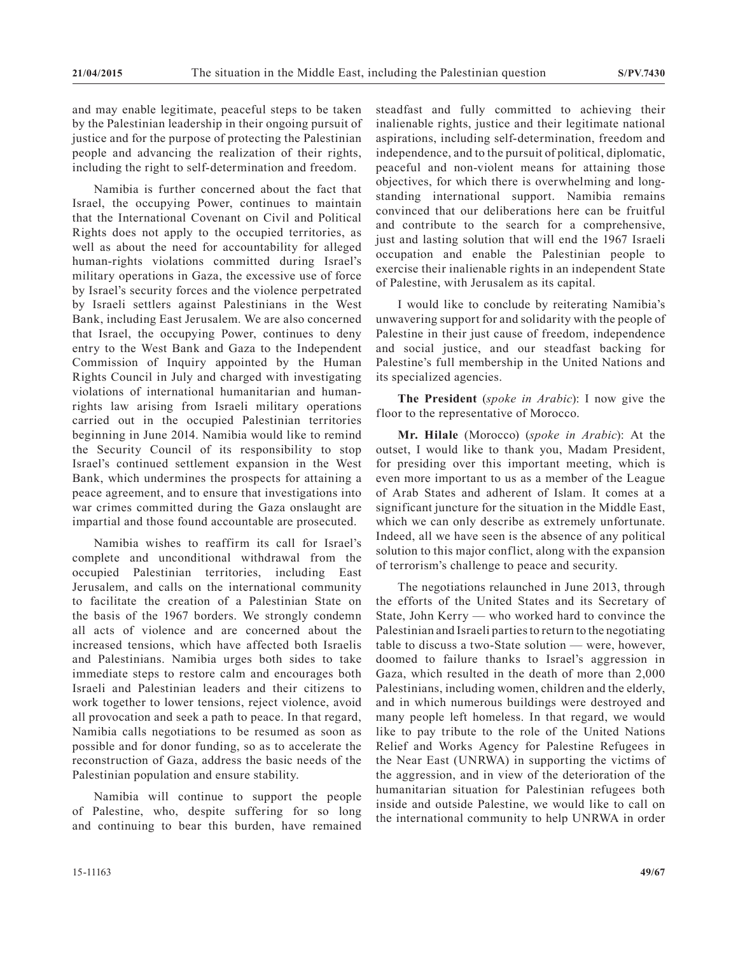and may enable legitimate, peaceful steps to be taken by the Palestinian leadership in their ongoing pursuit of justice and for the purpose of protecting the Palestinian people and advancing the realization of their rights, including the right to self-determination and freedom.

Namibia is further concerned about the fact that Israel, the occupying Power, continues to maintain that the International Covenant on Civil and Political Rights does not apply to the occupied territories, as well as about the need for accountability for alleged human-rights violations committed during Israel's military operations in Gaza, the excessive use of force by Israel's security forces and the violence perpetrated by Israeli settlers against Palestinians in the West Bank, including East Jerusalem. We are also concerned that Israel, the occupying Power, continues to deny entry to the West Bank and Gaza to the Independent Commission of Inquiry appointed by the Human Rights Council in July and charged with investigating violations of international humanitarian and humanrights law arising from Israeli military operations carried out in the occupied Palestinian territories beginning in June 2014. Namibia would like to remind the Security Council of its responsibility to stop Israel's continued settlement expansion in the West Bank, which undermines the prospects for attaining a peace agreement, and to ensure that investigations into war crimes committed during the Gaza onslaught are impartial and those found accountable are prosecuted.

Namibia wishes to reaffirm its call for Israel's complete and unconditional withdrawal from the occupied Palestinian territories, including East Jerusalem, and calls on the international community to facilitate the creation of a Palestinian State on the basis of the 1967 borders. We strongly condemn all acts of violence and are concerned about the increased tensions, which have affected both Israelis and Palestinians. Namibia urges both sides to take immediate steps to restore calm and encourages both Israeli and Palestinian leaders and their citizens to work together to lower tensions, reject violence, avoid all provocation and seek a path to peace. In that regard, Namibia calls negotiations to be resumed as soon as possible and for donor funding, so as to accelerate the reconstruction of Gaza, address the basic needs of the Palestinian population and ensure stability.

Namibia will continue to support the people of Palestine, who, despite suffering for so long and continuing to bear this burden, have remained

steadfast and fully committed to achieving their inalienable rights, justice and their legitimate national aspirations, including self-determination, freedom and independence, and to the pursuit of political, diplomatic, peaceful and non-violent means for attaining those objectives, for which there is overwhelming and longstanding international support. Namibia remains convinced that our deliberations here can be fruitful and contribute to the search for a comprehensive, just and lasting solution that will end the 1967 Israeli occupation and enable the Palestinian people to exercise their inalienable rights in an independent State of Palestine, with Jerusalem as its capital.

I would like to conclude by reiterating Namibia's unwavering support for and solidarity with the people of Palestine in their just cause of freedom, independence and social justice, and our steadfast backing for Palestine's full membership in the United Nations and its specialized agencies.

**The President** (*spoke in Arabic*): I now give the floor to the representative of Morocco.

**Mr. Hilale** (Morocco) (*spoke in Arabic*): At the outset, I would like to thank you, Madam President, for presiding over this important meeting, which is even more important to us as a member of the League of Arab States and adherent of Islam. It comes at a significant juncture for the situation in the Middle East, which we can only describe as extremely unfortunate. Indeed, all we have seen is the absence of any political solution to this major conflict, along with the expansion of terrorism's challenge to peace and security.

The negotiations relaunched in June 2013, through the efforts of the United States and its Secretary of State, John Kerry — who worked hard to convince the Palestinian and Israeli parties to return to the negotiating table to discuss a two-State solution — were, however, doomed to failure thanks to Israel's aggression in Gaza, which resulted in the death of more than 2,000 Palestinians, including women, children and the elderly, and in which numerous buildings were destroyed and many people left homeless. In that regard, we would like to pay tribute to the role of the United Nations Relief and Works Agency for Palestine Refugees in the Near East (UNRWA) in supporting the victims of the aggression, and in view of the deterioration of the humanitarian situation for Palestinian refugees both inside and outside Palestine, we would like to call on the international community to help UNRWA in order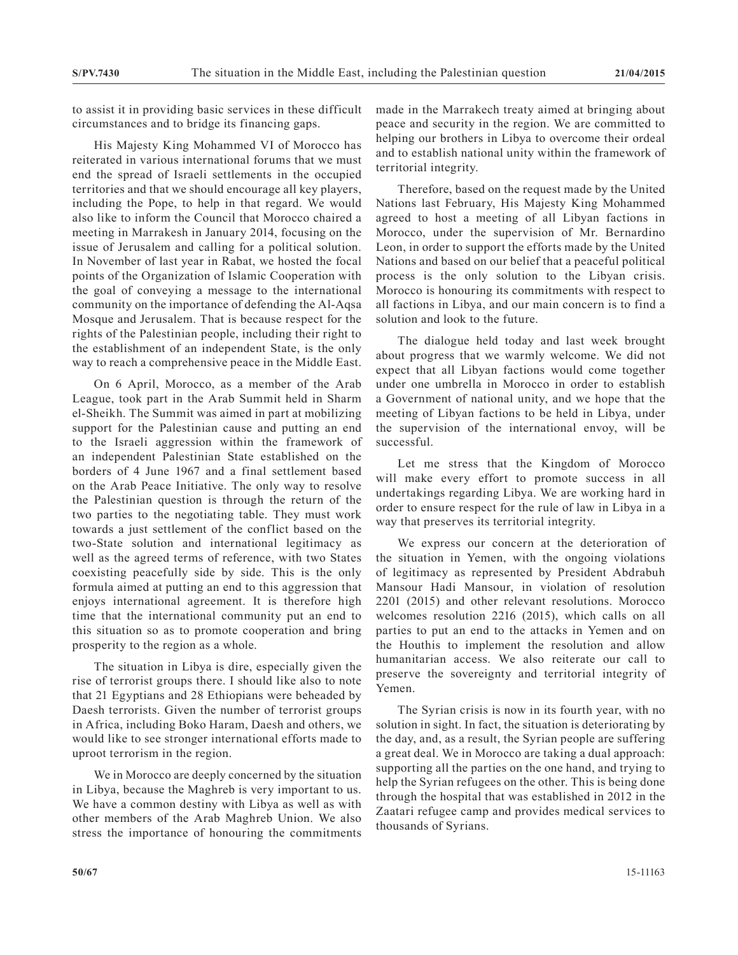to assist it in providing basic services in these difficult circumstances and to bridge its financing gaps.

His Majesty King Mohammed VI of Morocco has reiterated in various international forums that we must end the spread of Israeli settlements in the occupied territories and that we should encourage all key players, including the Pope, to help in that regard. We would also like to inform the Council that Morocco chaired a meeting in Marrakesh in January 2014, focusing on the issue of Jerusalem and calling for a political solution. In November of last year in Rabat, we hosted the focal points of the Organization of Islamic Cooperation with the goal of conveying a message to the international community on the importance of defending the Al-Aqsa Mosque and Jerusalem. That is because respect for the rights of the Palestinian people, including their right to the establishment of an independent State, is the only way to reach a comprehensive peace in the Middle East.

On 6 April, Morocco, as a member of the Arab League, took part in the Arab Summit held in Sharm el-Sheikh. The Summit was aimed in part at mobilizing support for the Palestinian cause and putting an end to the Israeli aggression within the framework of an independent Palestinian State established on the borders of 4 June 1967 and a final settlement based on the Arab Peace Initiative. The only way to resolve the Palestinian question is through the return of the two parties to the negotiating table. They must work towards a just settlement of the conflict based on the two-State solution and international legitimacy as well as the agreed terms of reference, with two States coexisting peacefully side by side. This is the only formula aimed at putting an end to this aggression that enjoys international agreement. It is therefore high time that the international community put an end to this situation so as to promote cooperation and bring prosperity to the region as a whole.

The situation in Libya is dire, especially given the rise of terrorist groups there. I should like also to note that 21 Egyptians and 28 Ethiopians were beheaded by Daesh terrorists. Given the number of terrorist groups in Africa, including Boko Haram, Daesh and others, we would like to see stronger international efforts made to uproot terrorism in the region.

We in Morocco are deeply concerned by the situation in Libya, because the Maghreb is very important to us. We have a common destiny with Libya as well as with other members of the Arab Maghreb Union. We also stress the importance of honouring the commitments made in the Marrakech treaty aimed at bringing about peace and security in the region. We are committed to helping our brothers in Libya to overcome their ordeal and to establish national unity within the framework of territorial integrity.

Therefore, based on the request made by the United Nations last February, His Majesty King Mohammed agreed to host a meeting of all Libyan factions in Morocco, under the supervision of Mr. Bernardino Leon, in order to support the efforts made by the United Nations and based on our belief that a peaceful political process is the only solution to the Libyan crisis. Morocco is honouring its commitments with respect to all factions in Libya, and our main concern is to find a solution and look to the future.

The dialogue held today and last week brought about progress that we warmly welcome. We did not expect that all Libyan factions would come together under one umbrella in Morocco in order to establish a Government of national unity, and we hope that the meeting of Libyan factions to be held in Libya, under the supervision of the international envoy, will be successful.

Let me stress that the Kingdom of Morocco will make every effort to promote success in all undertakings regarding Libya. We are working hard in order to ensure respect for the rule of law in Libya in a way that preserves its territorial integrity.

We express our concern at the deterioration of the situation in Yemen, with the ongoing violations of legitimacy as represented by President Abdrabuh Mansour Hadi Mansour, in violation of resolution 2201 (2015) and other relevant resolutions. Morocco welcomes resolution 2216 (2015), which calls on all parties to put an end to the attacks in Yemen and on the Houthis to implement the resolution and allow humanitarian access. We also reiterate our call to preserve the sovereignty and territorial integrity of Yemen.

The Syrian crisis is now in its fourth year, with no solution in sight. In fact, the situation is deteriorating by the day, and, as a result, the Syrian people are suffering a great deal. We in Morocco are taking a dual approach: supporting all the parties on the one hand, and trying to help the Syrian refugees on the other. This is being done through the hospital that was established in 2012 in the Zaatari refugee camp and provides medical services to thousands of Syrians.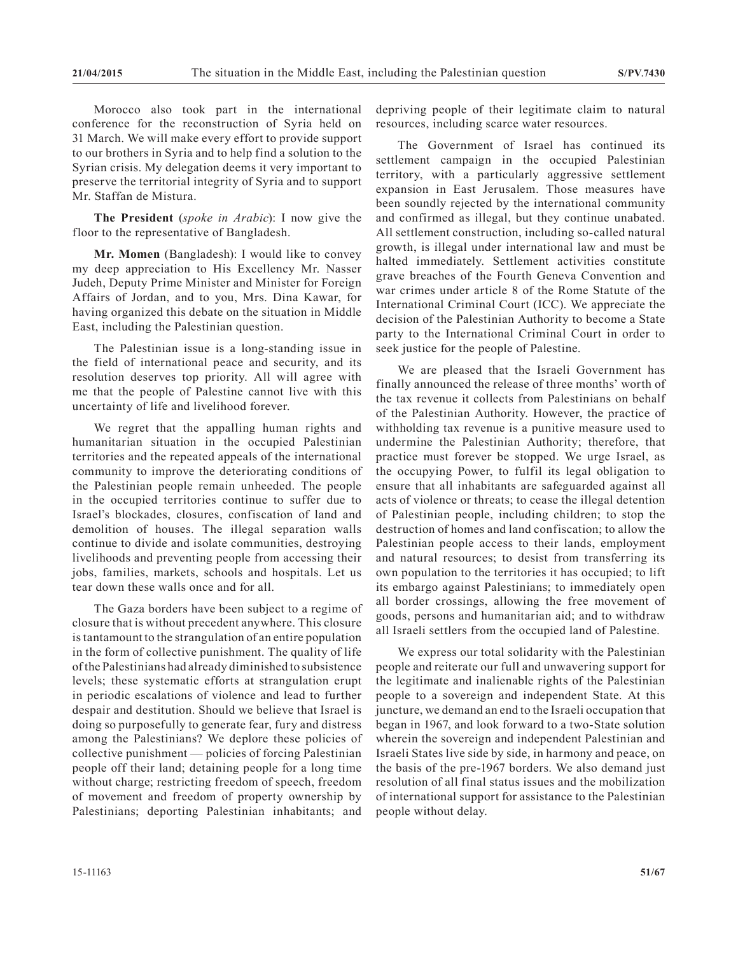Morocco also took part in the international conference for the reconstruction of Syria held on 31 March. We will make every effort to provide support to our brothers in Syria and to help find a solution to the Syrian crisis. My delegation deems it very important to preserve the territorial integrity of Syria and to support Mr. Staffan de Mistura.

**The President** (*spoke in Arabic*): I now give the floor to the representative of Bangladesh.

**Mr. Momen** (Bangladesh): I would like to convey my deep appreciation to His Excellency Mr. Nasser Judeh, Deputy Prime Minister and Minister for Foreign Affairs of Jordan, and to you, Mrs. Dina Kawar, for having organized this debate on the situation in Middle East, including the Palestinian question.

The Palestinian issue is a long-standing issue in the field of international peace and security, and its resolution deserves top priority. All will agree with me that the people of Palestine cannot live with this uncertainty of life and livelihood forever.

We regret that the appalling human rights and humanitarian situation in the occupied Palestinian territories and the repeated appeals of the international community to improve the deteriorating conditions of the Palestinian people remain unheeded. The people in the occupied territories continue to suffer due to Israel's blockades, closures, confiscation of land and demolition of houses. The illegal separation walls continue to divide and isolate communities, destroying livelihoods and preventing people from accessing their jobs, families, markets, schools and hospitals. Let us tear down these walls once and for all.

The Gaza borders have been subject to a regime of closure that is without precedent anywhere. This closure is tantamount to the strangulation of an entire population in the form of collective punishment. The quality of life of the Palestinians had already diminished to subsistence levels; these systematic efforts at strangulation erupt in periodic escalations of violence and lead to further despair and destitution. Should we believe that Israel is doing so purposefully to generate fear, fury and distress among the Palestinians? We deplore these policies of collective punishment — policies of forcing Palestinian people off their land; detaining people for a long time without charge; restricting freedom of speech, freedom of movement and freedom of property ownership by Palestinians; deporting Palestinian inhabitants; and

depriving people of their legitimate claim to natural resources, including scarce water resources.

The Government of Israel has continued its settlement campaign in the occupied Palestinian territory, with a particularly aggressive settlement expansion in East Jerusalem. Those measures have been soundly rejected by the international community and confirmed as illegal, but they continue unabated. All settlement construction, including so-called natural growth, is illegal under international law and must be halted immediately. Settlement activities constitute grave breaches of the Fourth Geneva Convention and war crimes under article 8 of the Rome Statute of the International Criminal Court (ICC). We appreciate the decision of the Palestinian Authority to become a State party to the International Criminal Court in order to seek justice for the people of Palestine.

We are pleased that the Israeli Government has finally announced the release of three months' worth of the tax revenue it collects from Palestinians on behalf of the Palestinian Authority. However, the practice of withholding tax revenue is a punitive measure used to undermine the Palestinian Authority; therefore, that practice must forever be stopped. We urge Israel, as the occupying Power, to fulfil its legal obligation to ensure that all inhabitants are safeguarded against all acts of violence or threats; to cease the illegal detention of Palestinian people, including children; to stop the destruction of homes and land confiscation; to allow the Palestinian people access to their lands, employment and natural resources; to desist from transferring its own population to the territories it has occupied; to lift its embargo against Palestinians; to immediately open all border crossings, allowing the free movement of goods, persons and humanitarian aid; and to withdraw all Israeli settlers from the occupied land of Palestine.

We express our total solidarity with the Palestinian people and reiterate our full and unwavering support for the legitimate and inalienable rights of the Palestinian people to a sovereign and independent State. At this juncture, we demand an end to the Israeli occupation that began in 1967, and look forward to a two-State solution wherein the sovereign and independent Palestinian and Israeli States live side by side, in harmony and peace, on the basis of the pre-1967 borders. We also demand just resolution of all final status issues and the mobilization of international support for assistance to the Palestinian people without delay.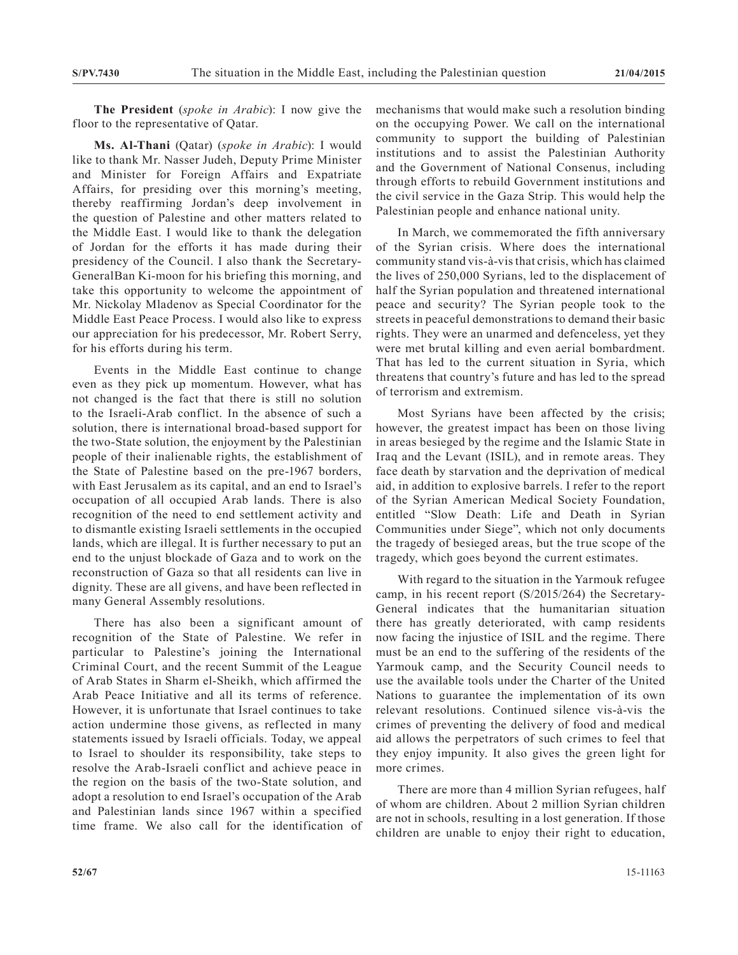**The President** (*spoke in Arabic*): I now give the floor to the representative of Qatar.

**Ms. Al-Thani** (Qatar) (*spoke in Arabic*): I would like to thank Mr. Nasser Judeh, Deputy Prime Minister and Minister for Foreign Affairs and Expatriate Affairs, for presiding over this morning's meeting, thereby reaffirming Jordan's deep involvement in the question of Palestine and other matters related to the Middle East. I would like to thank the delegation of Jordan for the efforts it has made during their presidency of the Council. I also thank the Secretary-GeneralBan Ki-moon for his briefing this morning, and take this opportunity to welcome the appointment of Mr. Nickolay Mladenov as Special Coordinator for the Middle East Peace Process. I would also like to express our appreciation for his predecessor, Mr. Robert Serry, for his efforts during his term.

Events in the Middle East continue to change even as they pick up momentum. However, what has not changed is the fact that there is still no solution to the Israeli-Arab conflict. In the absence of such a solution, there is international broad-based support for the two-State solution, the enjoyment by the Palestinian people of their inalienable rights, the establishment of the State of Palestine based on the pre-1967 borders, with East Jerusalem as its capital, and an end to Israel's occupation of all occupied Arab lands. There is also recognition of the need to end settlement activity and to dismantle existing Israeli settlements in the occupied lands, which are illegal. It is further necessary to put an end to the unjust blockade of Gaza and to work on the reconstruction of Gaza so that all residents can live in dignity. These are all givens, and have been reflected in many General Assembly resolutions.

There has also been a significant amount of recognition of the State of Palestine. We refer in particular to Palestine's joining the International Criminal Court, and the recent Summit of the League of Arab States in Sharm el-Sheikh, which affirmed the Arab Peace Initiative and all its terms of reference. However, it is unfortunate that Israel continues to take action undermine those givens, as reflected in many statements issued by Israeli officials. Today, we appeal to Israel to shoulder its responsibility, take steps to resolve the Arab-Israeli conflict and achieve peace in the region on the basis of the two-State solution, and adopt a resolution to end Israel's occupation of the Arab and Palestinian lands since 1967 within a specified time frame. We also call for the identification of mechanisms that would make such a resolution binding on the occupying Power. We call on the international community to support the building of Palestinian institutions and to assist the Palestinian Authority and the Government of National Consenus, including through efforts to rebuild Government institutions and the civil service in the Gaza Strip. This would help the Palestinian people and enhance national unity.

In March, we commemorated the fifth anniversary of the Syrian crisis. Where does the international community stand vis-à-vis that crisis, which has claimed the lives of 250,000 Syrians, led to the displacement of half the Syrian population and threatened international peace and security? The Syrian people took to the streets in peaceful demonstrations to demand their basic rights. They were an unarmed and defenceless, yet they were met brutal killing and even aerial bombardment. That has led to the current situation in Syria, which threatens that country's future and has led to the spread of terrorism and extremism.

Most Syrians have been affected by the crisis; however, the greatest impact has been on those living in areas besieged by the regime and the Islamic State in Iraq and the Levant (ISIL), and in remote areas. They face death by starvation and the deprivation of medical aid, in addition to explosive barrels. I refer to the report of the Syrian American Medical Society Foundation, entitled "Slow Death: Life and Death in Syrian Communities under Siege", which not only documents the tragedy of besieged areas, but the true scope of the tragedy, which goes beyond the current estimates.

With regard to the situation in the Yarmouk refugee camp, in his recent report (S/2015/264) the Secretary-General indicates that the humanitarian situation there has greatly deteriorated, with camp residents now facing the injustice of ISIL and the regime. There must be an end to the suffering of the residents of the Yarmouk camp, and the Security Council needs to use the available tools under the Charter of the United Nations to guarantee the implementation of its own relevant resolutions. Continued silence vis-à-vis the crimes of preventing the delivery of food and medical aid allows the perpetrators of such crimes to feel that they enjoy impunity. It also gives the green light for more crimes.

There are more than 4 million Syrian refugees, half of whom are children. About 2 million Syrian children are not in schools, resulting in a lost generation. If those children are unable to enjoy their right to education,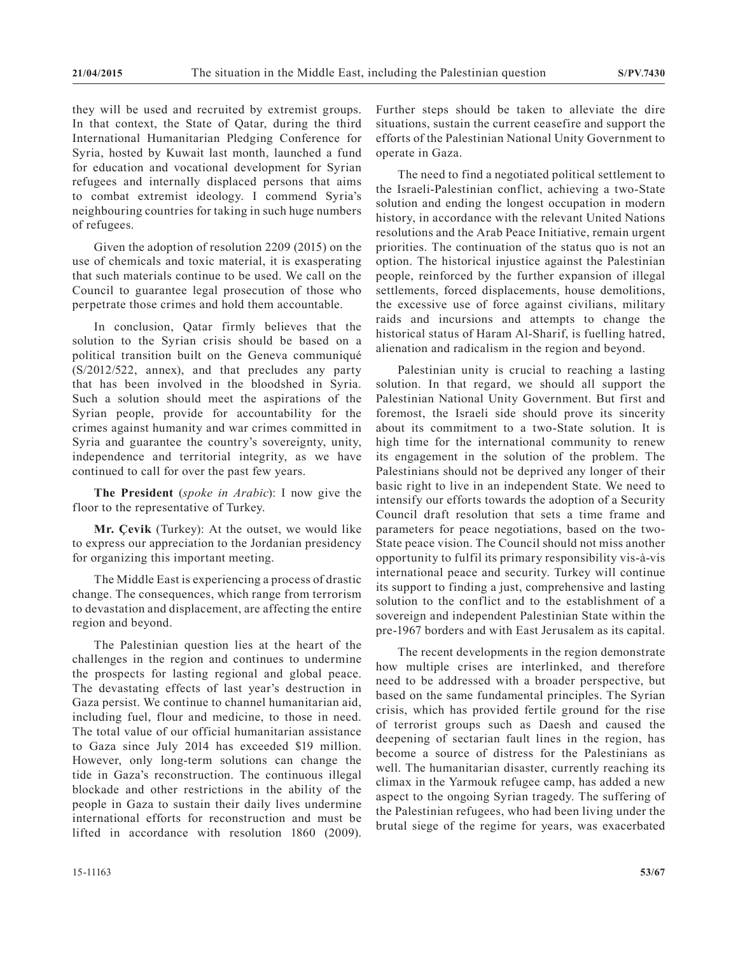they will be used and recruited by extremist groups. In that context, the State of Qatar, during the third International Humanitarian Pledging Conference for Syria, hosted by Kuwait last month, launched a fund for education and vocational development for Syrian refugees and internally displaced persons that aims to combat extremist ideology. I commend Syria's neighbouring countries for taking in such huge numbers of refugees.

Given the adoption of resolution 2209 (2015) on the use of chemicals and toxic material, it is exasperating that such materials continue to be used. We call on the Council to guarantee legal prosecution of those who perpetrate those crimes and hold them accountable.

In conclusion, Qatar firmly believes that the solution to the Syrian crisis should be based on a political transition built on the Geneva communiqué (S/2012/522, annex), and that precludes any party that has been involved in the bloodshed in Syria. Such a solution should meet the aspirations of the Syrian people, provide for accountability for the crimes against humanity and war crimes committed in Syria and guarantee the country's sovereignty, unity, independence and territorial integrity, as we have continued to call for over the past few years.

**The President** (*spoke in Arabic*): I now give the floor to the representative of Turkey.

**Mr. Çevik** (Turkey): At the outset, we would like to express our appreciation to the Jordanian presidency for organizing this important meeting.

The Middle East is experiencing a process of drastic change. The consequences, which range from terrorism to devastation and displacement, are affecting the entire region and beyond.

The Palestinian question lies at the heart of the challenges in the region and continues to undermine the prospects for lasting regional and global peace. The devastating effects of last year's destruction in Gaza persist. We continue to channel humanitarian aid, including fuel, flour and medicine, to those in need. The total value of our official humanitarian assistance to Gaza since July 2014 has exceeded \$19 million. However, only long-term solutions can change the tide in Gaza's reconstruction. The continuous illegal blockade and other restrictions in the ability of the people in Gaza to sustain their daily lives undermine international efforts for reconstruction and must be lifted in accordance with resolution 1860 (2009).

Further steps should be taken to alleviate the dire situations, sustain the current ceasefire and support the efforts of the Palestinian National Unity Government to operate in Gaza.

The need to find a negotiated political settlement to the Israeli-Palestinian conflict, achieving a two-State solution and ending the longest occupation in modern history, in accordance with the relevant United Nations resolutions and the Arab Peace Initiative, remain urgent priorities. The continuation of the status quo is not an option. The historical injustice against the Palestinian people, reinforced by the further expansion of illegal settlements, forced displacements, house demolitions, the excessive use of force against civilians, military raids and incursions and attempts to change the historical status of Haram Al-Sharif, is fuelling hatred, alienation and radicalism in the region and beyond.

Palestinian unity is crucial to reaching a lasting solution. In that regard, we should all support the Palestinian National Unity Government. But first and foremost, the Israeli side should prove its sincerity about its commitment to a two-State solution. It is high time for the international community to renew its engagement in the solution of the problem. The Palestinians should not be deprived any longer of their basic right to live in an independent State. We need to intensify our efforts towards the adoption of a Security Council draft resolution that sets a time frame and parameters for peace negotiations, based on the two-State peace vision. The Council should not miss another opportunity to fulfil its primary responsibility vis-à-vis international peace and security. Turkey will continue its support to finding a just, comprehensive and lasting solution to the conflict and to the establishment of a sovereign and independent Palestinian State within the pre-1967 borders and with East Jerusalem as its capital.

The recent developments in the region demonstrate how multiple crises are interlinked, and therefore need to be addressed with a broader perspective, but based on the same fundamental principles. The Syrian crisis, which has provided fertile ground for the rise of terrorist groups such as Daesh and caused the deepening of sectarian fault lines in the region, has become a source of distress for the Palestinians as well. The humanitarian disaster, currently reaching its climax in the Yarmouk refugee camp, has added a new aspect to the ongoing Syrian tragedy. The suffering of the Palestinian refugees, who had been living under the brutal siege of the regime for years, was exacerbated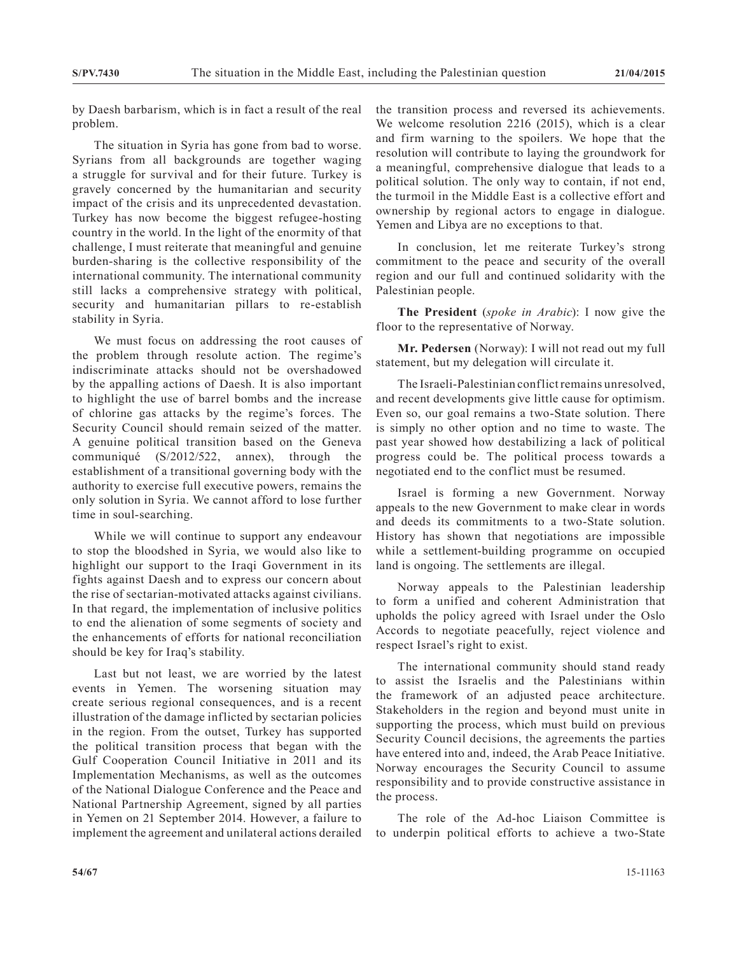by Daesh barbarism, which is in fact a result of the real problem.

The situation in Syria has gone from bad to worse. Syrians from all backgrounds are together waging a struggle for survival and for their future. Turkey is gravely concerned by the humanitarian and security impact of the crisis and its unprecedented devastation. Turkey has now become the biggest refugee-hosting country in the world. In the light of the enormity of that challenge, I must reiterate that meaningful and genuine burden-sharing is the collective responsibility of the international community. The international community still lacks a comprehensive strategy with political, security and humanitarian pillars to re-establish stability in Syria.

We must focus on addressing the root causes of the problem through resolute action. The regime's indiscriminate attacks should not be overshadowed by the appalling actions of Daesh. It is also important to highlight the use of barrel bombs and the increase of chlorine gas attacks by the regime's forces. The Security Council should remain seized of the matter. A genuine political transition based on the Geneva communiqué (S/2012/522, annex), through the establishment of a transitional governing body with the authority to exercise full executive powers, remains the only solution in Syria. We cannot afford to lose further time in soul-searching.

While we will continue to support any endeavour to stop the bloodshed in Syria, we would also like to highlight our support to the Iraqi Government in its fights against Daesh and to express our concern about the rise of sectarian-motivated attacks against civilians. In that regard, the implementation of inclusive politics to end the alienation of some segments of society and the enhancements of efforts for national reconciliation should be key for Iraq's stability.

Last but not least, we are worried by the latest events in Yemen. The worsening situation may create serious regional consequences, and is a recent illustration of the damage inflicted by sectarian policies in the region. From the outset, Turkey has supported the political transition process that began with the Gulf Cooperation Council Initiative in 2011 and its Implementation Mechanisms, as well as the outcomes of the National Dialogue Conference and the Peace and National Partnership Agreement, signed by all parties in Yemen on 21 September 2014. However, a failure to implement the agreement and unilateral actions derailed

the transition process and reversed its achievements. We welcome resolution 2216 (2015), which is a clear and firm warning to the spoilers. We hope that the resolution will contribute to laying the groundwork for a meaningful, comprehensive dialogue that leads to a political solution. The only way to contain, if not end, the turmoil in the Middle East is a collective effort and ownership by regional actors to engage in dialogue. Yemen and Libya are no exceptions to that.

In conclusion, let me reiterate Turkey's strong commitment to the peace and security of the overall region and our full and continued solidarity with the Palestinian people.

**The President** (*spoke in Arabic*): I now give the floor to the representative of Norway.

**Mr. Pedersen** (Norway): I will not read out my full statement, but my delegation will circulate it.

The Israeli-Palestinian conflict remains unresolved, and recent developments give little cause for optimism. Even so, our goal remains a two-State solution. There is simply no other option and no time to waste. The past year showed how destabilizing a lack of political progress could be. The political process towards a negotiated end to the conflict must be resumed.

Israel is forming a new Government. Norway appeals to the new Government to make clear in words and deeds its commitments to a two-State solution. History has shown that negotiations are impossible while a settlement-building programme on occupied land is ongoing. The settlements are illegal.

Norway appeals to the Palestinian leadership to form a unified and coherent Administration that upholds the policy agreed with Israel under the Oslo Accords to negotiate peacefully, reject violence and respect Israel's right to exist.

The international community should stand ready to assist the Israelis and the Palestinians within the framework of an adjusted peace architecture. Stakeholders in the region and beyond must unite in supporting the process, which must build on previous Security Council decisions, the agreements the parties have entered into and, indeed, the Arab Peace Initiative. Norway encourages the Security Council to assume responsibility and to provide constructive assistance in the process.

The role of the Ad-hoc Liaison Committee is to underpin political efforts to achieve a two-State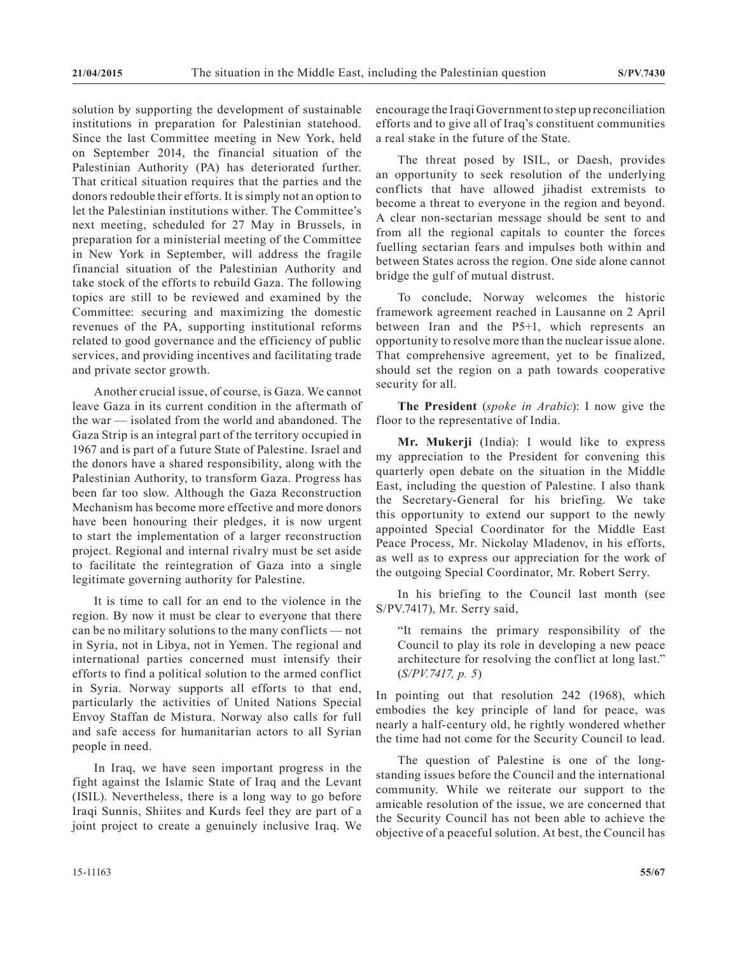solution by supporting the development of sustainable institutions in preparation for Palestinian statehood. Since the last Committee meeting in New York, held on September 2014, the financial situation of the Palestinian Authority (PA) has deteriorated further. That critical situation requires that the parties and the donors redouble their efforts. It is simply not an option to let the Palestinian institutions wither. The Committee's next meeting, scheduled for 27 May in Brussels, in preparation for a ministerial meeting of the Committee in New York in September, will address the fragile financial situation of the Palestinian Authority and take stock of the efforts to rebuild Gaza. The following topics are still to be reviewed and examined by the Committee: securing and maximizing the domestic revenues of the PA, supporting institutional reforms related to good governance and the efficiency of public services, and providing incentives and facilitating trade and private sector growth.

Another crucial issue, of course, is Gaza. We cannot leave Gaza in its current condition in the aftermath of the war — isolated from the world and abandoned. The Gaza Strip is an integral part of the territory occupied in 1967 and is part of a future State of Palestine. Israel and the donors have a shared responsibility, along with the Palestinian Authority, to transform Gaza. Progress has been far too slow. Although the Gaza Reconstruction Mechanism has become more effective and more donors have been honouring their pledges, it is now urgent to start the implementation of a larger reconstruction project. Regional and internal rivalry must be set aside to facilitate the reintegration of Gaza into a single legitimate governing authority for Palestine.

It is time to call for an end to the violence in the region. By now it must be clear to everyone that there can be no military solutions to the many conflicts — not in Syria, not in Libya, not in Yemen. The regional and international parties concerned must intensify their efforts to find a political solution to the armed conflict in Syria. Norway supports all efforts to that end, particularly the activities of United Nations Special Envoy Staffan de Mistura. Norway also calls for full and safe access for humanitarian actors to all Syrian people in need.

In Iraq, we have seen important progress in the fight against the Islamic State of Iraq and the Levant (ISIL). Nevertheless, there is a long way to go before Iraqi Sunnis, Shiites and Kurds feel they are part of a joint project to create a genuinely inclusive Iraq. We

The threat posed by ISIL, or Daesh, provides an opportunity to seek resolution of the underlying conflicts that have allowed jihadist extremists to become a threat to everyone in the region and beyond. A clear non-sectarian message should be sent to and from all the regional capitals to counter the forces fuelling sectarian fears and impulses both within and between States across the region. One side alone cannot bridge the gulf of mutual distrust.

To conclude, Norway welcomes the historic framework agreement reached in Lausanne on 2 April between Iran and the P5+1, which represents an opportunity to resolve more than the nuclear issue alone. That comprehensive agreement, yet to be finalized, should set the region on a path towards cooperative security for all.

**The President** (*spoke in Arabic*): I now give the floor to the representative of India.

**Mr. Mukerji** (India): I would like to express my appreciation to the President for convening this quarterly open debate on the situation in the Middle East, including the question of Palestine. I also thank the Secretary-General for his briefing. We take this opportunity to extend our support to the newly appointed Special Coordinator for the Middle East Peace Process, Mr. Nickolay Mladenov, in his efforts, as well as to express our appreciation for the work of the outgoing Special Coordinator, Mr. Robert Serry.

In his briefing to the Council last month (see S/PV.7417), Mr. Serry said,

"It remains the primary responsibility of the Council to play its role in developing a new peace architecture for resolving the conflict at long last." (*S/PV.7417, p. 5*)

In pointing out that resolution 242 (1968), which embodies the key principle of land for peace, was nearly a half-century old, he rightly wondered whether the time had not come for the Security Council to lead.

The question of Palestine is one of the longstanding issues before the Council and the international community. While we reiterate our support to the amicable resolution of the issue, we are concerned that the Security Council has not been able to achieve the objective of a peaceful solution. At best, the Council has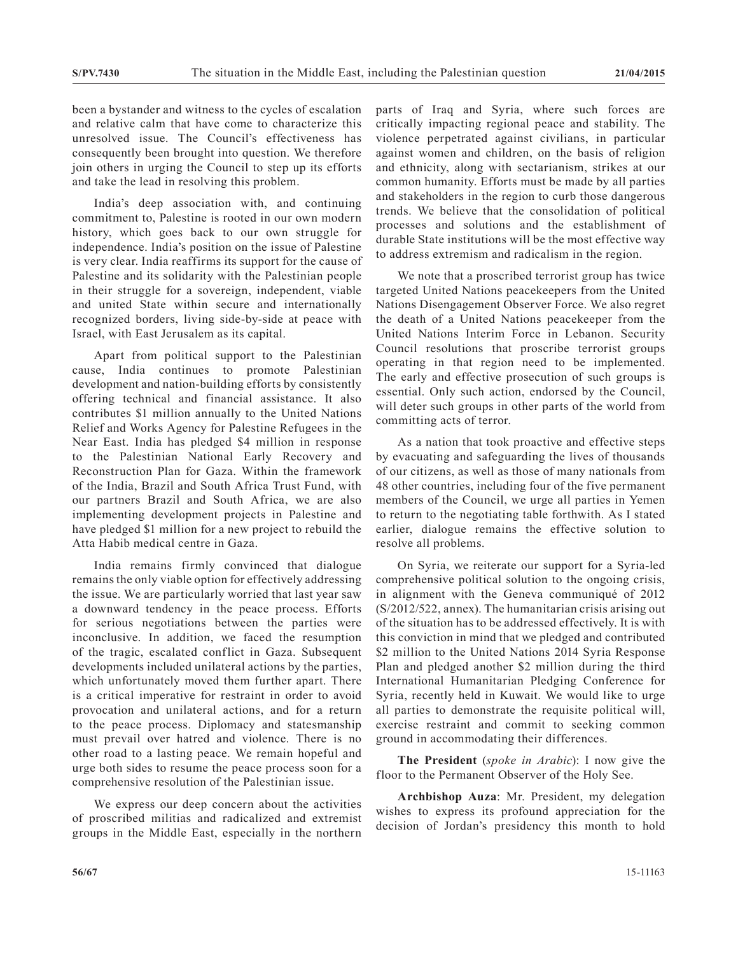been a bystander and witness to the cycles of escalation and relative calm that have come to characterize this unresolved issue. The Council's effectiveness has consequently been brought into question. We therefore join others in urging the Council to step up its efforts and take the lead in resolving this problem.

India's deep association with, and continuing commitment to, Palestine is rooted in our own modern history, which goes back to our own struggle for independence. India's position on the issue of Palestine is very clear. India reaffirms its support for the cause of Palestine and its solidarity with the Palestinian people in their struggle for a sovereign, independent, viable and united State within secure and internationally recognized borders, living side-by-side at peace with Israel, with East Jerusalem as its capital.

Apart from political support to the Palestinian cause, India continues to promote Palestinian development and nation-building efforts by consistently offering technical and financial assistance. It also contributes \$1 million annually to the United Nations Relief and Works Agency for Palestine Refugees in the Near East. India has pledged \$4 million in response to the Palestinian National Early Recovery and Reconstruction Plan for Gaza. Within the framework of the India, Brazil and South Africa Trust Fund, with our partners Brazil and South Africa, we are also implementing development projects in Palestine and have pledged \$1 million for a new project to rebuild the Atta Habib medical centre in Gaza.

India remains firmly convinced that dialogue remains the only viable option for effectively addressing the issue. We are particularly worried that last year saw a downward tendency in the peace process. Efforts for serious negotiations between the parties were inconclusive. In addition, we faced the resumption of the tragic, escalated conflict in Gaza. Subsequent developments included unilateral actions by the parties, which unfortunately moved them further apart. There is a critical imperative for restraint in order to avoid provocation and unilateral actions, and for a return to the peace process. Diplomacy and statesmanship must prevail over hatred and violence. There is no other road to a lasting peace. We remain hopeful and urge both sides to resume the peace process soon for a comprehensive resolution of the Palestinian issue.

We express our deep concern about the activities of proscribed militias and radicalized and extremist groups in the Middle East, especially in the northern

parts of Iraq and Syria, where such forces are critically impacting regional peace and stability. The violence perpetrated against civilians, in particular against women and children, on the basis of religion and ethnicity, along with sectarianism, strikes at our common humanity. Efforts must be made by all parties and stakeholders in the region to curb those dangerous trends. We believe that the consolidation of political processes and solutions and the establishment of durable State institutions will be the most effective way to address extremism and radicalism in the region.

We note that a proscribed terrorist group has twice targeted United Nations peacekeepers from the United Nations Disengagement Observer Force. We also regret the death of a United Nations peacekeeper from the United Nations Interim Force in Lebanon. Security Council resolutions that proscribe terrorist groups operating in that region need to be implemented. The early and effective prosecution of such groups is essential. Only such action, endorsed by the Council, will deter such groups in other parts of the world from committing acts of terror.

As a nation that took proactive and effective steps by evacuating and safeguarding the lives of thousands of our citizens, as well as those of many nationals from 48 other countries, including four of the five permanent members of the Council, we urge all parties in Yemen to return to the negotiating table forthwith. As I stated earlier, dialogue remains the effective solution to resolve all problems.

On Syria, we reiterate our support for a Syria-led comprehensive political solution to the ongoing crisis, in alignment with the Geneva communiqué of 2012 (S/2012/522, annex). The humanitarian crisis arising out of the situation has to be addressed effectively. It is with this conviction in mind that we pledged and contributed \$2 million to the United Nations 2014 Syria Response Plan and pledged another \$2 million during the third International Humanitarian Pledging Conference for Syria, recently held in Kuwait. We would like to urge all parties to demonstrate the requisite political will, exercise restraint and commit to seeking common ground in accommodating their differences.

**The President** (*spoke in Arabic*): I now give the floor to the Permanent Observer of the Holy See.

**Archbishop Auza**: Mr. President, my delegation wishes to express its profound appreciation for the decision of Jordan's presidency this month to hold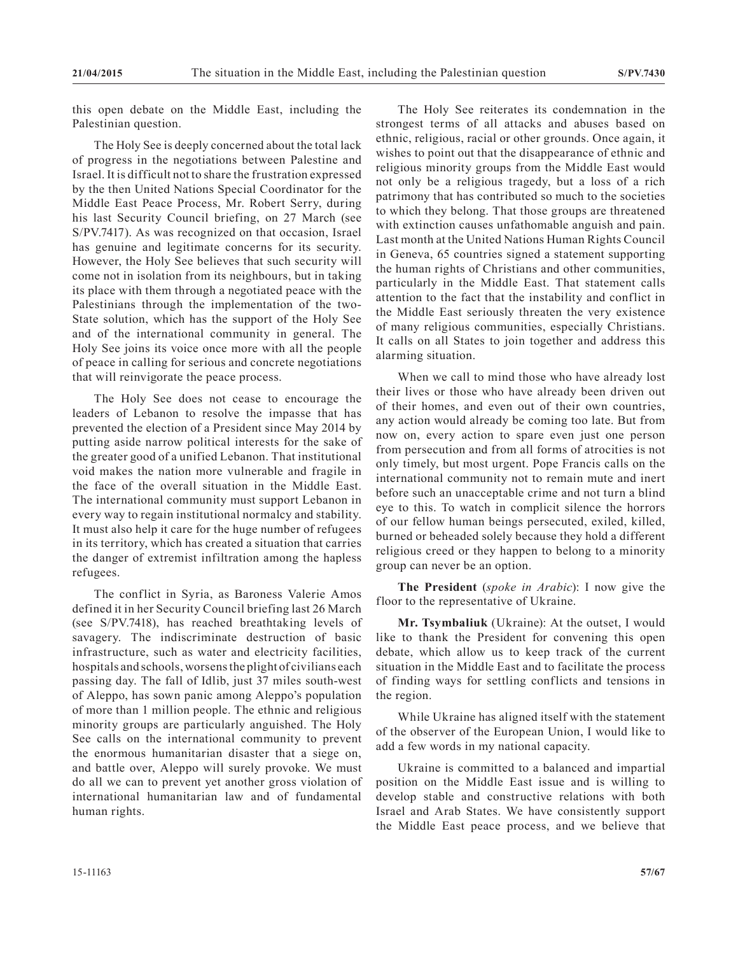this open debate on the Middle East, including the Palestinian question.

The Holy See is deeply concerned about the total lack of progress in the negotiations between Palestine and Israel. It is difficult not to share the frustration expressed by the then United Nations Special Coordinator for the Middle East Peace Process, Mr. Robert Serry, during his last Security Council briefing, on 27 March (see S/PV.7417). As was recognized on that occasion, Israel has genuine and legitimate concerns for its security. However, the Holy See believes that such security will come not in isolation from its neighbours, but in taking its place with them through a negotiated peace with the Palestinians through the implementation of the two-State solution, which has the support of the Holy See and of the international community in general. The Holy See joins its voice once more with all the people of peace in calling for serious and concrete negotiations that will reinvigorate the peace process.

The Holy See does not cease to encourage the leaders of Lebanon to resolve the impasse that has prevented the election of a President since May 2014 by putting aside narrow political interests for the sake of the greater good of a unified Lebanon. That institutional void makes the nation more vulnerable and fragile in the face of the overall situation in the Middle East. The international community must support Lebanon in every way to regain institutional normalcy and stability. It must also help it care for the huge number of refugees in its territory, which has created a situation that carries the danger of extremist infiltration among the hapless refugees.

The conflict in Syria, as Baroness Valerie Amos defined it in her Security Council briefing last 26 March (see S/PV.7418), has reached breathtaking levels of savagery. The indiscriminate destruction of basic infrastructure, such as water and electricity facilities, hospitals and schools, worsens the plight of civilians each passing day. The fall of Idlib, just 37 miles south-west of Aleppo, has sown panic among Aleppo's population of more than 1 million people. The ethnic and religious minority groups are particularly anguished. The Holy See calls on the international community to prevent the enormous humanitarian disaster that a siege on, and battle over, Aleppo will surely provoke. We must do all we can to prevent yet another gross violation of international humanitarian law and of fundamental human rights.

The Holy See reiterates its condemnation in the strongest terms of all attacks and abuses based on ethnic, religious, racial or other grounds. Once again, it wishes to point out that the disappearance of ethnic and religious minority groups from the Middle East would not only be a religious tragedy, but a loss of a rich patrimony that has contributed so much to the societies to which they belong. That those groups are threatened with extinction causes unfathomable anguish and pain. Last month at the United Nations Human Rights Council in Geneva, 65 countries signed a statement supporting the human rights of Christians and other communities, particularly in the Middle East. That statement calls attention to the fact that the instability and conflict in the Middle East seriously threaten the very existence of many religious communities, especially Christians. It calls on all States to join together and address this alarming situation.

When we call to mind those who have already lost their lives or those who have already been driven out of their homes, and even out of their own countries, any action would already be coming too late. But from now on, every action to spare even just one person from persecution and from all forms of atrocities is not only timely, but most urgent. Pope Francis calls on the international community not to remain mute and inert before such an unacceptable crime and not turn a blind eye to this. To watch in complicit silence the horrors of our fellow human beings persecuted, exiled, killed, burned or beheaded solely because they hold a different religious creed or they happen to belong to a minority group can never be an option.

**The President** (*spoke in Arabic*): I now give the floor to the representative of Ukraine.

**Mr. Tsymbaliuk** (Ukraine): At the outset, I would like to thank the President for convening this open debate, which allow us to keep track of the current situation in the Middle East and to facilitate the process of finding ways for settling conflicts and tensions in the region.

While Ukraine has aligned itself with the statement of the observer of the European Union, I would like to add a few words in my national capacity.

Ukraine is committed to a balanced and impartial position on the Middle East issue and is willing to develop stable and constructive relations with both Israel and Arab States. We have consistently support the Middle East peace process, and we believe that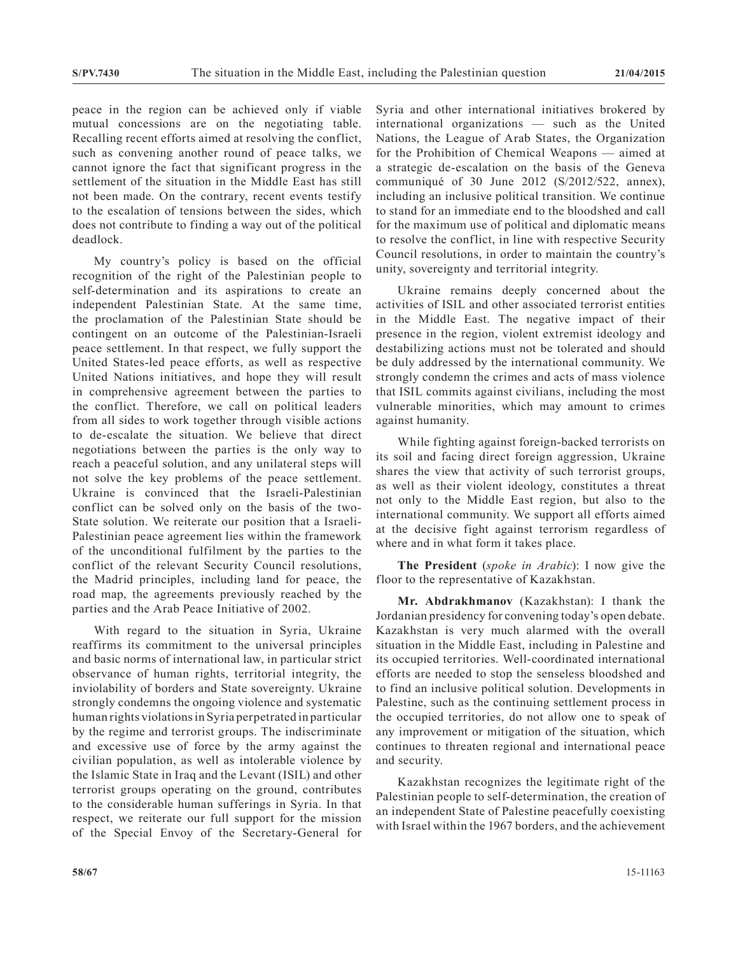peace in the region can be achieved only if viable mutual concessions are on the negotiating table. Recalling recent efforts aimed at resolving the conflict, such as convening another round of peace talks, we cannot ignore the fact that significant progress in the settlement of the situation in the Middle East has still not been made. On the contrary, recent events testify to the escalation of tensions between the sides, which does not contribute to finding a way out of the political deadlock.

My country's policy is based on the official recognition of the right of the Palestinian people to self-determination and its aspirations to create an independent Palestinian State. At the same time, the proclamation of the Palestinian State should be contingent on an outcome of the Palestinian-Israeli peace settlement. In that respect, we fully support the United States-led peace efforts, as well as respective United Nations initiatives, and hope they will result in comprehensive agreement between the parties to the conflict. Therefore, we call on political leaders from all sides to work together through visible actions to de-escalate the situation. We believe that direct negotiations between the parties is the only way to reach a peaceful solution, and any unilateral steps will not solve the key problems of the peace settlement. Ukraine is convinced that the Israeli-Palestinian conflict can be solved only on the basis of the two-State solution. We reiterate our position that a Israeli-Palestinian peace agreement lies within the framework of the unconditional fulfilment by the parties to the conflict of the relevant Security Council resolutions, the Madrid principles, including land for peace, the road map, the agreements previously reached by the parties and the Arab Peace Initiative of 2002.

With regard to the situation in Syria, Ukraine reaffirms its commitment to the universal principles and basic norms of international law, in particular strict observance of human rights, territorial integrity, the inviolability of borders and State sovereignty. Ukraine strongly condemns the ongoing violence and systematic human rights violations in Syria perpetrated in particular by the regime and terrorist groups. The indiscriminate and excessive use of force by the army against the civilian population, as well as intolerable violence by the Islamic State in Iraq and the Levant (ISIL) and other terrorist groups operating on the ground, contributes to the considerable human sufferings in Syria. In that respect, we reiterate our full support for the mission of the Special Envoy of the Secretary-General for

Syria and other international initiatives brokered by international organizations — such as the United Nations, the League of Arab States, the Organization for the Prohibition of Chemical Weapons — aimed at a strategic de-escalation on the basis of the Geneva communiqué of 30 June 2012 (S/2012/522, annex), including an inclusive political transition. We continue to stand for an immediate end to the bloodshed and call for the maximum use of political and diplomatic means to resolve the conflict, in line with respective Security Council resolutions, in order to maintain the country's unity, sovereignty and territorial integrity.

Ukraine remains deeply concerned about the activities of ISIL and other associated terrorist entities in the Middle East. The negative impact of their presence in the region, violent extremist ideology and destabilizing actions must not be tolerated and should be duly addressed by the international community. We strongly condemn the crimes and acts of mass violence that ISIL commits against civilians, including the most vulnerable minorities, which may amount to crimes against humanity.

While fighting against foreign-backed terrorists on its soil and facing direct foreign aggression, Ukraine shares the view that activity of such terrorist groups, as well as their violent ideology, constitutes a threat not only to the Middle East region, but also to the international community. We support all efforts aimed at the decisive fight against terrorism regardless of where and in what form it takes place.

**The President** (*spoke in Arabic*): I now give the floor to the representative of Kazakhstan.

**Mr. Abdrakhmanov** (Kazakhstan): I thank the Jordanian presidency for convening today's open debate. Kazakhstan is very much alarmed with the overall situation in the Middle East, including in Palestine and its occupied territories. Well-coordinated international efforts are needed to stop the senseless bloodshed and to find an inclusive political solution. Developments in Palestine, such as the continuing settlement process in the occupied territories, do not allow one to speak of any improvement or mitigation of the situation, which continues to threaten regional and international peace and security.

Kazakhstan recognizes the legitimate right of the Palestinian people to self-determination, the creation of an independent State of Palestine peacefully coexisting with Israel within the 1967 borders, and the achievement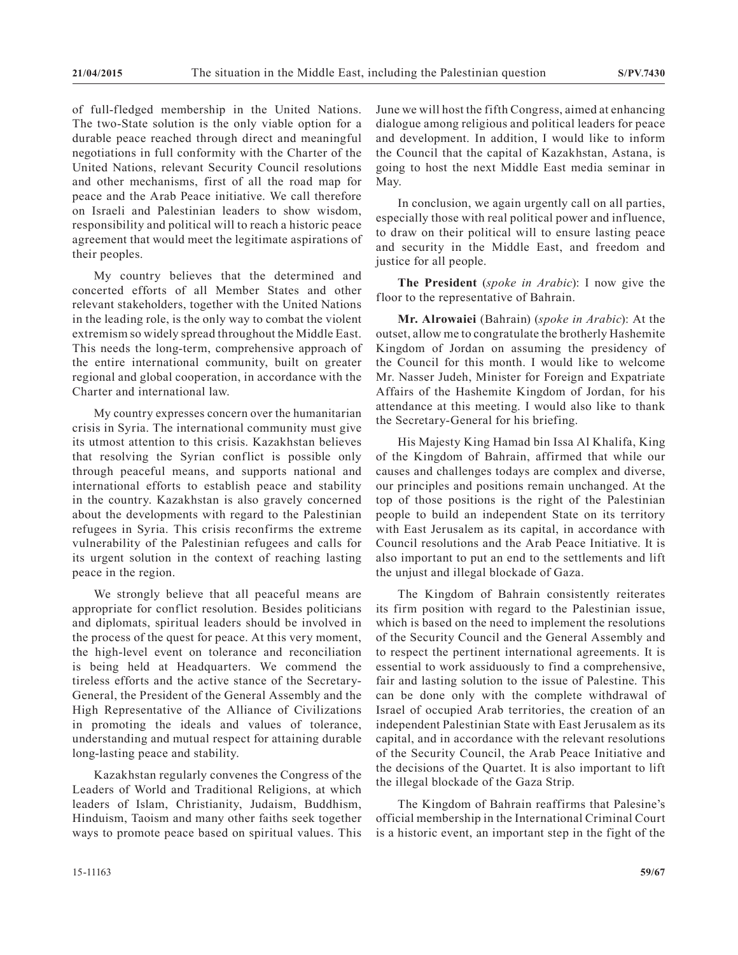of full-fledged membership in the United Nations. The two-State solution is the only viable option for a durable peace reached through direct and meaningful negotiations in full conformity with the Charter of the United Nations, relevant Security Council resolutions and other mechanisms, first of all the road map for peace and the Arab Peace initiative. We call therefore on Israeli and Palestinian leaders to show wisdom, responsibility and political will to reach a historic peace agreement that would meet the legitimate aspirations of their peoples.

My country believes that the determined and concerted efforts of all Member States and other relevant stakeholders, together with the United Nations in the leading role, is the only way to combat the violent extremism so widely spread throughout the Middle East. This needs the long-term, comprehensive approach of the entire international community, built on greater regional and global cooperation, in accordance with the Charter and international law.

My country expresses concern over the humanitarian crisis in Syria. The international community must give its utmost attention to this crisis. Kazakhstan believes that resolving the Syrian conflict is possible only through peaceful means, and supports national and international efforts to establish peace and stability in the country. Kazakhstan is also gravely concerned about the developments with regard to the Palestinian refugees in Syria. This crisis reconfirms the extreme vulnerability of the Palestinian refugees and calls for its urgent solution in the context of reaching lasting peace in the region.

We strongly believe that all peaceful means are appropriate for conflict resolution. Besides politicians and diplomats, spiritual leaders should be involved in the process of the quest for peace. At this very moment, the high-level event on tolerance and reconciliation is being held at Headquarters. We commend the tireless efforts and the active stance of the Secretary-General, the President of the General Assembly and the High Representative of the Alliance of Civilizations in promoting the ideals and values of tolerance, understanding and mutual respect for attaining durable long-lasting peace and stability.

Kazakhstan regularly convenes the Congress of the Leaders of World and Traditional Religions, at which leaders of Islam, Christianity, Judaism, Buddhism, Hinduism, Taoism and many other faiths seek together ways to promote peace based on spiritual values. This June we will host the fifth Congress, aimed at enhancing dialogue among religious and political leaders for peace and development. In addition, I would like to inform the Council that the capital of Kazakhstan, Astana, is going to host the next Middle East media seminar in May.

In conclusion, we again urgently call on all parties, especially those with real political power and influence, to draw on their political will to ensure lasting peace and security in the Middle East, and freedom and justice for all people.

**The President** (*spoke in Arabic*): I now give the floor to the representative of Bahrain.

**Mr. Alrowaiei** (Bahrain) (*spoke in Arabic*): At the outset, allow me to congratulate the brotherly Hashemite Kingdom of Jordan on assuming the presidency of the Council for this month. I would like to welcome Mr. Nasser Judeh, Minister for Foreign and Expatriate Affairs of the Hashemite Kingdom of Jordan, for his attendance at this meeting. I would also like to thank the Secretary-General for his briefing.

His Majesty King Hamad bin Issa Al Khalifa, King of the Kingdom of Bahrain, affirmed that while our causes and challenges todays are complex and diverse, our principles and positions remain unchanged. At the top of those positions is the right of the Palestinian people to build an independent State on its territory with East Jerusalem as its capital, in accordance with Council resolutions and the Arab Peace Initiative. It is also important to put an end to the settlements and lift the unjust and illegal blockade of Gaza.

The Kingdom of Bahrain consistently reiterates its firm position with regard to the Palestinian issue, which is based on the need to implement the resolutions of the Security Council and the General Assembly and to respect the pertinent international agreements. It is essential to work assiduously to find a comprehensive, fair and lasting solution to the issue of Palestine. This can be done only with the complete withdrawal of Israel of occupied Arab territories, the creation of an independent Palestinian State with East Jerusalem as its capital, and in accordance with the relevant resolutions of the Security Council, the Arab Peace Initiative and the decisions of the Quartet. It is also important to lift the illegal blockade of the Gaza Strip.

The Kingdom of Bahrain reaffirms that Palesine's official membership in the International Criminal Court is a historic event, an important step in the fight of the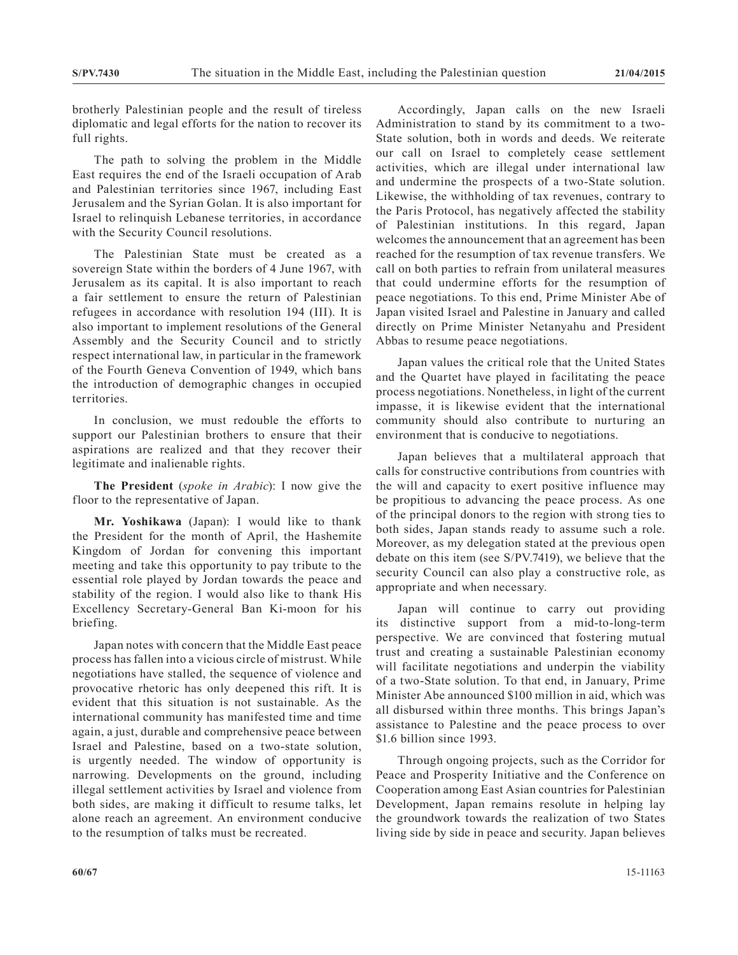brotherly Palestinian people and the result of tireless diplomatic and legal efforts for the nation to recover its full rights.

The path to solving the problem in the Middle East requires the end of the Israeli occupation of Arab and Palestinian territories since 1967, including East Jerusalem and the Syrian Golan. It is also important for Israel to relinquish Lebanese territories, in accordance with the Security Council resolutions.

The Palestinian State must be created as a sovereign State within the borders of 4 June 1967, with Jerusalem as its capital. It is also important to reach a fair settlement to ensure the return of Palestinian refugees in accordance with resolution 194 (III). It is also important to implement resolutions of the General Assembly and the Security Council and to strictly respect international law, in particular in the framework of the Fourth Geneva Convention of 1949, which bans the introduction of demographic changes in occupied territories.

In conclusion, we must redouble the efforts to support our Palestinian brothers to ensure that their aspirations are realized and that they recover their legitimate and inalienable rights.

**The President** (*spoke in Arabic*): I now give the floor to the representative of Japan.

**Mr. Yoshikawa** (Japan): I would like to thank the President for the month of April, the Hashemite Kingdom of Jordan for convening this important meeting and take this opportunity to pay tribute to the essential role played by Jordan towards the peace and stability of the region. I would also like to thank His Excellency Secretary-General Ban Ki-moon for his briefing.

Japan notes with concern that the Middle East peace process has fallen into a vicious circle of mistrust. While negotiations have stalled, the sequence of violence and provocative rhetoric has only deepened this rift. It is evident that this situation is not sustainable. As the international community has manifested time and time again, a just, durable and comprehensive peace between Israel and Palestine, based on a two-state solution, is urgently needed. The window of opportunity is narrowing. Developments on the ground, including illegal settlement activities by Israel and violence from both sides, are making it difficult to resume talks, let alone reach an agreement. An environment conducive to the resumption of talks must be recreated.

Accordingly, Japan calls on the new Israeli Administration to stand by its commitment to a two-State solution, both in words and deeds. We reiterate our call on Israel to completely cease settlement activities, which are illegal under international law and undermine the prospects of a two-State solution. Likewise, the withholding of tax revenues, contrary to the Paris Protocol, has negatively affected the stability of Palestinian institutions. In this regard, Japan welcomes the announcement that an agreement has been reached for the resumption of tax revenue transfers. We call on both parties to refrain from unilateral measures that could undermine efforts for the resumption of peace negotiations. To this end, Prime Minister Abe of Japan visited Israel and Palestine in January and called directly on Prime Minister Netanyahu and President Abbas to resume peace negotiations.

Japan values the critical role that the United States and the Quartet have played in facilitating the peace process negotiations. Nonetheless, in light of the current impasse, it is likewise evident that the international community should also contribute to nurturing an environment that is conducive to negotiations.

Japan believes that a multilateral approach that calls for constructive contributions from countries with the will and capacity to exert positive influence may be propitious to advancing the peace process. As one of the principal donors to the region with strong ties to both sides, Japan stands ready to assume such a role. Moreover, as my delegation stated at the previous open debate on this item (see S/PV.7419), we believe that the security Council can also play a constructive role, as appropriate and when necessary.

Japan will continue to carry out providing its distinctive support from a mid-to-long-term perspective. We are convinced that fostering mutual trust and creating a sustainable Palestinian economy will facilitate negotiations and underpin the viability of a two-State solution. To that end, in January, Prime Minister Abe announced \$100 million in aid, which was all disbursed within three months. This brings Japan's assistance to Palestine and the peace process to over \$1.6 billion since 1993.

Through ongoing projects, such as the Corridor for Peace and Prosperity Initiative and the Conference on Cooperation among East Asian countries for Palestinian Development, Japan remains resolute in helping lay the groundwork towards the realization of two States living side by side in peace and security. Japan believes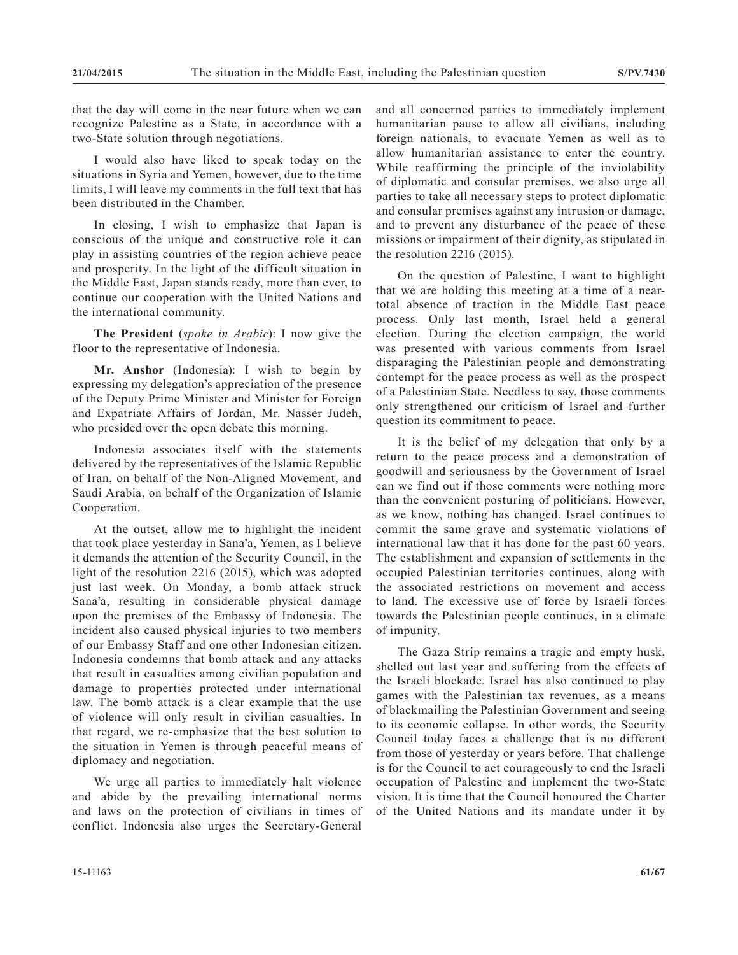that the day will come in the near future when we can recognize Palestine as a State, in accordance with a two-State solution through negotiations.

I would also have liked to speak today on the situations in Syria and Yemen, however, due to the time limits, I will leave my comments in the full text that has been distributed in the Chamber.

In closing, I wish to emphasize that Japan is conscious of the unique and constructive role it can play in assisting countries of the region achieve peace and prosperity. In the light of the difficult situation in the Middle East, Japan stands ready, more than ever, to continue our cooperation with the United Nations and the international community.

**The President** (*spoke in Arabic*): I now give the floor to the representative of Indonesia.

**Mr. Anshor** (Indonesia): I wish to begin by expressing my delegation's appreciation of the presence of the Deputy Prime Minister and Minister for Foreign and Expatriate Affairs of Jordan, Mr. Nasser Judeh, who presided over the open debate this morning.

Indonesia associates itself with the statements delivered by the representatives of the Islamic Republic of Iran, on behalf of the Non-Aligned Movement, and Saudi Arabia, on behalf of the Organization of Islamic Cooperation.

At the outset, allow me to highlight the incident that took place yesterday in Sana'a, Yemen, as I believe it demands the attention of the Security Council, in the light of the resolution 2216 (2015), which was adopted just last week. On Monday, a bomb attack struck Sana'a, resulting in considerable physical damage upon the premises of the Embassy of Indonesia. The incident also caused physical injuries to two members of our Embassy Staff and one other Indonesian citizen. Indonesia condemns that bomb attack and any attacks that result in casualties among civilian population and damage to properties protected under international law. The bomb attack is a clear example that the use of violence will only result in civilian casualties. In that regard, we re-emphasize that the best solution to the situation in Yemen is through peaceful means of diplomacy and negotiation.

We urge all parties to immediately halt violence and abide by the prevailing international norms and laws on the protection of civilians in times of conflict. Indonesia also urges the Secretary-General

and all concerned parties to immediately implement humanitarian pause to allow all civilians, including foreign nationals, to evacuate Yemen as well as to allow humanitarian assistance to enter the country. While reaffirming the principle of the inviolability of diplomatic and consular premises, we also urge all parties to take all necessary steps to protect diplomatic and consular premises against any intrusion or damage, and to prevent any disturbance of the peace of these missions or impairment of their dignity, as stipulated in the resolution 2216 (2015).

On the question of Palestine, I want to highlight that we are holding this meeting at a time of a neartotal absence of traction in the Middle East peace process. Only last month, Israel held a general election. During the election campaign, the world was presented with various comments from Israel disparaging the Palestinian people and demonstrating contempt for the peace process as well as the prospect of a Palestinian State. Needless to say, those comments only strengthened our criticism of Israel and further question its commitment to peace.

It is the belief of my delegation that only by a return to the peace process and a demonstration of goodwill and seriousness by the Government of Israel can we find out if those comments were nothing more than the convenient posturing of politicians. However, as we know, nothing has changed. Israel continues to commit the same grave and systematic violations of international law that it has done for the past 60 years. The establishment and expansion of settlements in the occupied Palestinian territories continues, along with the associated restrictions on movement and access to land. The excessive use of force by Israeli forces towards the Palestinian people continues, in a climate of impunity.

The Gaza Strip remains a tragic and empty husk, shelled out last year and suffering from the effects of the Israeli blockade. Israel has also continued to play games with the Palestinian tax revenues, as a means of blackmailing the Palestinian Government and seeing to its economic collapse. In other words, the Security Council today faces a challenge that is no different from those of yesterday or years before. That challenge is for the Council to act courageously to end the Israeli occupation of Palestine and implement the two-State vision. It is time that the Council honoured the Charter of the United Nations and its mandate under it by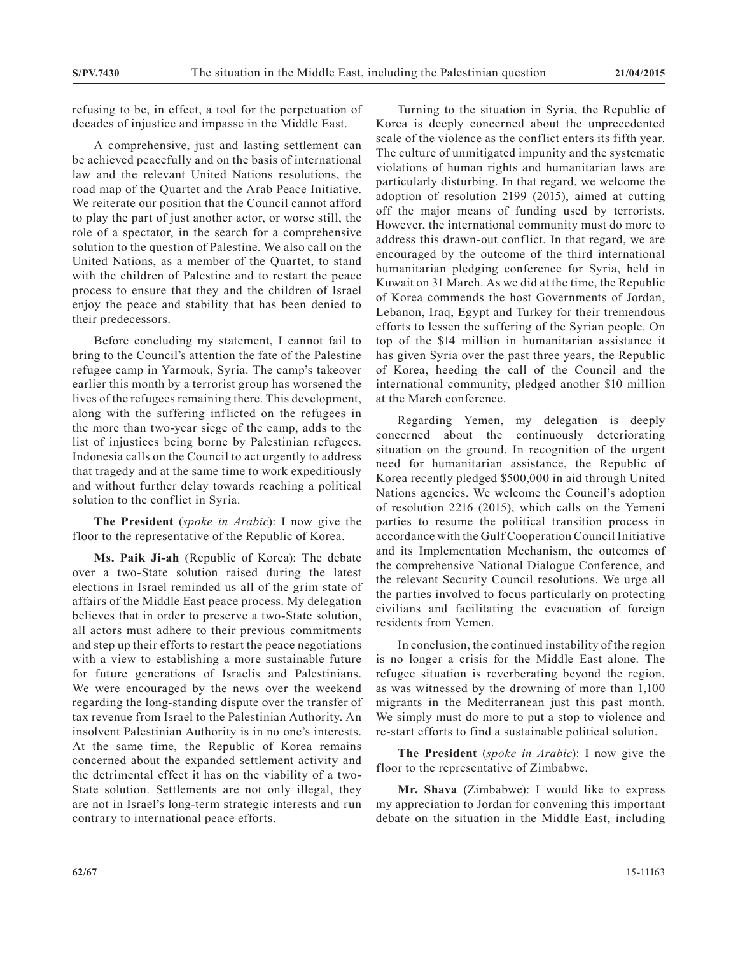refusing to be, in effect, a tool for the perpetuation of decades of injustice and impasse in the Middle East.

A comprehensive, just and lasting settlement can be achieved peacefully and on the basis of international law and the relevant United Nations resolutions, the road map of the Quartet and the Arab Peace Initiative. We reiterate our position that the Council cannot afford to play the part of just another actor, or worse still, the role of a spectator, in the search for a comprehensive solution to the question of Palestine. We also call on the United Nations, as a member of the Quartet, to stand with the children of Palestine and to restart the peace process to ensure that they and the children of Israel enjoy the peace and stability that has been denied to their predecessors.

Before concluding my statement, I cannot fail to bring to the Council's attention the fate of the Palestine refugee camp in Yarmouk, Syria. The camp's takeover earlier this month by a terrorist group has worsened the lives of the refugees remaining there. This development, along with the suffering inflicted on the refugees in the more than two-year siege of the camp, adds to the list of injustices being borne by Palestinian refugees. Indonesia calls on the Council to act urgently to address that tragedy and at the same time to work expeditiously and without further delay towards reaching a political solution to the conflict in Syria.

**The President** (*spoke in Arabic*): I now give the floor to the representative of the Republic of Korea.

**Ms. Paik Ji-ah** (Republic of Korea): The debate over a two-State solution raised during the latest elections in Israel reminded us all of the grim state of affairs of the Middle East peace process. My delegation believes that in order to preserve a two-State solution, all actors must adhere to their previous commitments and step up their efforts to restart the peace negotiations with a view to establishing a more sustainable future for future generations of Israelis and Palestinians. We were encouraged by the news over the weekend regarding the long-standing dispute over the transfer of tax revenue from Israel to the Palestinian Authority. An insolvent Palestinian Authority is in no one's interests. At the same time, the Republic of Korea remains concerned about the expanded settlement activity and the detrimental effect it has on the viability of a two-State solution. Settlements are not only illegal, they are not in Israel's long-term strategic interests and run contrary to international peace efforts.

Turning to the situation in Syria, the Republic of Korea is deeply concerned about the unprecedented scale of the violence as the conflict enters its fifth year. The culture of unmitigated impunity and the systematic violations of human rights and humanitarian laws are particularly disturbing. In that regard, we welcome the adoption of resolution 2199 (2015), aimed at cutting off the major means of funding used by terrorists. However, the international community must do more to address this drawn-out conflict. In that regard, we are encouraged by the outcome of the third international humanitarian pledging conference for Syria, held in Kuwait on 31 March. As we did at the time, the Republic of Korea commends the host Governments of Jordan, Lebanon, Iraq, Egypt and Turkey for their tremendous efforts to lessen the suffering of the Syrian people. On top of the \$14 million in humanitarian assistance it has given Syria over the past three years, the Republic of Korea, heeding the call of the Council and the international community, pledged another \$10 million at the March conference.

Regarding Yemen, my delegation is deeply concerned about the continuously deteriorating situation on the ground. In recognition of the urgent need for humanitarian assistance, the Republic of Korea recently pledged \$500,000 in aid through United Nations agencies. We welcome the Council's adoption of resolution 2216 (2015), which calls on the Yemeni parties to resume the political transition process in accordance with the Gulf Cooperation Council Initiative and its Implementation Mechanism, the outcomes of the comprehensive National Dialogue Conference, and the relevant Security Council resolutions. We urge all the parties involved to focus particularly on protecting civilians and facilitating the evacuation of foreign residents from Yemen.

In conclusion, the continued instability of the region is no longer a crisis for the Middle East alone. The refugee situation is reverberating beyond the region, as was witnessed by the drowning of more than 1,100 migrants in the Mediterranean just this past month. We simply must do more to put a stop to violence and re-start efforts to find a sustainable political solution.

**The President** (*spoke in Arabic*): I now give the floor to the representative of Zimbabwe.

**Mr. Shava** (Zimbabwe): I would like to express my appreciation to Jordan for convening this important debate on the situation in the Middle East, including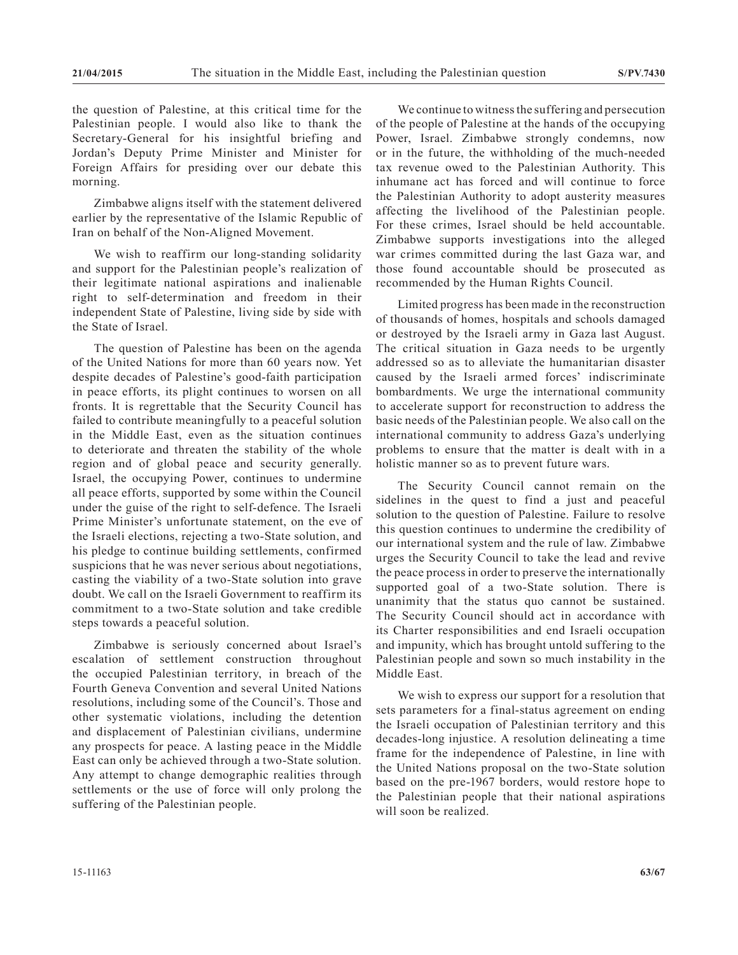the question of Palestine, at this critical time for the Palestinian people. I would also like to thank the Secretary-General for his insightful briefing and Jordan's Deputy Prime Minister and Minister for Foreign Affairs for presiding over our debate this morning.

Zimbabwe aligns itself with the statement delivered earlier by the representative of the Islamic Republic of Iran on behalf of the Non-Aligned Movement.

We wish to reaffirm our long-standing solidarity and support for the Palestinian people's realization of their legitimate national aspirations and inalienable right to self-determination and freedom in their independent State of Palestine, living side by side with the State of Israel.

The question of Palestine has been on the agenda of the United Nations for more than 60 years now. Yet despite decades of Palestine's good-faith participation in peace efforts, its plight continues to worsen on all fronts. It is regrettable that the Security Council has failed to contribute meaningfully to a peaceful solution in the Middle East, even as the situation continues to deteriorate and threaten the stability of the whole region and of global peace and security generally. Israel, the occupying Power, continues to undermine all peace efforts, supported by some within the Council under the guise of the right to self-defence. The Israeli Prime Minister's unfortunate statement, on the eve of the Israeli elections, rejecting a two-State solution, and his pledge to continue building settlements, confirmed suspicions that he was never serious about negotiations, casting the viability of a two-State solution into grave doubt. We call on the Israeli Government to reaffirm its commitment to a two-State solution and take credible steps towards a peaceful solution.

Zimbabwe is seriously concerned about Israel's escalation of settlement construction throughout the occupied Palestinian territory, in breach of the Fourth Geneva Convention and several United Nations resolutions, including some of the Council's. Those and other systematic violations, including the detention and displacement of Palestinian civilians, undermine any prospects for peace. A lasting peace in the Middle East can only be achieved through a two-State solution. Any attempt to change demographic realities through settlements or the use of force will only prolong the suffering of the Palestinian people.

We continue to witness the suffering and persecution of the people of Palestine at the hands of the occupying Power, Israel. Zimbabwe strongly condemns, now or in the future, the withholding of the much-needed tax revenue owed to the Palestinian Authority. This inhumane act has forced and will continue to force the Palestinian Authority to adopt austerity measures affecting the livelihood of the Palestinian people. For these crimes, Israel should be held accountable. Zimbabwe supports investigations into the alleged war crimes committed during the last Gaza war, and those found accountable should be prosecuted as recommended by the Human Rights Council.

Limited progress has been made in the reconstruction of thousands of homes, hospitals and schools damaged or destroyed by the Israeli army in Gaza last August. The critical situation in Gaza needs to be urgently addressed so as to alleviate the humanitarian disaster caused by the Israeli armed forces' indiscriminate bombardments. We urge the international community to accelerate support for reconstruction to address the basic needs of the Palestinian people. We also call on the international community to address Gaza's underlying problems to ensure that the matter is dealt with in a holistic manner so as to prevent future wars.

The Security Council cannot remain on the sidelines in the quest to find a just and peaceful solution to the question of Palestine. Failure to resolve this question continues to undermine the credibility of our international system and the rule of law. Zimbabwe urges the Security Council to take the lead and revive the peace process in order to preserve the internationally supported goal of a two-State solution. There is unanimity that the status quo cannot be sustained. The Security Council should act in accordance with its Charter responsibilities and end Israeli occupation and impunity, which has brought untold suffering to the Palestinian people and sown so much instability in the Middle East.

We wish to express our support for a resolution that sets parameters for a final-status agreement on ending the Israeli occupation of Palestinian territory and this decades-long injustice. A resolution delineating a time frame for the independence of Palestine, in line with the United Nations proposal on the two-State solution based on the pre-1967 borders, would restore hope to the Palestinian people that their national aspirations will soon be realized.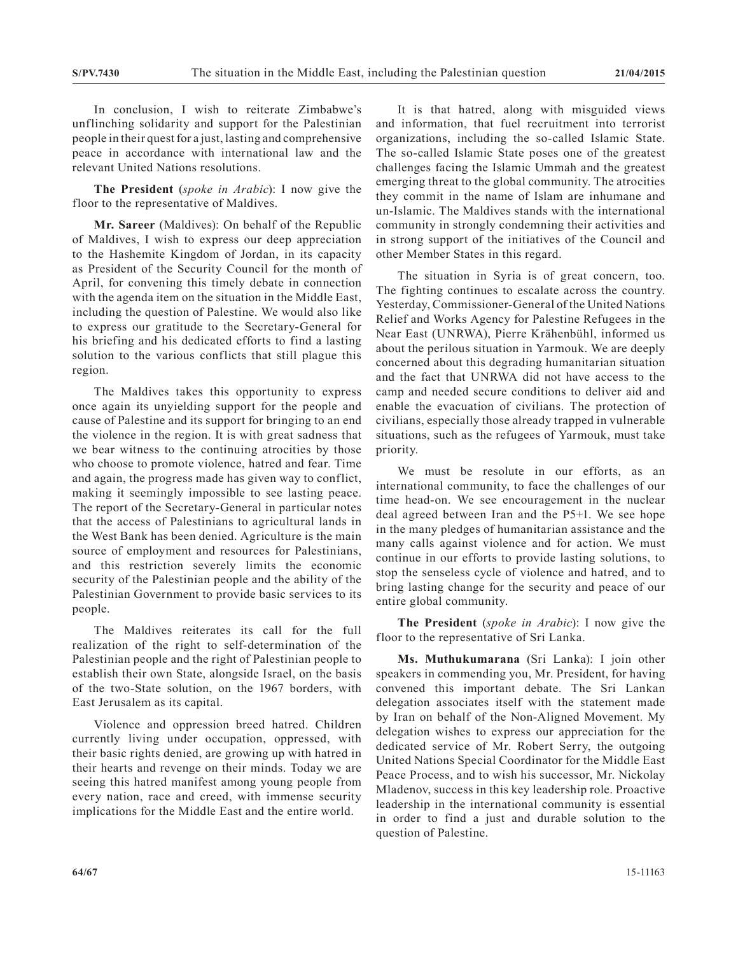In conclusion, I wish to reiterate Zimbabwe's unflinching solidarity and support for the Palestinian people in their quest for a just, lasting and comprehensive peace in accordance with international law and the relevant United Nations resolutions.

**The President** (*spoke in Arabic*): I now give the floor to the representative of Maldives.

**Mr. Sareer** (Maldives): On behalf of the Republic of Maldives, I wish to express our deep appreciation to the Hashemite Kingdom of Jordan, in its capacity as President of the Security Council for the month of April, for convening this timely debate in connection with the agenda item on the situation in the Middle East, including the question of Palestine. We would also like to express our gratitude to the Secretary-General for his briefing and his dedicated efforts to find a lasting solution to the various conflicts that still plague this region.

The Maldives takes this opportunity to express once again its unyielding support for the people and cause of Palestine and its support for bringing to an end the violence in the region. It is with great sadness that we bear witness to the continuing atrocities by those who choose to promote violence, hatred and fear. Time and again, the progress made has given way to conflict, making it seemingly impossible to see lasting peace. The report of the Secretary-General in particular notes that the access of Palestinians to agricultural lands in the West Bank has been denied. Agriculture is the main source of employment and resources for Palestinians, and this restriction severely limits the economic security of the Palestinian people and the ability of the Palestinian Government to provide basic services to its people.

The Maldives reiterates its call for the full realization of the right to self-determination of the Palestinian people and the right of Palestinian people to establish their own State, alongside Israel, on the basis of the two-State solution, on the 1967 borders, with East Jerusalem as its capital.

Violence and oppression breed hatred. Children currently living under occupation, oppressed, with their basic rights denied, are growing up with hatred in their hearts and revenge on their minds. Today we are seeing this hatred manifest among young people from every nation, race and creed, with immense security implications for the Middle East and the entire world.

It is that hatred, along with misguided views and information, that fuel recruitment into terrorist organizations, including the so-called Islamic State. The so-called Islamic State poses one of the greatest challenges facing the Islamic Ummah and the greatest emerging threat to the global community. The atrocities they commit in the name of Islam are inhumane and un-Islamic. The Maldives stands with the international community in strongly condemning their activities and in strong support of the initiatives of the Council and other Member States in this regard.

The situation in Syria is of great concern, too. The fighting continues to escalate across the country. Yesterday, Commissioner-General of the United Nations Relief and Works Agency for Palestine Refugees in the Near East (UNRWA), Pierre Krähenbühl, informed us about the perilous situation in Yarmouk. We are deeply concerned about this degrading humanitarian situation and the fact that UNRWA did not have access to the camp and needed secure conditions to deliver aid and enable the evacuation of civilians. The protection of civilians, especially those already trapped in vulnerable situations, such as the refugees of Yarmouk, must take priority.

We must be resolute in our efforts, as an international community, to face the challenges of our time head-on. We see encouragement in the nuclear deal agreed between Iran and the P5+1. We see hope in the many pledges of humanitarian assistance and the many calls against violence and for action. We must continue in our efforts to provide lasting solutions, to stop the senseless cycle of violence and hatred, and to bring lasting change for the security and peace of our entire global community.

**The President** (*spoke in Arabic*): I now give the floor to the representative of Sri Lanka.

**Ms. Muthukumarana** (Sri Lanka): I join other speakers in commending you, Mr. President, for having convened this important debate. The Sri Lankan delegation associates itself with the statement made by Iran on behalf of the Non-Aligned Movement. My delegation wishes to express our appreciation for the dedicated service of Mr. Robert Serry, the outgoing United Nations Special Coordinator for the Middle East Peace Process, and to wish his successor, Mr. Nickolay Mladenov, success in this key leadership role. Proactive leadership in the international community is essential in order to find a just and durable solution to the question of Palestine.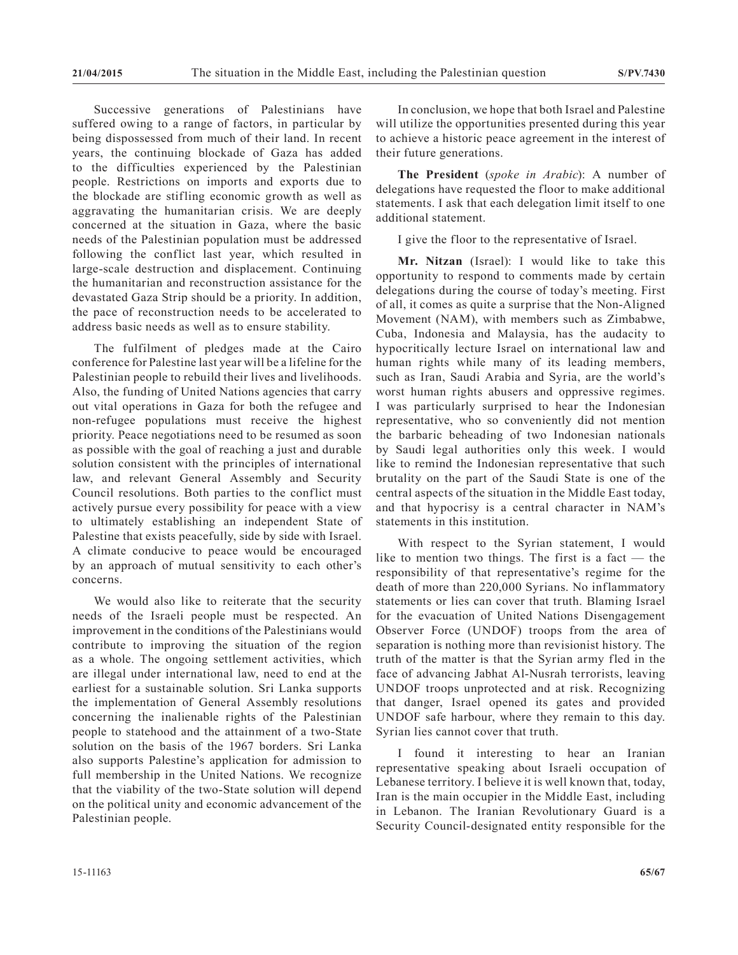Successive generations of Palestinians have suffered owing to a range of factors, in particular by being dispossessed from much of their land. In recent years, the continuing blockade of Gaza has added to the difficulties experienced by the Palestinian people. Restrictions on imports and exports due to the blockade are stifling economic growth as well as aggravating the humanitarian crisis. We are deeply concerned at the situation in Gaza, where the basic needs of the Palestinian population must be addressed following the conflict last year, which resulted in large-scale destruction and displacement. Continuing the humanitarian and reconstruction assistance for the devastated Gaza Strip should be a priority. In addition, the pace of reconstruction needs to be accelerated to address basic needs as well as to ensure stability.

The fulfilment of pledges made at the Cairo conference for Palestine last year will be a lifeline for the Palestinian people to rebuild their lives and livelihoods. Also, the funding of United Nations agencies that carry out vital operations in Gaza for both the refugee and non-refugee populations must receive the highest priority. Peace negotiations need to be resumed as soon as possible with the goal of reaching a just and durable solution consistent with the principles of international law, and relevant General Assembly and Security Council resolutions. Both parties to the conflict must actively pursue every possibility for peace with a view to ultimately establishing an independent State of Palestine that exists peacefully, side by side with Israel. A climate conducive to peace would be encouraged by an approach of mutual sensitivity to each other's concerns.

We would also like to reiterate that the security needs of the Israeli people must be respected. An improvement in the conditions of the Palestinians would contribute to improving the situation of the region as a whole. The ongoing settlement activities, which are illegal under international law, need to end at the earliest for a sustainable solution. Sri Lanka supports the implementation of General Assembly resolutions concerning the inalienable rights of the Palestinian people to statehood and the attainment of a two-State solution on the basis of the 1967 borders. Sri Lanka also supports Palestine's application for admission to full membership in the United Nations. We recognize that the viability of the two-State solution will depend on the political unity and economic advancement of the Palestinian people.

In conclusion, we hope that both Israel and Palestine will utilize the opportunities presented during this year to achieve a historic peace agreement in the interest of their future generations.

**The President** (*spoke in Arabic*): A number of delegations have requested the floor to make additional statements. I ask that each delegation limit itself to one additional statement.

I give the floor to the representative of Israel.

**Mr. Nitzan** (Israel): I would like to take this opportunity to respond to comments made by certain delegations during the course of today's meeting. First of all, it comes as quite a surprise that the Non-Aligned Movement (NAM), with members such as Zimbabwe, Cuba, Indonesia and Malaysia, has the audacity to hypocritically lecture Israel on international law and human rights while many of its leading members, such as Iran, Saudi Arabia and Syria, are the world's worst human rights abusers and oppressive regimes. I was particularly surprised to hear the Indonesian representative, who so conveniently did not mention the barbaric beheading of two Indonesian nationals by Saudi legal authorities only this week. I would like to remind the Indonesian representative that such brutality on the part of the Saudi State is one of the central aspects of the situation in the Middle East today, and that hypocrisy is a central character in NAM's statements in this institution.

With respect to the Syrian statement, I would like to mention two things. The first is a fact — the responsibility of that representative's regime for the death of more than 220,000 Syrians. No inflammatory statements or lies can cover that truth. Blaming Israel for the evacuation of United Nations Disengagement Observer Force (UNDOF) troops from the area of separation is nothing more than revisionist history. The truth of the matter is that the Syrian army fled in the face of advancing Jabhat Al-Nusrah terrorists, leaving UNDOF troops unprotected and at risk. Recognizing that danger, Israel opened its gates and provided UNDOF safe harbour, where they remain to this day. Syrian lies cannot cover that truth.

I found it interesting to hear an Iranian representative speaking about Israeli occupation of Lebanese territory. I believe it is well known that, today, Iran is the main occupier in the Middle East, including in Lebanon. The Iranian Revolutionary Guard is a Security Council-designated entity responsible for the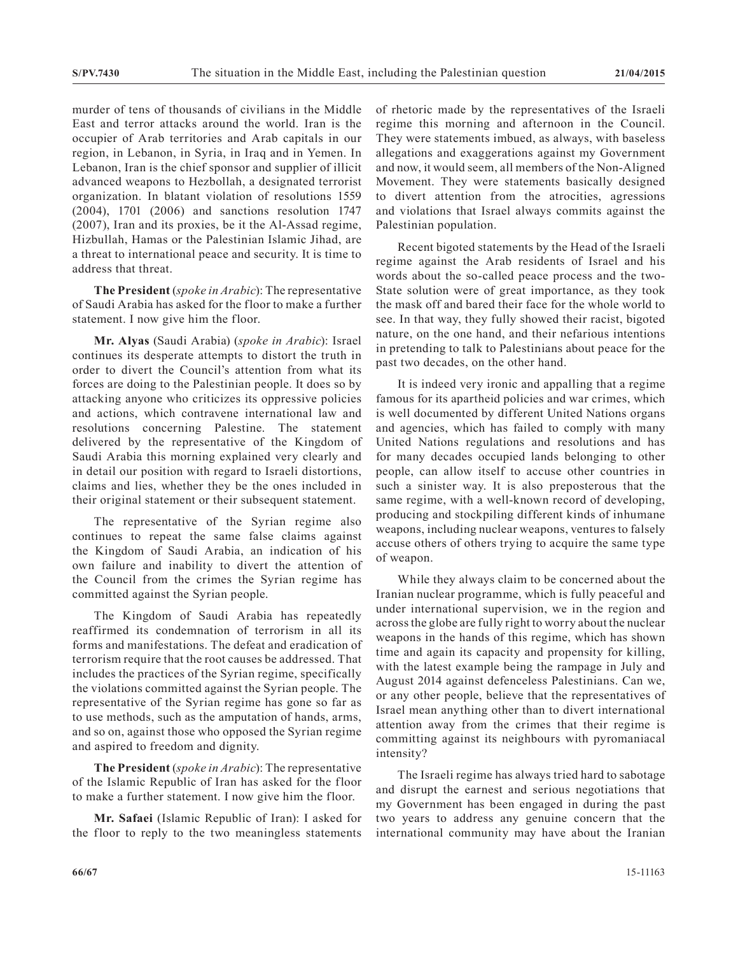murder of tens of thousands of civilians in the Middle East and terror attacks around the world. Iran is the occupier of Arab territories and Arab capitals in our region, in Lebanon, in Syria, in Iraq and in Yemen. In Lebanon, Iran is the chief sponsor and supplier of illicit advanced weapons to Hezbollah, a designated terrorist organization. In blatant violation of resolutions 1559 (2004), 1701 (2006) and sanctions resolution 1747 (2007), Iran and its proxies, be it the Al-Assad regime, Hizbullah, Hamas or the Palestinian Islamic Jihad, are a threat to international peace and security. It is time to address that threat.

**The President** (*spoke in Arabic*): The representative of Saudi Arabia has asked for the floor to make a further statement. I now give him the floor.

**Mr. Alyas** (Saudi Arabia) (*spoke in Arabic*): Israel continues its desperate attempts to distort the truth in order to divert the Council's attention from what its forces are doing to the Palestinian people. It does so by attacking anyone who criticizes its oppressive policies and actions, which contravene international law and resolutions concerning Palestine. The statement delivered by the representative of the Kingdom of Saudi Arabia this morning explained very clearly and in detail our position with regard to Israeli distortions, claims and lies, whether they be the ones included in their original statement or their subsequent statement.

The representative of the Syrian regime also continues to repeat the same false claims against the Kingdom of Saudi Arabia, an indication of his own failure and inability to divert the attention of the Council from the crimes the Syrian regime has committed against the Syrian people.

The Kingdom of Saudi Arabia has repeatedly reaffirmed its condemnation of terrorism in all its forms and manifestations. The defeat and eradication of terrorism require that the root causes be addressed. That includes the practices of the Syrian regime, specifically the violations committed against the Syrian people. The representative of the Syrian regime has gone so far as to use methods, such as the amputation of hands, arms, and so on, against those who opposed the Syrian regime and aspired to freedom and dignity.

**The President** (*spoke in Arabic*): The representative of the Islamic Republic of Iran has asked for the floor to make a further statement. I now give him the floor.

**Mr. Safaei** (Islamic Republic of Iran): I asked for the floor to reply to the two meaningless statements of rhetoric made by the representatives of the Israeli regime this morning and afternoon in the Council. They were statements imbued, as always, with baseless allegations and exaggerations against my Government and now, it would seem, all members of the Non-Aligned Movement. They were statements basically designed to divert attention from the atrocities, agressions and violations that Israel always commits against the Palestinian population.

Recent bigoted statements by the Head of the Israeli regime against the Arab residents of Israel and his words about the so-called peace process and the two-State solution were of great importance, as they took the mask off and bared their face for the whole world to see. In that way, they fully showed their racist, bigoted nature, on the one hand, and their nefarious intentions in pretending to talk to Palestinians about peace for the past two decades, on the other hand.

It is indeed very ironic and appalling that a regime famous for its apartheid policies and war crimes, which is well documented by different United Nations organs and agencies, which has failed to comply with many United Nations regulations and resolutions and has for many decades occupied lands belonging to other people, can allow itself to accuse other countries in such a sinister way. It is also preposterous that the same regime, with a well-known record of developing, producing and stockpiling different kinds of inhumane weapons, including nuclear weapons, ventures to falsely accuse others of others trying to acquire the same type of weapon.

While they always claim to be concerned about the Iranian nuclear programme, which is fully peaceful and under international supervision, we in the region and across the globe are fully right to worry about the nuclear weapons in the hands of this regime, which has shown time and again its capacity and propensity for killing, with the latest example being the rampage in July and August 2014 against defenceless Palestinians. Can we, or any other people, believe that the representatives of Israel mean anything other than to divert international attention away from the crimes that their regime is committing against its neighbours with pyromaniacal intensity?

The Israeli regime has always tried hard to sabotage and disrupt the earnest and serious negotiations that my Government has been engaged in during the past two years to address any genuine concern that the international community may have about the Iranian